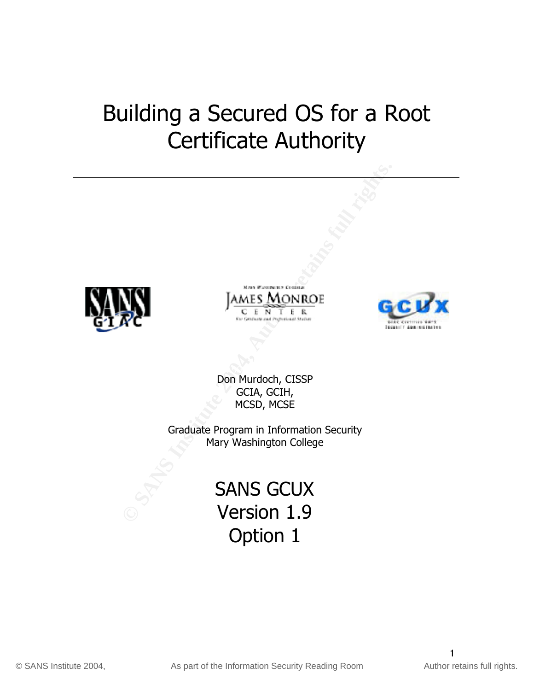# Building a Secured OS for a Root Certificate Authority







 $\mathcal{R} = \mathcal{R}$ Don Murdoch, CISSP GCIA, GCIH, MCSD, MCSE

> Graduate Program in Information Security Mary Washington College

# SANS GCUX Version 1.9 Option 1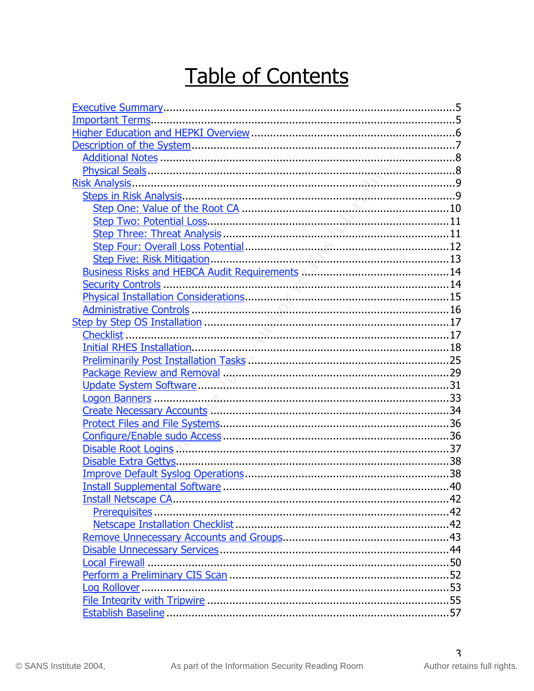# Table of Contents

| Package Review and Removal <b>Commission</b> contract the Package Review and Removal |  |
|--------------------------------------------------------------------------------------|--|
|                                                                                      |  |
|                                                                                      |  |
|                                                                                      |  |
|                                                                                      |  |
|                                                                                      |  |
|                                                                                      |  |
|                                                                                      |  |
|                                                                                      |  |
|                                                                                      |  |
|                                                                                      |  |
|                                                                                      |  |
|                                                                                      |  |
|                                                                                      |  |
|                                                                                      |  |
|                                                                                      |  |
|                                                                                      |  |
|                                                                                      |  |
|                                                                                      |  |
|                                                                                      |  |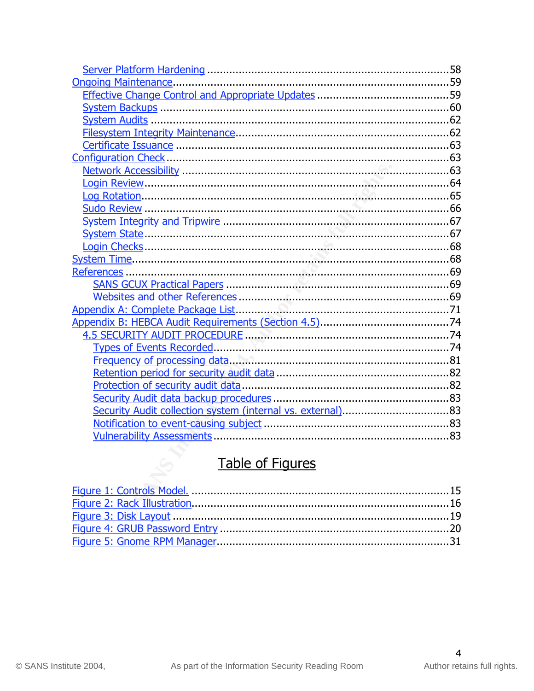| Security Audit collection system (internal vs. external)83 |  |
|------------------------------------------------------------|--|
|                                                            |  |
|                                                            |  |

| <b>Table of Figures</b> |  |
|-------------------------|--|
|                         |  |
|                         |  |
|                         |  |
|                         |  |
|                         |  |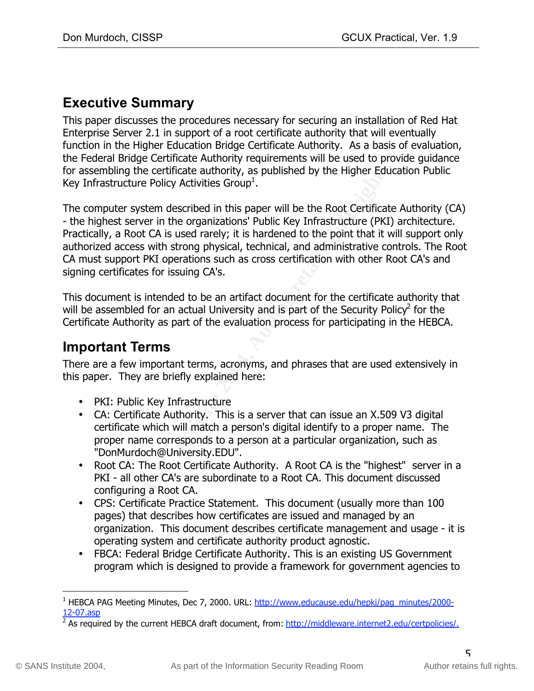# **Executive Summary**

This paper discusses the procedures necessary for securing an installation of Red Hat Enterprise Server 2.1 in support of a root certificate authority that will eventually function in the Higher Education Bridge Certificate Authority. As a basis of evaluation, the Federal Bridge Certificate Authority requirements will be used to provide guidance for assembling the certificate authority, as published by the Higher Education Public Key Infrastructure Policy Activities Group $^{\rm 1}.$ 

my the certificate authority, as published by the Higher Educture Policy Activities Group<sup>1</sup>.<br>
First System described in this paper will be the Root Certificate<br>
Server in the organizations' Public Key Infrastructure (PKI) The computer system described in this paper will be the Root Certificate Authority (CA) - the highest server in the organizations' Public Key Infrastructure (PKI) architecture. Practically, a Root CA is used rarely; it is hardened to the point that it will support only authorized access with strong physical, technical, and administrative controls. The Root CA must support PKI operations such as cross certification with other Root CA's and signing certificates for issuing CA's.

This document is intended to be an artifact document for the certificate authority that will be assembled for an actual University and is part of the Security Policy<sup>2</sup> for the Certificate Authority as part of the evaluation process for participating in the HEBCA.

# **Important Terms**

There are a few important terms, acronyms, and phrases that are used extensively in<br>this nanawy Thay are briefly symbined have: this paper. They are briefly explained here:

- PKI: Public Key Infrastructure
- CA: Certificate Authority. This is a server that can issue an X.509 V3 digital certificate which will match a person's digital identify to a proper name. The proper name corresponds to a person at a particular organization, such as "DonMurdoch@University.EDU".
- Root CA: The Root Certificate Authority. A Root CA is the "highest" server in a PKI - all other CA's are subordinate to a Root CA. This document discussed configuring a Root CA.
- CPS: Certificate Practice Statement. This document (usually more than 100 pages) that describes how certificates are issued and managed by an organization. This document describes certificate management and usage - it is operating system and certificate authority product agnostic.
- FBCA: Federal Bridge Certificate Authority. This is an existing US Government program which is designed to provide a framework for government agencies to

<sup>&</sup>lt;u>.</u><br><sup>1</sup> HEBCA PAG Meeting Minutes, Dec 7, 2000. URL: <u>http://www.educause.edu/hepki/pag\_minutes/2000-</u> 12-07.asp

<sup>&</sup>lt;sup>2</sup> As required by the current HEBCA draft document, from: http://middleware.internet2.edu/certpolicies/.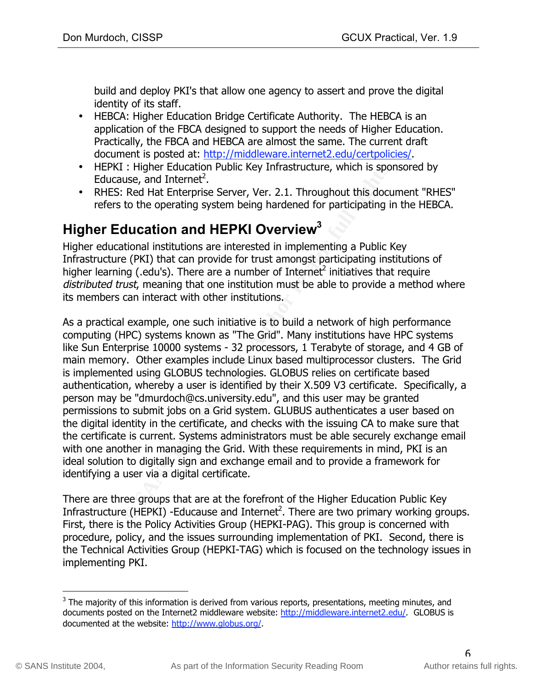build and deploy PKI's that allow one agency to assert and prove the digital identity of its staff.

- HEBCA: Higher Education Bridge Certificate Authority. The HEBCA is an application of the FBCA designed to support the needs of Higher Education. Practically, the FBCA and HEBCA are almost the same. The current draft document is posted at: http://middleware.internet2.edu/certpolicies/.
- HEPKI : Higher Education Public Key Infrastructure, which is sponsored by Educause, and Internet<sup>2</sup>.
- RHES: Red Hat Enterprise Server, Ver. 2.1. Throughout this document "RHES" refers to the operating system being hardened for participating in the HEBCA.

# **Higher Education and HEPKI Overview**<sup>3</sup>

Higher educational institutions are interested in implementing a Public Key Infrastructure (PKI) that can provide for trust amongst participating institutions of higher learning (.edu's). There are a number of Internet<sup>2</sup> initiatives that require distributed trust, meaning that one institution must be able to provide a method where its members can interact with other institutions.

**Example Education Public Key Infrastructure, which is spotenced and Internet<sup>2</sup>. The are two pertuines and Internetic is exerced to the operating system being hardened for participating ir <b>ducation and HEPKI Overview<sup>3</sup>** is implemented using GLOBUS technologies. GLOBUS relies on certificate based As a practical example, one such initiative is to build a network of high performance computing (HPC) systems known as "The Grid". Many institutions have HPC systems like Sun Enterprise 10000 systems - 32 processors, 1 Terabyte of storage, and 4 GB of main memory. Other examples include Linux based multiprocessor clusters. The Grid authentication, whereby a user is identified by their X.509 V3 certificate. Specifically, a person may be "dmurdoch@cs.university.edu", and this user may be granted permissions to submit jobs on a Grid system. GLUBUS authenticates a user based on the digital identity in the certificate, and checks with the issuing CA to make sure that the certificate is current. Systems administrators must be able securely exchange email with one another in managing the Grid. With these requirements in mind, PKI is an ideal solution to digitally sign and exchange email and to provide a framework for identifying a user via a digital certificate.

There are three groups that are at the forefront of the Higher Education Public Key Infrastructure (HEPKI) -Educause and Internet<sup>2</sup>. There are two primary working groups. First, there is the Policy Activities Group (HEPKI-PAG). This group is concerned with procedure, policy, and the issues surrounding implementation of PKI. Second, there is the Technical Activities Group (HEPKI-TAG) which is focused on the technology issues in implementing PKI.

 <sup>3</sup> The majority of this information is derived from various reports, presentations, meeting minutes, and documents posted on the Internet2 middleware website: http://middleware.internet2.edu/. GLOBUS is documented at the website: http://www.globus.org/.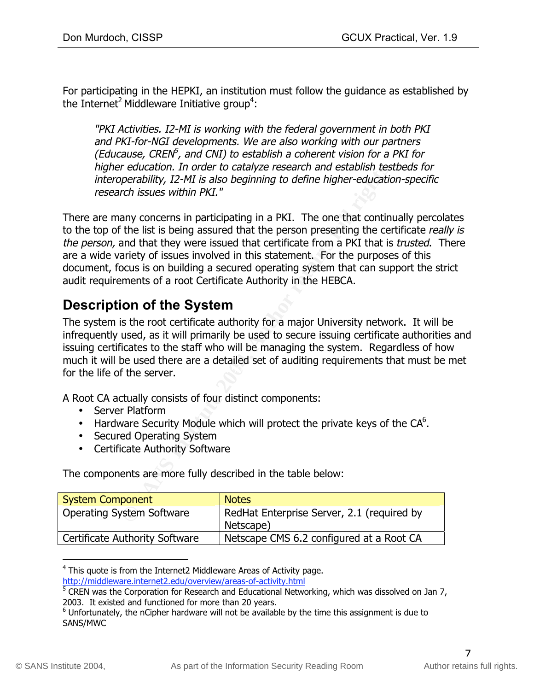For participating in the HEPKI, an institution must follow the guidance as established by the Internet<sup>2</sup> Middleware Initiative group<sup>4</sup>:

"PKI Activities. I2-MI is working with the federal government in both PKI and PKI-for-NGI developments. We are also working with our partners (Educause, CREN $^5$ , and CNI) to establish a coherent vision for a PKI for higher education. In order to catalyze research and establish testbeds for interoperability, I2-MI is also beginning to define higher-education-specific research issues within PKI."

r education. In order to catalyze research and establish test<br>perability, 12-MI is also beginning to define higher-educatio<br>perability, 12-MI is also beginning to define higher-educatio<br>ench issues within PKI."<br>any concern There are many concerns in participating in a PKI. The one that continually percolates to the top of the list is being assured that the person presenting the certificate really is the person, and that they were issued that certificate from a PKI that is *trusted*. There are a wide variety of issues involved in this statement. For the purposes of this document, focus is on building a secured operating system that can support the strict audit requirements of a root Certificate Authority in the HEBCA.

# **Description of the System**

for the life of the server. The system is the root certificate authority for a major University network. It will be infrequently used, as it will primarily be used to secure issuing certificate authorities and issuing certificates to the staff who will be managing the system. Regardless of how much it will be used there are a detailed set of auditing requirements that must be met

A Root CA actually consists of four distinct components:

- Server Platform
- Hardware Security Module which will protect the private keys of the  $CA<sup>6</sup>$ .
- Secured Operating System
- Certificate Authority Software

The components are more fully described in the table below:

| <b>System Component</b>               | <b>Notes</b>                                            |
|---------------------------------------|---------------------------------------------------------|
| <b>Operating System Software</b>      | RedHat Enterprise Server, 2.1 (required by<br>Netscape) |
| <b>Certificate Authority Software</b> | Netscape CMS 6.2 configured at a Root CA                |

 <sup>4</sup> This quote is from the Internet2 Middleware Areas of Activity page. http://middleware.internet2.edu/overview/areas-of-activity.html

<sup>&</sup>lt;sup>5</sup> CREN was the Corporation for Research and Educational Networking, which was dissolved on Jan 7, 2003. It existed and functioned for more than 20 years.

 $^6$  Unfortunately, the nCipher hardware will not be available by the time this assignment is due to SANS/MWC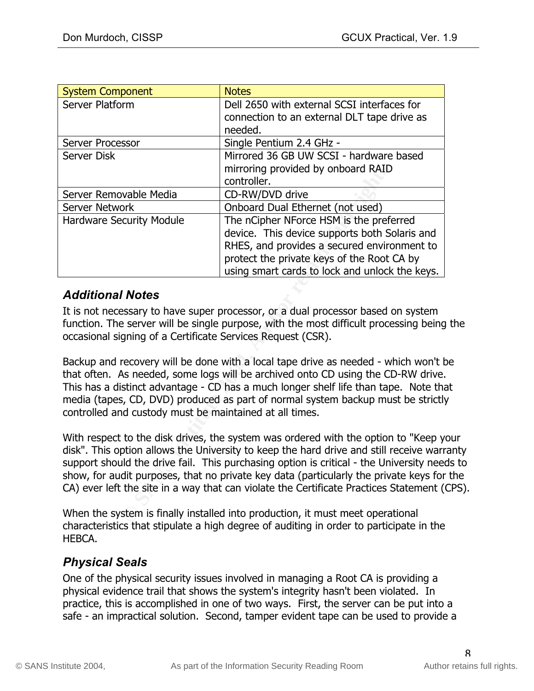| <b>System Component</b>                                                                                                                                                                                                                  | <b>Notes</b>                                                                                                                                                                                                                                                                                                                                                                                                                                               |  |
|------------------------------------------------------------------------------------------------------------------------------------------------------------------------------------------------------------------------------------------|------------------------------------------------------------------------------------------------------------------------------------------------------------------------------------------------------------------------------------------------------------------------------------------------------------------------------------------------------------------------------------------------------------------------------------------------------------|--|
| Server Platform                                                                                                                                                                                                                          | Dell 2650 with external SCSI interfaces for                                                                                                                                                                                                                                                                                                                                                                                                                |  |
|                                                                                                                                                                                                                                          | connection to an external DLT tape drive as                                                                                                                                                                                                                                                                                                                                                                                                                |  |
|                                                                                                                                                                                                                                          | needed.                                                                                                                                                                                                                                                                                                                                                                                                                                                    |  |
| <b>Server Processor</b>                                                                                                                                                                                                                  | Single Pentium 2.4 GHz -                                                                                                                                                                                                                                                                                                                                                                                                                                   |  |
| <b>Server Disk</b>                                                                                                                                                                                                                       | Mirrored 36 GB UW SCSI - hardware based                                                                                                                                                                                                                                                                                                                                                                                                                    |  |
|                                                                                                                                                                                                                                          | mirroring provided by onboard RAID                                                                                                                                                                                                                                                                                                                                                                                                                         |  |
|                                                                                                                                                                                                                                          | controller.                                                                                                                                                                                                                                                                                                                                                                                                                                                |  |
| Server Removable Media                                                                                                                                                                                                                   | CD-RW/DVD drive                                                                                                                                                                                                                                                                                                                                                                                                                                            |  |
| <b>Server Network</b>                                                                                                                                                                                                                    | Onboard Dual Ethernet (not used)                                                                                                                                                                                                                                                                                                                                                                                                                           |  |
| <b>Hardware Security Module</b>                                                                                                                                                                                                          | The nCipher NForce HSM is the preferred                                                                                                                                                                                                                                                                                                                                                                                                                    |  |
|                                                                                                                                                                                                                                          | device. This device supports both Solaris and                                                                                                                                                                                                                                                                                                                                                                                                              |  |
|                                                                                                                                                                                                                                          | RHES, and provides a secured environment to<br>protect the private keys of the Root CA by                                                                                                                                                                                                                                                                                                                                                                  |  |
|                                                                                                                                                                                                                                          | using smart cards to lock and unlock the keys.                                                                                                                                                                                                                                                                                                                                                                                                             |  |
|                                                                                                                                                                                                                                          |                                                                                                                                                                                                                                                                                                                                                                                                                                                            |  |
| <b>Additional Notes</b>                                                                                                                                                                                                                  |                                                                                                                                                                                                                                                                                                                                                                                                                                                            |  |
| It is not necessary to have super processor, or a dual processor based on system<br>function. The server will be single purpose, with the most difficult processing being<br>occasional signing of a Certificate Services Request (CSR). |                                                                                                                                                                                                                                                                                                                                                                                                                                                            |  |
| controlled and custody must be maintained at all times.                                                                                                                                                                                  | Backup and recovery will be done with a local tape drive as needed - which won't b<br>that often. As needed, some logs will be archived onto CD using the CD-RW drive.<br>This has a distinct advantage - CD has a much longer shelf life than tape. Note tha<br>media (tapes, CD, DVD) produced as part of normal system backup must be strictly                                                                                                          |  |
|                                                                                                                                                                                                                                          | With respect to the disk drives, the system was ordered with the option to "Keep y<br>disk". This option allows the University to keep the hard drive and still receive warr<br>support should the drive fail. This purchasing option is critical - the University need<br>show, for audit purposes, that no private key data (particularly the private keys for<br>CA) ever left the site in a way that can violate the Certificate Practices Statement ( |  |
|                                                                                                                                                                                                                                          | When the system is finally installed into production, it must meet operational<br>$\mathcal{L}$ . The contract of the contract of the contract of the contract of the contract of the contract of the contract of the contract of the contract of the contract of the contract of the contract of the contract of th                                                                                                                                       |  |

#### *Additional Notes*

It is not necessary to have super processor, or a dual processor based on system function. The server will be single purpose, with the most difficult processing being the occasional signing of a Certificate Services Request (CSR).

With respect to the disk drives, the system was ordered with the option to "Keep your disk". This option allows the University to keep the hard drive and still receive warranty support should the drive fail. This purchasing option is critical - the University needs to show, for audit purposes, that no private key data (particularly the private keys for the CA) ever left the site in a way that can violate the Certificate Practices Statement (CPS).

When the system is finally installed into production, it must meet operational characteristics that stipulate a high degree of auditing in order to participate in the HEBCA.

#### *Physical Seals*

One of the physical security issues involved in managing a Root CA is providing a physical evidence trail that shows the system's integrity hasn't been violated. In practice, this is accomplished in one of two ways. First, the server can be put into a safe - an impractical solution. Second, tamper evident tape can be used to provide a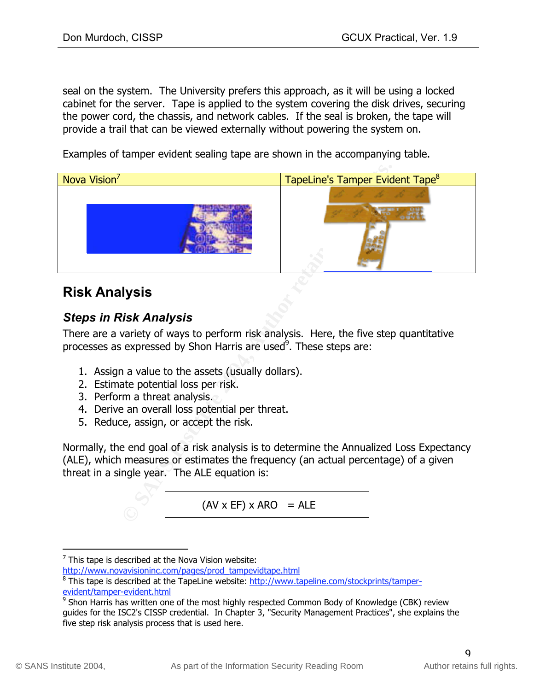seal on the system. The University prefers this approach, as it will be using a locked cabinet for the server. Tape is applied to the system covering the disk drives, securing the power cord, the chassis, and network cables. If the seal is broken, the tape will provide a trail that can be viewed externally without powering the system on.

Examples of tamper evident sealing tape are shown in the accompanying table.



# **Risk Analysis**

# *Steps in Risk Analysis*

There are a variety of ways to perform risk analysis. Here, the five step quantitative processes as expressed by Shon Harris are used<sup>9</sup>. These steps are:

- 1. Assign a value to the assets (usually dollars).
- 2. Estimate potential loss per risk.
- 3. Perform a threat analysis.
- 4. Derive an overall loss potential per threat.
- 5. Reduce, assign, or accept the risk.

Normally, the end goal of a risk analysis is to determine the Annualized Loss Expectancy (ALE), which measures or estimates the frequency (an actual percentage) of a given threat in a single year. The ALE equation is:

$$
(AV \times EF) \times ARO = ALE
$$

 $\overline{\phantom{a}}$  This tape is described at the Nova Vision website:

http://www.novavisioninc.com/pages/prod\_tampevidtape.html

<sup>&</sup>lt;sup>8</sup> This tape is described at the TapeLine website: http://www.tapeline.com/stockprints/tamperevident/tamper-evident.html

<sup>&</sup>lt;sup>9</sup> Shon Harris has written one of the most highly respected Common Body of Knowledge (CBK) review guides for the ISC2's CISSP credential. In Chapter 3, "Security Management Practices", she explains the five step risk analysis process that is used here.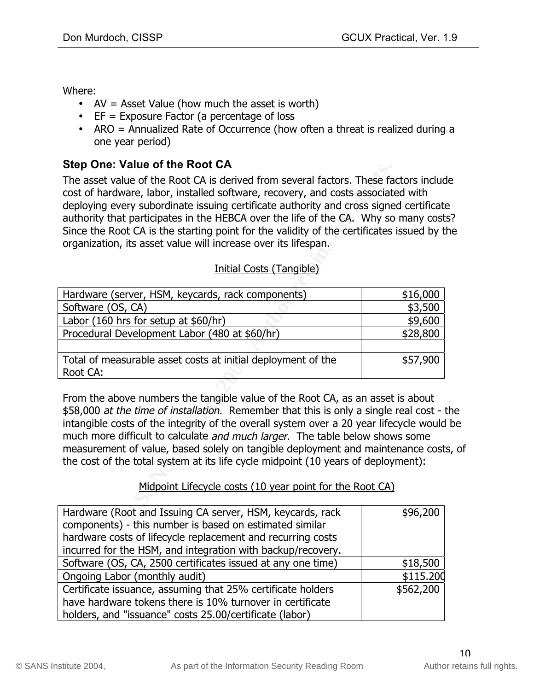Where:

- AV = Asset Value (how much the asset is worth)
- EF = Exposure Factor (a percentage of loss
- ARO = Annualized Rate of Occurrence (how often a threat is realized during a one year period)

#### **Step One: Value of the Root CA**

| The asset value of the Root CA is derived from several factors. These factors included<br>cost of hardware, labor, installed software, recovery, and costs associated with<br>deploying every subordinate issuing certificate authority and cross signed certificate<br>authority that participates in the HEBCA over the life of the CA. Why so many cost<br>Since the Root CA is the starting point for the validity of the certificates issued by t<br>organization, its asset value will increase over its lifespan.<br>Initial Costs (Tangible)<br>\$16,000<br>Hardware (server, HSM, keycards, rack components)<br>Software (OS, CA)<br>\$3,500<br>Labor (160 hrs for setup at \$60/hr)<br>\$9,600<br>Procedural Development Labor (480 at \$60/hr)<br>\$28,800<br>Total of measurable asset costs at initial deployment of the<br>\$57,900<br>Root CA:<br>From the above numbers the tangible value of the Root CA, as an asset is about<br>\$58,000 at the time of installation. Remember that this is only a single real cost -<br>intangible costs of the integrity of the overall system over a 20 year lifecycle would<br>much more difficult to calculate and much larger. The table below shows some<br>measurement of value, based solely on tangible deployment and maintenance cost<br>the cost of the total system at its life cycle midpoint (10 years of deployment):<br>Midpoint Lifecycle costs (10 year point for the Root CA) | <b>SIED OTIE. VAILLE OF LITE KOOL UA</b> |  |
|-------------------------------------------------------------------------------------------------------------------------------------------------------------------------------------------------------------------------------------------------------------------------------------------------------------------------------------------------------------------------------------------------------------------------------------------------------------------------------------------------------------------------------------------------------------------------------------------------------------------------------------------------------------------------------------------------------------------------------------------------------------------------------------------------------------------------------------------------------------------------------------------------------------------------------------------------------------------------------------------------------------------------------------------------------------------------------------------------------------------------------------------------------------------------------------------------------------------------------------------------------------------------------------------------------------------------------------------------------------------------------------------------------------------------------------------------------|------------------------------------------|--|
|                                                                                                                                                                                                                                                                                                                                                                                                                                                                                                                                                                                                                                                                                                                                                                                                                                                                                                                                                                                                                                                                                                                                                                                                                                                                                                                                                                                                                                                       |                                          |  |
|                                                                                                                                                                                                                                                                                                                                                                                                                                                                                                                                                                                                                                                                                                                                                                                                                                                                                                                                                                                                                                                                                                                                                                                                                                                                                                                                                                                                                                                       |                                          |  |
|                                                                                                                                                                                                                                                                                                                                                                                                                                                                                                                                                                                                                                                                                                                                                                                                                                                                                                                                                                                                                                                                                                                                                                                                                                                                                                                                                                                                                                                       |                                          |  |
|                                                                                                                                                                                                                                                                                                                                                                                                                                                                                                                                                                                                                                                                                                                                                                                                                                                                                                                                                                                                                                                                                                                                                                                                                                                                                                                                                                                                                                                       |                                          |  |
|                                                                                                                                                                                                                                                                                                                                                                                                                                                                                                                                                                                                                                                                                                                                                                                                                                                                                                                                                                                                                                                                                                                                                                                                                                                                                                                                                                                                                                                       |                                          |  |
|                                                                                                                                                                                                                                                                                                                                                                                                                                                                                                                                                                                                                                                                                                                                                                                                                                                                                                                                                                                                                                                                                                                                                                                                                                                                                                                                                                                                                                                       |                                          |  |
|                                                                                                                                                                                                                                                                                                                                                                                                                                                                                                                                                                                                                                                                                                                                                                                                                                                                                                                                                                                                                                                                                                                                                                                                                                                                                                                                                                                                                                                       |                                          |  |
|                                                                                                                                                                                                                                                                                                                                                                                                                                                                                                                                                                                                                                                                                                                                                                                                                                                                                                                                                                                                                                                                                                                                                                                                                                                                                                                                                                                                                                                       |                                          |  |
|                                                                                                                                                                                                                                                                                                                                                                                                                                                                                                                                                                                                                                                                                                                                                                                                                                                                                                                                                                                                                                                                                                                                                                                                                                                                                                                                                                                                                                                       |                                          |  |
|                                                                                                                                                                                                                                                                                                                                                                                                                                                                                                                                                                                                                                                                                                                                                                                                                                                                                                                                                                                                                                                                                                                                                                                                                                                                                                                                                                                                                                                       |                                          |  |
|                                                                                                                                                                                                                                                                                                                                                                                                                                                                                                                                                                                                                                                                                                                                                                                                                                                                                                                                                                                                                                                                                                                                                                                                                                                                                                                                                                                                                                                       |                                          |  |
| Hardware (Root and Issuing CA server, HSM, keycards, rack<br>\$96,200<br>componente) this number is bosed on estimated similar                                                                                                                                                                                                                                                                                                                                                                                                                                                                                                                                                                                                                                                                                                                                                                                                                                                                                                                                                                                                                                                                                                                                                                                                                                                                                                                        |                                          |  |

#### Initial Costs (Tangible)

From the above numbers the tangible value of the Root CA, as an asset is about \$58,000 at the time of installation. Remember that this is only a single real cost - the intangible costs of the integrity of the overall system over a 20 year lifecycle would be much more difficult to calculate and much larger. The table below shows some measurement of value, based solely on tangible deployment and maintenance costs, of the cost of the total system at its life cycle midpoint (10 years of deployment):

#### Midpoint Lifecycle costs (10 year point for the Root CA)

| Hardware (Root and Issuing CA server, HSM, keycards, rack<br>components) - this number is based on estimated similar<br>hardware costs of lifecycle replacement and recurring costs<br>incurred for the HSM, and integration with backup/recovery. | \$96,200  |
|----------------------------------------------------------------------------------------------------------------------------------------------------------------------------------------------------------------------------------------------------|-----------|
| Software (OS, CA, 2500 certificates issued at any one time)                                                                                                                                                                                        | \$18,500  |
| Ongoing Labor (monthly audit)                                                                                                                                                                                                                      | \$115.200 |
| Certificate issuance, assuming that 25% certificate holders                                                                                                                                                                                        | \$562,200 |
| have hardware tokens there is 10% turnover in certificate                                                                                                                                                                                          |           |
| holders, and "issuance" costs 25.00/certificate (labor)                                                                                                                                                                                            |           |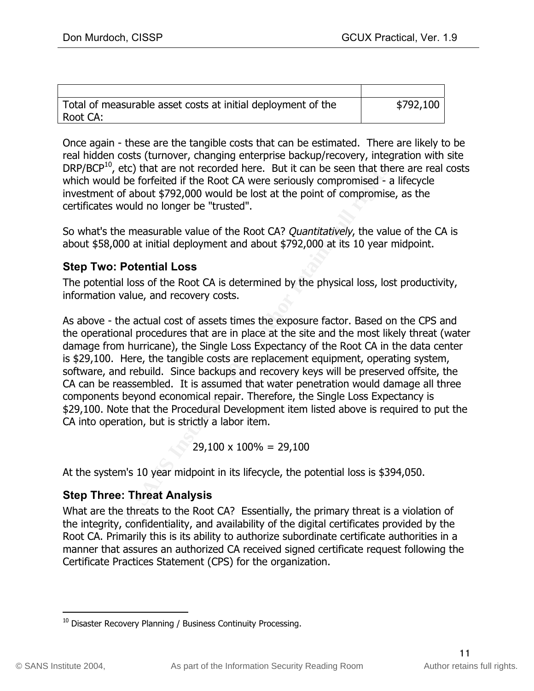| Total of measurable asset costs at initial deployment of the | \$792,100 |
|--------------------------------------------------------------|-----------|
| Root CA:                                                     |           |

Once again - these are the tangible costs that can be estimated. There are likely to be real hidden costs (turnover, changing enterprise backup/recovery, integration with site  $DRP/BCP<sup>10</sup>$ , etc) that are not recorded here. But it can be seen that there are real costs which would be forfeited if the Root CA were seriously compromised - a lifecycle investment of about \$792,000 would be lost at the point of compromise, as the certificates would no longer be "trusted".

So what's the measurable value of the Root CA? *Quantitatively*, the value of the CA is about \$58,000 at initial deployment and about \$792,000 at its 10 year midpoint.

#### **Step Two: Potential Loss**

The potential loss of the Root CA is determined by the physical loss, lost productivity, information value, and recovery costs.

Ecc) that are not recorded here. But it can be seen that the<br>be forfeited if the Root CA were seriously compromised - a<br>bf about \$792,000 would be lost at the point of compromised - a<br>vould no longer be "trusted".<br>Protenti software, and rebuild. Since backups and recovery keys will be preserved offsite, the As above - the actual cost of assets times the exposure factor. Based on the CPS and the operational procedures that are in place at the site and the most likely threat (water damage from hurricane), the Single Loss Expectancy of the Root CA in the data center is \$29,100. Here, the tangible costs are replacement equipment, operating system, CA can be reassembled. It is assumed that water penetration would damage all three components beyond economical repair. Therefore, the Single Loss Expectancy is \$29,100. Note that the Procedural Development item listed above is required to put the CA into operation, but is strictly a labor item.

 $29,100 \times 100\% = 29,100$ 

At the system's 10 year midpoint in its lifecycle, the potential loss is \$394,050.

#### **Step Three: Threat Analysis**

What are the threats to the Root CA? Essentially, the primary threat is a violation of the integrity, confidentiality, and availability of the digital certificates provided by the Root CA. Primarily this is its ability to authorize subordinate certificate authorities in a manner that assures an authorized CA received signed certificate request following the Certificate Practices Statement (CPS) for the organization.

 $10$  Disaster Recovery Planning / Business Continuity Processing.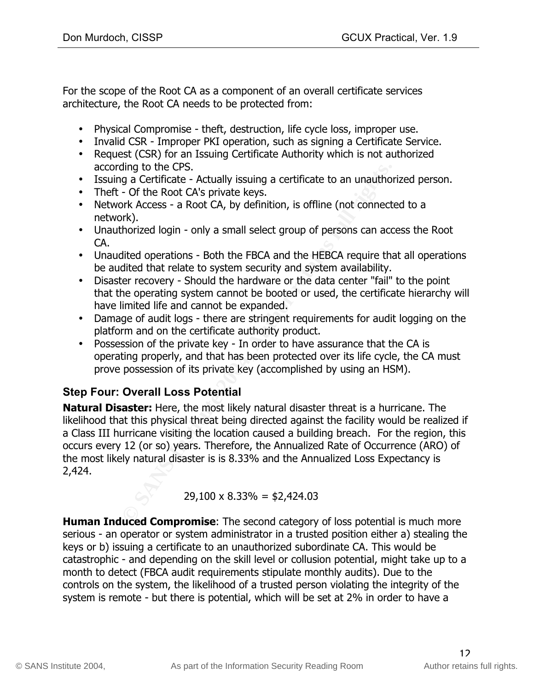For the scope of the Root CA as a component of an overall certificate services architecture, the Root CA needs to be protected from:

- Physical Compromise theft, destruction, life cycle loss, improper use.
- Invalid CSR Improper PKI operation, such as signing a Certificate Service.
- Request (CSR) for an Issuing Certificate Authority which is not authorized according to the CPS.
- Issuing a Certificate Actually issuing a certificate to an unauthorized person.
- Theft Of the Root CA's private keys.
- Network Access a Root CA, by definition, is offline (not connected to a network).
- Unauthorized login only a small select group of persons can access the Root CA.
- Unaudited operations Both the FBCA and the HEBCA require that all operations be audited that relate to system security and system availability.
- Disaster recovery Should the hardware or the data center "fail" to the point that the operating system cannot be booted or used, the certificate hierarchy will have limited life and cannot be expanded.
- Damage of audit logs there are stringent requirements for audit logging on the platform and on the certificate authority product.
- prove possession of its private key (accomplished by using an HSM). • Possession of the private key - In order to have assurance that the CA is operating properly, and that has been protected over its life cycle, the CA must

# **Step Four: Overall Loss Potential**

ding to the CPS.<br> **G** a Certificate - Actually issuing a certificate to an unauthor<br>
– Of the Root CA's private keys.<br>
Solve Access - a Root CA, by definition, is offline (not connect<br>
or-<br>
Solve Access - a Root CA, by def **Natural Disaster:** Here, the most likely natural disaster threat is a hurricane. The likelihood that this physical threat being directed against the facility would be realized if a Class III hurricane visiting the location caused a building breach. For the region, this occurs every 12 (or so) years. Therefore, the Annualized Rate of Occurrence (ARO) of the most likely natural disaster is is 8.33% and the Annualized Loss Expectancy is 2,424.

#### $29,100 \times 8.33\% = $2,424.03$

**Human Induced Compromise**: The second category of loss potential is much more serious - an operator or system administrator in a trusted position either a) stealing the keys or b) issuing a certificate to an unauthorized subordinate CA. This would be catastrophic - and depending on the skill level or collusion potential, might take up to a month to detect (FBCA audit requirements stipulate monthly audits). Due to the controls on the system, the likelihood of a trusted person violating the integrity of the system is remote - but there is potential, which will be set at 2% in order to have a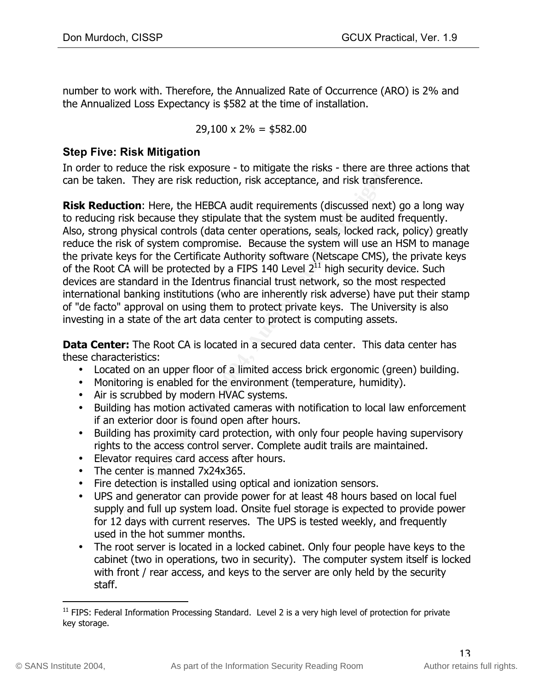number to work with. Therefore, the Annualized Rate of Occurrence (ARO) is 2% and the Annualized Loss Expectancy is \$582 at the time of installation.

#### $29,100 \times 2\% = $582.00$

#### **Step Five: Risk Mitigation**

In order to reduce the risk exposure - to mitigate the risks - there are three actions that can be taken. They are risk reduction, risk acceptance, and risk transference.

educe the risk exposure - to mitigate the risks - there are the most compared that the system conditive that the system must be audited to this bis because they stipulate that the system must be audited rephysical controls **Risk Reduction**: Here, the HEBCA audit requirements (discussed next) go a long way to reducing risk because they stipulate that the system must be audited frequently. Also, strong physical controls (data center operations, seals, locked rack, policy) greatly reduce the risk of system compromise. Because the system will use an HSM to manage the private keys for the Certificate Authority software (Netscape CMS), the private keys of the Root CA will be protected by a FIPS 140 Level  $2^{11}$  high security device. Such devices are standard in the Identrus financial trust network, so the most respected international banking institutions (who are inherently risk adverse) have put their stamp of "de facto" approval on using them to protect private keys. The University is also investing in a state of the art data center to protect is computing assets.

**Data Center:** The Root CA is located in a secured data center. This data center has these characteristics:

- Located on an upper floor of a limited access brick ergonomic (green) building.
- Monitoring is enabled for the environment (temperature, humidity).
- Air is scrubbed by modern HVAC systems.
- Building has motion activated cameras with notification to local law enforcement if an exterior door is found open after hours.
- Building has proximity card protection, with only four people having supervisory rights to the access control server. Complete audit trails are maintained.
- Elevator requires card access after hours.
- The center is manned 7x24x365.
- Fire detection is installed using optical and ionization sensors.
- UPS and generator can provide power for at least 48 hours based on local fuel supply and full up system load. Onsite fuel storage is expected to provide power for 12 days with current reserves. The UPS is tested weekly, and frequently used in the hot summer months.
- The root server is located in a locked cabinet. Only four people have keys to the cabinet (two in operations, two in security). The computer system itself is locked with front / rear access, and keys to the server are only held by the security staff.

 $11$  FIPS: Federal Information Processing Standard. Level 2 is a very high level of protection for private key storage.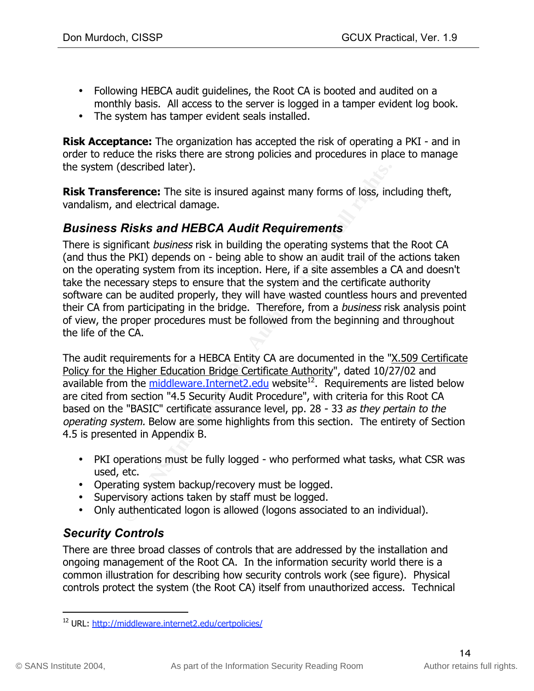- Following HEBCA audit guidelines, the Root CA is booted and audited on a monthly basis. All access to the server is logged in a tamper evident log book.
- The system has tamper evident seals installed.

**Risk Acceptance:** The organization has accepted the risk of operating a PKI - and in order to reduce the risks there are strong policies and procedures in place to manage the system (described later).

**Risk Transference:** The site is insured against many forms of loss, including theft, vandalism, and electrical damage.

#### *Business Risks and HEBCA Audit Requirements*

described later).<br> **Evence:** The site is insured against many forms of loss, inc<br>
md electrical damage.<br> **Risks and HEBCA Audit Requirements**<br>
dificant *business* risk in building the operating systems that<br>
diffull system There is significant *business* risk in building the operating systems that the Root CA (and thus the PKI) depends on - being able to show an audit trail of the actions taken on the operating system from its inception. Here, if a site assembles a CA and doesn't take the necessary steps to ensure that the system and the certificate authority software can be audited properly, they will have wasted countless hours and prevented their CA from participating in the bridge. Therefore, from a business risk analysis point of view, the proper procedures must be followed from the beginning and throughout the life of the CA.

Policy for the Higher Education Bridge Certificate Authority", dated 10/27/02 and The audit requirements for a HEBCA Entity CA are documented in the "X.509 Certificate available from the middleware.Internet2.edu website $12$ . Requirements are listed below are cited from section "4.5 Security Audit Procedure", with criteria for this Root CA based on the "BASIC" certificate assurance level, pp. 28 - 33 as they pertain to the operating system. Below are some highlights from this section. The entirety of Section 4.5 is presented in Appendix B.

- PKI operations must be fully logged who performed what tasks, what CSR was used, etc.
- Operating system backup/recovery must be logged.
- Supervisory actions taken by staff must be logged.
- Only authenticated logon is allowed (logons associated to an individual).

# *Security Controls*

There are three broad classes of controls that are addressed by the installation and ongoing management of the Root CA. In the information security world there is a common illustration for describing how security controls work (see figure). Physical controls protect the system (the Root CA) itself from unauthorized access. Technical

 <sup>12</sup> URL: http://middleware.internet2.edu/certpolicies/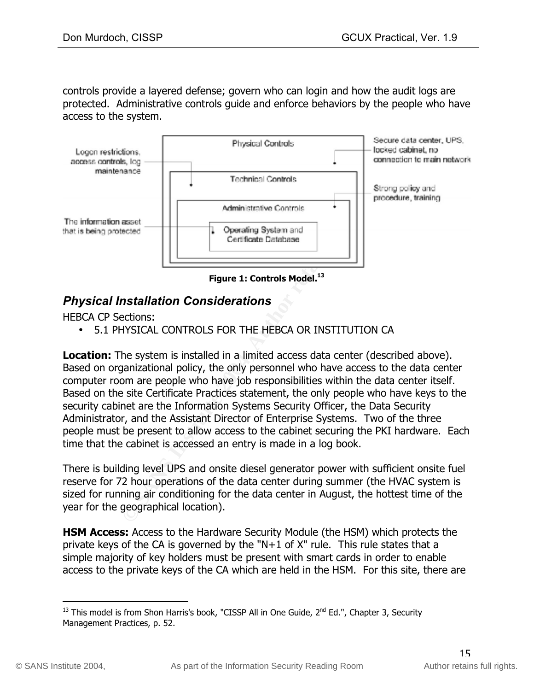controls provide a layered defense; govern who can login and how the audit logs are protected. Administrative controls guide and enforce behaviors by the people who have access to the system.



**Figure 1: Controls Model.**<sup>13</sup>

#### *Physical Installation Considerations*

HEBCA CP Sections:

• 5.1 PHYSICAL CONTROLS FOR THE HEBCA OR INSTITUTION CA

Based on organizational policy, the only personnel who have access to the data center **Location:** The system is installed in a limited access data center (described above). computer room are people who have job responsibilities within the data center itself. Based on the site Certificate Practices statement, the only people who have keys to the security cabinet are the Information Systems Security Officer, the Data Security Administrator, and the Assistant Director of Enterprise Systems. Two of the three people must be present to allow access to the cabinet securing the PKI hardware. Each time that the cabinet is accessed an entry is made in a log book.

There is building level UPS and onsite diesel generator power with sufficient onsite fuel reserve for 72 hour operations of the data center during summer (the HVAC system is sized for running air conditioning for the data center in August, the hottest time of the year for the geographical location).

**HSM Access:** Access to the Hardware Security Module (the HSM) which protects the private keys of the CA is governed by the "N+1 of X" rule. This rule states that a simple majority of key holders must be present with smart cards in order to enable access to the private keys of the CA which are held in the HSM. For this site, there are

 $13$  This model is from Shon Harris's book, "CISSP All in One Guide,  $2<sup>nd</sup>$  Ed.", Chapter 3, Security Management Practices, p. 52.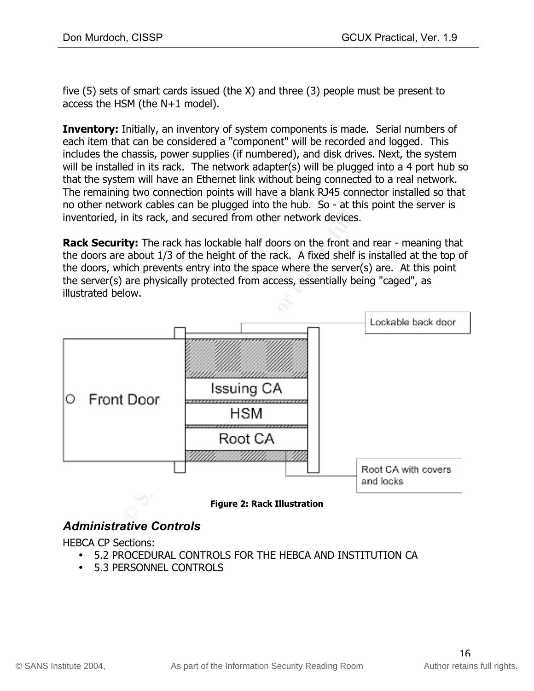five (5) sets of smart cards issued (the X) and three (3) people must be present to access the HSM (the N+1 model).

**Inventory:** Initially, an inventory of system components is made. Serial numbers of each item that can be considered a "component" will be recorded and logged. This includes the chassis, power supplies (if numbered), and disk drives. Next, the system will be installed in its rack. The network adapter(s) will be plugged into a 4 port hub so that the system will have an Ethernet link without being connected to a real network. The remaining two connection points will have a blank RJ45 connector installed so that no other network cables can be plugged into the hub. So - at this point the server is inventoried, in its rack, and secured from other network devices.

**Rack Security:** The rack has lockable half doors on the front and rear - meaning that the doors are about 1/3 of the height of the rack. A fixed shelf is installed at the top of the doors, which prevents entry into the space where the server(s) are. At this point the server(s) are physically protected from access, essentially being "caged", as illustrated below.



# *Administrative Controls*

HEBCA CP Sections:

- 5.2 PROCEDURAL CONTROLS FOR THE HEBCA AND INSTITUTION CA
- 5.3 PERSONNEL CONTROLS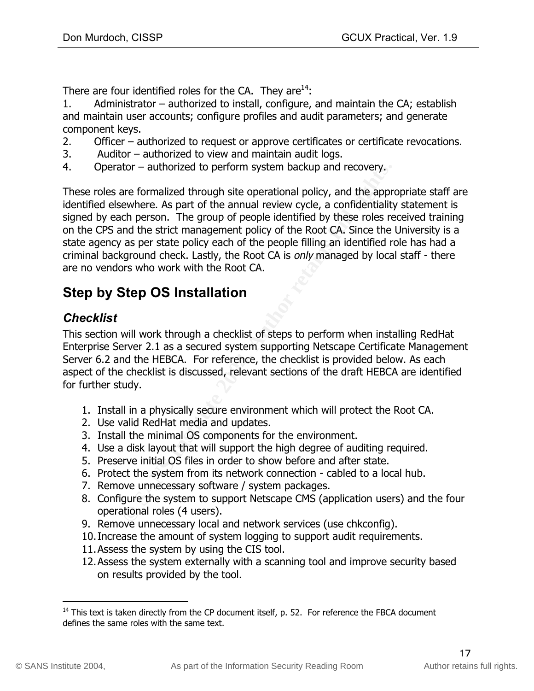There are four identified roles for the CA. They are $^{14}$ :

1. Administrator – authorized to install, configure, and maintain the CA; establish and maintain user accounts; configure profiles and audit parameters; and generate component keys.

- 2. Officer authorized to request or approve certificates or certificate revocations.
- 3. Auditor authorized to view and maintain audit logs.
- 4. Operator authorized to perform system backup and recovery.

tor – authorized to perform system backup and recovery.<br>
are formalized through site operational policy, and the apprewhere. As part of the annual review cycle, a confidentiality<br>
on The group of people identified by these These roles are formalized through site operational policy, and the appropriate staff are identified elsewhere. As part of the annual review cycle, a confidentiality statement is signed by each person. The group of people identified by these roles received training on the CPS and the strict management policy of the Root CA. Since the University is a state agency as per state policy each of the people filling an identified role has had a criminal background check. Lastly, the Root CA is only managed by local staff - there are no vendors who work with the Root CA.

# **Step by Step OS Installation**

#### *Checklist*

aspect of the checklist is discussed, relevant sections of the draft HEBCA are identified This section will work through a checklist of steps to perform when installing RedHat Enterprise Server 2.1 as a secured system supporting Netscape Certificate Management Server 6.2 and the HEBCA. For reference, the checklist is provided below. As each for further study.

- 1. Install in a physically secure environment which will protect the Root CA.
- 2. Use valid RedHat media and updates.
- 3. Install the minimal OS components for the environment.
- 4. Use a disk layout that will support the high degree of auditing required.
- 5. Preserve initial OS files in order to show before and after state.
- 6. Protect the system from its network connection cabled to a local hub.
- 7. Remove unnecessary software / system packages.
- 8. Configure the system to support Netscape CMS (application users) and the four operational roles (4 users).
- 9. Remove unnecessary local and network services (use chkconfig).
- 10.Increase the amount of system logging to support audit requirements.
- 11.Assess the system by using the CIS tool.
- 12.Assess the system externally with a scanning tool and improve security based on results provided by the tool.

<sup>&</sup>lt;sup>14</sup> This text is taken directly from the CP document itself, p. 52. For reference the FBCA document defines the same roles with the same text.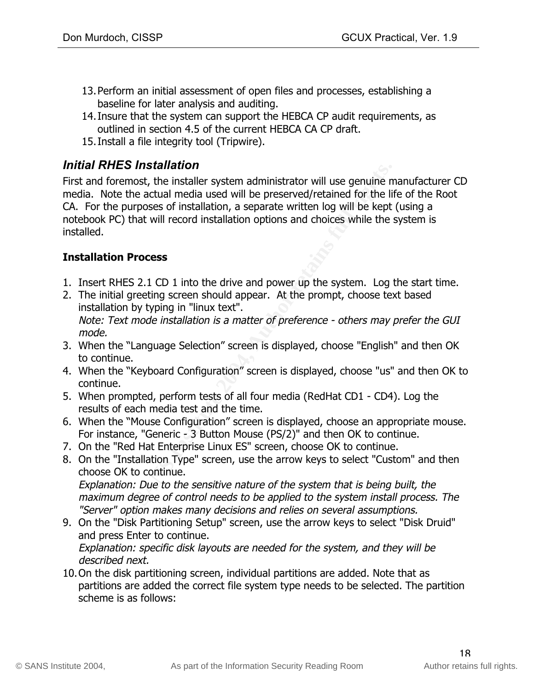- 13.Perform an initial assessment of open files and processes, establishing a baseline for later analysis and auditing.
- 14.Insure that the system can support the HEBCA CP audit requirements, as outlined in section 4.5 of the current HEBCA CA CP draft.
- 15.Install a file integrity tool (Tripwire).

### *Initial RHES Installation*

**ES INStaination**<br> **Encerats, the installer system administrator will use genuine memots, the installer system administrator will be perserved/retained for the life purposes of installation, a separate written log will be** First and foremost, the installer system administrator will use genuine manufacturer CD media. Note the actual media used will be preserved/retained for the life of the Root CA. For the purposes of installation, a separate written log will be kept (using a notebook PC) that will record installation options and choices while the system is installed.

#### **Installation Process**

- 1. Insert RHES 2.1 CD 1 into the drive and power up the system. Log the start time.
- 2. The initial greeting screen should appear. At the prompt, choose text based installation by typing in "linux text". Note: Text mode installation is a matter of preference - others may prefer the GUI mode.
- 3. When the "Language Selection" screen is displayed, choose "English" and then OK to continue.
- 4. When the "Keyboard Configuration" screen is displayed, choose "us" and then OK to continue.
- 5. When prompted, perform tests of all four media (RedHat CD1 CD4). Log the results of each media test and the time.
- 6. When the "Mouse Configuration" screen is displayed, choose an appropriate mouse. For instance, "Generic - 3 Button Mouse (PS/2)" and then OK to continue.
- 7. On the "Red Hat Enterprise Linux ES" screen, choose OK to continue.
- 8. On the "Installation Type" screen, use the arrow keys to select "Custom" and then choose OK to continue. Explanation: Due to the sensitive nature of the system that is being built, the maximum degree of control needs to be applied to the system install process. The "Server" option makes many decisions and relies on several assumptions.
- 9. On the "Disk Partitioning Setup" screen, use the arrow keys to select "Disk Druid" and press Enter to continue. Explanation: specific disk layouts are needed for the system, and they will be described next.
- 10.On the disk partitioning screen, individual partitions are added. Note that as partitions are added the correct file system type needs to be selected. The partition scheme is as follows: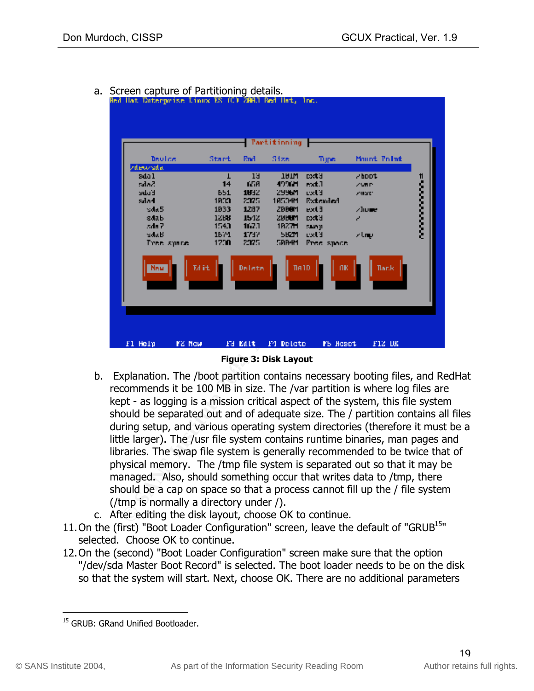- **Tartitioning** -Mount, Point Devloe Start Rad Size Tijpe. **Extractant Contains Figure 3:** Authorize the state of the state of the state of the state of the state of the state of the state of the state of the state of the state of the state of the state of the state of the state o **New Services**
- a. Screen capture of Partitioning details.<br>The llat Daterprise Linux ES (C) 200.1 Red llat, Inc.



- b. Explanation. The /boot partition contains necessary booting files, and RedHat recommends it be 100 MB in size. The /var partition is where log files are kept - as logging is a mission critical aspect of the system, this file system should be separated out and of adequate size. The / partition contains all files during setup, and various operating system directories (therefore it must be a little larger). The /usr file system contains runtime binaries, man pages and libraries. The swap file system is generally recommended to be twice that of physical memory. The /tmp file system is separated out so that it may be managed. Also, should something occur that writes data to /tmp, there should be a cap on space so that a process cannot fill up the / file system (/tmp is normally a directory under /).
	- c. After editing the disk layout, choose OK to continue.
- 11. On the (first) "Boot Loader Configuration" screen, leave the default of "GRUB<sup>15</sup>" selected. Choose OK to continue.
- 12.On the (second) "Boot Loader Configuration" screen make sure that the option "/dev/sda Master Boot Record" is selected. The boot loader needs to be on the disk so that the system will start. Next, choose OK. There are no additional parameters

<sup>&</sup>lt;sup>15</sup> GRUB: GRand Unified Bootloader.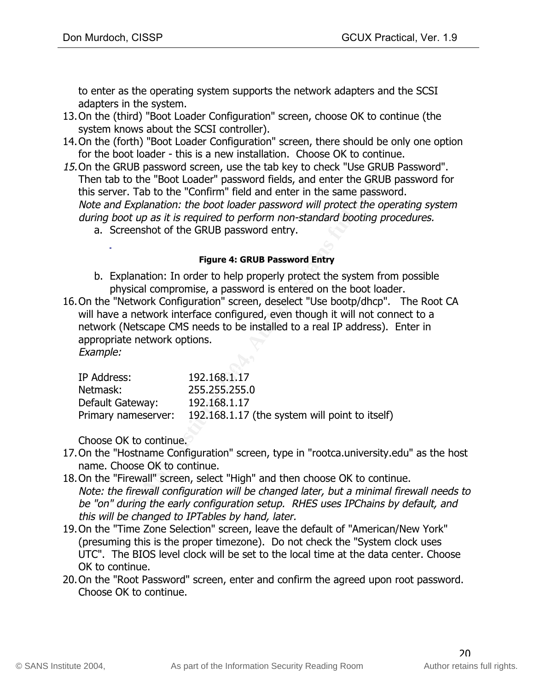to enter as the operating system supports the network adapters and the SCSI adapters in the system.

- 13.On the (third) "Boot Loader Configuration" screen, choose OK to continue (the system knows about the SCSI controller).
- 14.On the (forth) "Boot Loader Configuration" screen, there should be only one option for the boot loader - this is a new installation. Choose OK to continue.
- RUB password screen, use the tab key to check "Use GRUB<br>
to the "Boot Loader" password fields, and enter the GRUB<br>
to the "Confirm" field and enter in the same password<br> *Explanation: the boot loader password will protect* 15.On the GRUB password screen, use the tab key to check "Use GRUB Password". Then tab to the "Boot Loader" password fields, and enter the GRUB password for this server. Tab to the "Confirm" field and enter in the same password. Note and Explanation: the boot loader password will protect the operating system during boot up as it is required to perform non-standard booting procedures.
	- a. Screenshot of the GRUB password entry.

#### **Figure 4: GRUB Password Entry**

- b. Explanation: In order to help properly protect the system from possible physical compromise, a password is entered on the boot loader.
- 16.On the "Network Configuration" screen, deselect "Use bootp/dhcp". The Root CA will have a network interface configured, even though it will not connect to a network (Netscape CMS needs to be installed to a real IP address). Enter in appropriate network options.

Example:

| 192.168.1.17                                                          |
|-----------------------------------------------------------------------|
| 255,255,255.0                                                         |
| 192.168.1.17                                                          |
| 192.168.1.17 (the system will point to itself)<br>Primary nameserver: |
|                                                                       |

Choose OK to continue.

- 17.On the "Hostname Configuration" screen, type in "rootca.university.edu" as the host name. Choose OK to continue.
- 18.On the "Firewall" screen, select "High" and then choose OK to continue. Note: the firewall configuration will be changed later, but a minimal firewall needs to be "on" during the early configuration setup. RHES uses IPChains by default, and this will be changed to IPTables by hand, later.
- 19.On the "Time Zone Selection" screen, leave the default of "American/New York" (presuming this is the proper timezone). Do not check the "System clock uses UTC". The BIOS level clock will be set to the local time at the data center. Choose OK to continue.
- 20.On the "Root Password" screen, enter and confirm the agreed upon root password. Choose OK to continue.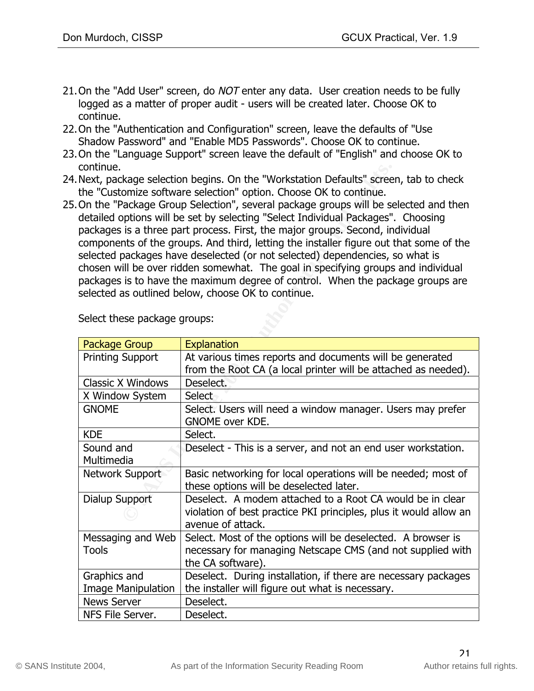- 21. On the "Add User" screen, do NOT enter any data. User creation needs to be fully logged as a matter of proper audit - users will be created later. Choose OK to continue.
- 22.On the "Authentication and Configuration" screen, leave the defaults of "Use Shadow Password" and "Enable MD5 Passwords". Choose OK to continue.
- 23.On the "Language Support" screen leave the default of "English" and choose OK to continue.
- 24.Next, package selection begins. On the "Workstation Defaults" screen, tab to check the "Customize software selection" option. Choose OK to continue.
- 25.On the "Package Group Selection", several package groups will be selected and then detailed options will be set by selecting "Select Individual Packages". Choosing packages is a three part process. First, the major groups. Second, individual components of the groups. And third, letting the installer figure out that some of the selected packages have deselected (or not selected) dependencies, so what is chosen will be over ridden somewhat. The goal in specifying groups and individual packages is to have the maximum degree of control. When the package groups are selected as outlined below, choose OK to continue.

| continue.                                                                          |                                                                                        |  |
|------------------------------------------------------------------------------------|----------------------------------------------------------------------------------------|--|
| Next, package selection begins. On the "Workstation Defaults" screen, tab to check |                                                                                        |  |
| the "Customize software selection" option. Choose OK to continue.                  |                                                                                        |  |
|                                                                                    | On the "Package Group Selection", several package groups will be selected and then     |  |
|                                                                                    | detailed options will be set by selecting "Select Individual Packages". Choosing       |  |
|                                                                                    | packages is a three part process. First, the major groups. Second, individual          |  |
|                                                                                    |                                                                                        |  |
|                                                                                    | components of the groups. And third, letting the installer figure out that some of the |  |
|                                                                                    | selected packages have deselected (or not selected) dependencies, so what is           |  |
|                                                                                    | chosen will be over ridden somewhat. The goal in specifying groups and individual      |  |
|                                                                                    | packages is to have the maximum degree of control. When the package groups are         |  |
|                                                                                    | selected as outlined below, choose OK to continue.                                     |  |
|                                                                                    |                                                                                        |  |
|                                                                                    |                                                                                        |  |
| Select these package groups:                                                       |                                                                                        |  |
|                                                                                    |                                                                                        |  |
| <b>Package Group</b>                                                               | <b>Explanation</b>                                                                     |  |
| <b>Printing Support</b>                                                            | At various times reports and documents will be generated                               |  |
|                                                                                    | from the Root CA (a local printer will be attached as needed).                         |  |
| <b>Classic X Windows</b>                                                           | Deselect.                                                                              |  |
| X Window System                                                                    | Select                                                                                 |  |
| <b>GNOME</b>                                                                       | Select. Users will need a window manager. Users may prefer                             |  |
|                                                                                    | <b>GNOME over KDE.</b>                                                                 |  |
| <b>KDE</b>                                                                         | Select.                                                                                |  |
| Sound and                                                                          | Deselect - This is a server, and not an end user workstation.                          |  |
| Multimedia                                                                         |                                                                                        |  |
| Network Support                                                                    | Basic networking for local operations will be needed; most of                          |  |
|                                                                                    | these options will be deselected later.                                                |  |
| Dialup Support                                                                     | Deselect. A modem attached to a Root CA would be in clear                              |  |
|                                                                                    | violation of best practice PKI principles, plus it would allow an                      |  |
|                                                                                    | avenue of attack.                                                                      |  |
| Messaging and Web                                                                  | Select. Most of the options will be deselected. A browser is                           |  |
| <b>Tools</b>                                                                       | necessary for managing Netscape CMS (and not supplied with                             |  |
|                                                                                    | the CA software).                                                                      |  |
| Graphics and                                                                       | Deselect. During installation, if there are necessary packages                         |  |
| <b>Image Manipulation</b>                                                          | the installer will figure out what is necessary.                                       |  |
| <b>News Server</b>                                                                 | Deselect.                                                                              |  |
|                                                                                    |                                                                                        |  |
| NFS File Server.                                                                   | Deselect.                                                                              |  |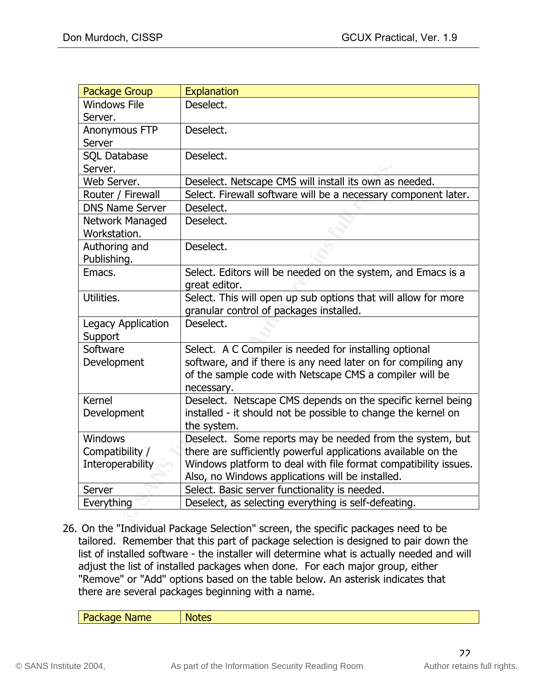| <b>Package Group</b>            | Explanation                                                                                                                                                                                      |
|---------------------------------|--------------------------------------------------------------------------------------------------------------------------------------------------------------------------------------------------|
| <b>Windows File</b><br>Server.  | Deselect.                                                                                                                                                                                        |
| Anonymous FTP<br>Server         | Deselect.                                                                                                                                                                                        |
| <b>SQL Database</b><br>Server.  | Deselect.                                                                                                                                                                                        |
| Web Server.                     | Deselect. Netscape CMS will install its own as needed.                                                                                                                                           |
| Router / Firewall               | Select. Firewall software will be a necessary component later.                                                                                                                                   |
| <b>DNS Name Server</b>          | Deselect.                                                                                                                                                                                        |
| Network Managed<br>Workstation. | Deselect.                                                                                                                                                                                        |
| Authoring and<br>Publishing.    | Deselect.                                                                                                                                                                                        |
| Emacs.                          | Select. Editors will be needed on the system, and Emacs is a<br>great editor.                                                                                                                    |
| Utilities.                      | Select. This will open up sub options that will allow for more<br>granular control of packages installed.                                                                                        |
| Legacy Application<br>Support   | Deselect.                                                                                                                                                                                        |
| Software<br>Development         | Select. A C Compiler is needed for installing optional<br>software, and if there is any need later on for compiling any<br>of the sample code with Netscape CMS a compiler will be<br>necessary. |
| <b>Kernel</b><br>Development    | Deselect. Netscape CMS depends on the specific kernel being<br>installed - it should not be possible to change the kernel on<br>the system.                                                      |
| <b>Windows</b>                  | Deselect. Some reports may be needed from the system, but                                                                                                                                        |
| Compatibility /                 | there are sufficiently powerful applications available on the                                                                                                                                    |
| <b>Interoperability</b>         | Windows platform to deal with file format compatibility issues.<br>Also, no Windows applications will be installed.                                                                              |
| Server                          | Select. Basic server functionality is needed.                                                                                                                                                    |
| Everything                      | Deselect, as selecting everything is self-defeating.                                                                                                                                             |
|                                 |                                                                                                                                                                                                  |

26. On the "Individual Package Selection" screen, the specific packages need to be tailored. Remember that this part of package selection is designed to pair down the list of installed software - the installer will determine what is actually needed and will adjust the list of installed packages when done. For each major group, either "Remove" or "Add" options based on the table below. An asterisk indicates that there are several packages beginning with a name.

| <b>Package Name</b><br>א וו<br>M<br>. |  |
|---------------------------------------|--|
|                                       |  |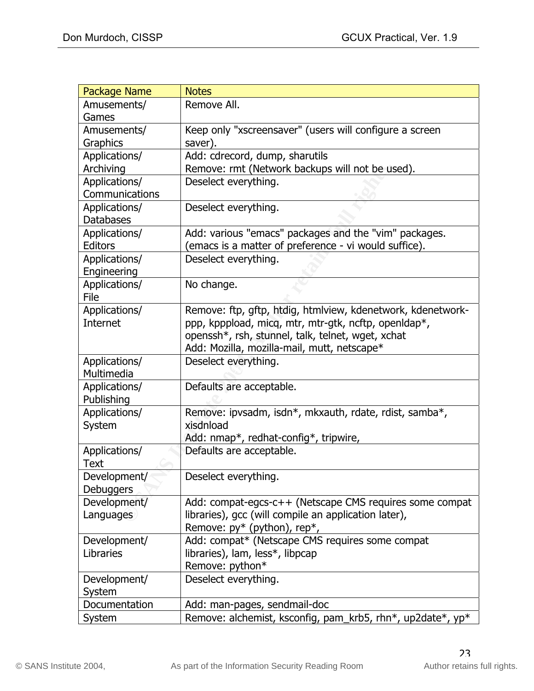| <b>Package Name</b> | <b>Notes</b>                                                |
|---------------------|-------------------------------------------------------------|
| Amusements/         | Remove All.                                                 |
| Games               |                                                             |
| Amusements/         | Keep only "xscreensaver" (users will configure a screen     |
| Graphics            | saver).                                                     |
| Applications/       | Add: cdrecord, dump, sharutils                              |
| Archiving           | Remove: rmt (Network backups will not be used).             |
| Applications/       | Deselect everything.                                        |
| Communications      |                                                             |
| Applications/       | Deselect everything.                                        |
| <b>Databases</b>    |                                                             |
| Applications/       | Add: various "emacs" packages and the "vim" packages.       |
| <b>Editors</b>      | (emacs is a matter of preference - vi would suffice).       |
| Applications/       | Deselect everything.                                        |
| Engineering         |                                                             |
| Applications/       | No change.                                                  |
| File                |                                                             |
| Applications/       | Remove: ftp, gftp, htdig, htmlview, kdenetwork, kdenetwork- |
| Internet            | ppp, kpppload, micq, mtr, mtr-gtk, ncftp, openIdap*,        |
|                     | openssh*, rsh, stunnel, talk, telnet, wget, xchat           |
|                     | Add: Mozilla, mozilla-mail, mutt, netscape*                 |
| Applications/       | Deselect everything.                                        |
| Multimedia          |                                                             |
| Applications/       | Defaults are acceptable.                                    |
| Publishing          |                                                             |
| Applications/       | Remove: ipvsadm, isdn*, mkxauth, rdate, rdist, samba*,      |
| System              | xisdnload                                                   |
|                     | Add: nmap*, redhat-config*, tripwire,                       |
| Applications/       | Defaults are acceptable.                                    |
| Text                |                                                             |
| Development/        | Deselect everything.                                        |
| Debuggers           |                                                             |
| Development/        | Add: compat-egcs-c++ (Netscape CMS requires some compat     |
| Languages           | libraries), gcc (will compile an application later),        |
|                     | Remove: $py^*$ (python), rep*,                              |
| Development/        | Add: compat* (Netscape CMS requires some compat             |
| Libraries           | libraries), lam, less*, libpcap                             |
|                     | Remove: python*                                             |
| Development/        | Deselect everything.                                        |
| System              |                                                             |
| Documentation       | Add: man-pages, sendmail-doc                                |
| System              | Remove: alchemist, ksconfig, pam_krb5, rhn*, up2date*, yp*  |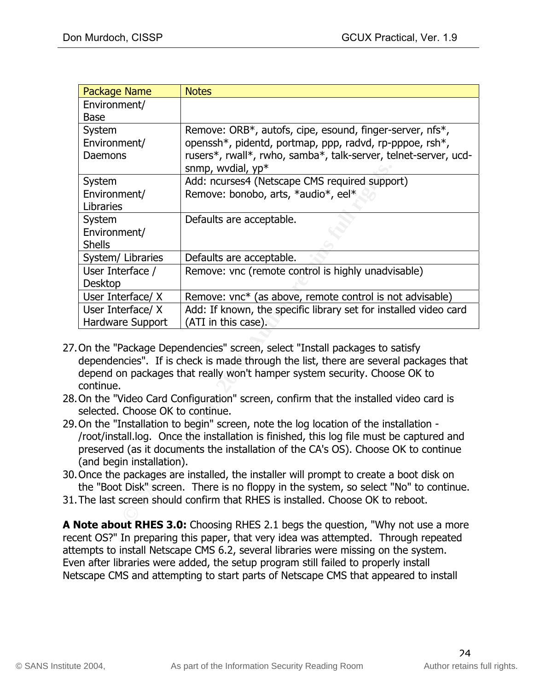| <b>Notes</b>                                                                                                                                                                                                                                                                                                                                                                                                                                                                                                                                                                                                                                                                                                                                                                                                                                                                                                                                                                                                                                                                                                              |  |  |
|---------------------------------------------------------------------------------------------------------------------------------------------------------------------------------------------------------------------------------------------------------------------------------------------------------------------------------------------------------------------------------------------------------------------------------------------------------------------------------------------------------------------------------------------------------------------------------------------------------------------------------------------------------------------------------------------------------------------------------------------------------------------------------------------------------------------------------------------------------------------------------------------------------------------------------------------------------------------------------------------------------------------------------------------------------------------------------------------------------------------------|--|--|
|                                                                                                                                                                                                                                                                                                                                                                                                                                                                                                                                                                                                                                                                                                                                                                                                                                                                                                                                                                                                                                                                                                                           |  |  |
| Remove: ORB*, autofs, cipe, esound, finger-server, nfs*,<br>openssh*, pidentd, portmap, ppp, radvd, rp-pppoe, rsh*,<br>rusers*, rwall*, rwho, samba*, talk-server, telnet-server, ucd-<br>snmp, wvdial, yp*                                                                                                                                                                                                                                                                                                                                                                                                                                                                                                                                                                                                                                                                                                                                                                                                                                                                                                               |  |  |
| Add: ncurses4 (Netscape CMS required support)<br>Remove: bonobo, arts, *audio*, eel*                                                                                                                                                                                                                                                                                                                                                                                                                                                                                                                                                                                                                                                                                                                                                                                                                                                                                                                                                                                                                                      |  |  |
| Defaults are acceptable.                                                                                                                                                                                                                                                                                                                                                                                                                                                                                                                                                                                                                                                                                                                                                                                                                                                                                                                                                                                                                                                                                                  |  |  |
| Defaults are acceptable.                                                                                                                                                                                                                                                                                                                                                                                                                                                                                                                                                                                                                                                                                                                                                                                                                                                                                                                                                                                                                                                                                                  |  |  |
| Remove: vnc (remote control is highly unadvisable)                                                                                                                                                                                                                                                                                                                                                                                                                                                                                                                                                                                                                                                                                                                                                                                                                                                                                                                                                                                                                                                                        |  |  |
| Remove: vnc* (as above, remote control is not advisable)                                                                                                                                                                                                                                                                                                                                                                                                                                                                                                                                                                                                                                                                                                                                                                                                                                                                                                                                                                                                                                                                  |  |  |
| Add: If known, the specific library set for installed video card<br>(ATI in this case).                                                                                                                                                                                                                                                                                                                                                                                                                                                                                                                                                                                                                                                                                                                                                                                                                                                                                                                                                                                                                                   |  |  |
| Hardware Support<br>On the "Package Dependencies" screen, select "Install packages to satisfy<br>dependencies". If is check is made through the list, there are several packages that<br>depend on packages that really won't hamper system security. Choose OK to<br>continue.<br>On the "Video Card Configuration" screen, confirm that the installed video card is<br>selected. Choose OK to continue.<br>On the "Installation to begin" screen, note the log location of the installation -<br>/root/install.log. Once the installation is finished, this log file must be captured and<br>preserved (as it documents the installation of the CA's OS). Choose OK to continue<br>(and begin installation).<br>Once the packages are installed, the installer will prompt to create a boot disk on<br>the "Boot Disk" screen. There is no floppy in the system, so select "No" to continue.<br>The last screen should confirm that RHES is installed. Choose OK to reboot.<br><b>IFC 3.0.</b> Chassing DUEC 3.1 hours the question $\frac{  [M  _{\text{out}} + \text{out}}{  [M  _{\text{out}} + \text{out}}]^{1/2}}$ |  |  |
|                                                                                                                                                                                                                                                                                                                                                                                                                                                                                                                                                                                                                                                                                                                                                                                                                                                                                                                                                                                                                                                                                                                           |  |  |

- depend on packages that really won't hamper system security. Choose OK to 27.On the "Package Dependencies" screen, select "Install packages to satisfy dependencies". If is check is made through the list, there are several packages that continue.
- 28.On the "Video Card Configuration" screen, confirm that the installed video card is selected. Choose OK to continue.
- 29.On the "Installation to begin" screen, note the log location of the installation /root/install.log. Once the installation is finished, this log file must be captured and preserved (as it documents the installation of the CA's OS). Choose OK to continue (and begin installation).
- 30.Once the packages are installed, the installer will prompt to create a boot disk on the "Boot Disk" screen. There is no floppy in the system, so select "No" to continue.
- 31.The last screen should confirm that RHES is installed. Choose OK to reboot.

**A Note about RHES 3.0:** Choosing RHES 2.1 begs the question, "Why not use a more recent OS?" In preparing this paper, that very idea was attempted. Through repeated attempts to install Netscape CMS 6.2, several libraries were missing on the system. Even after libraries were added, the setup program still failed to properly install Netscape CMS and attempting to start parts of Netscape CMS that appeared to install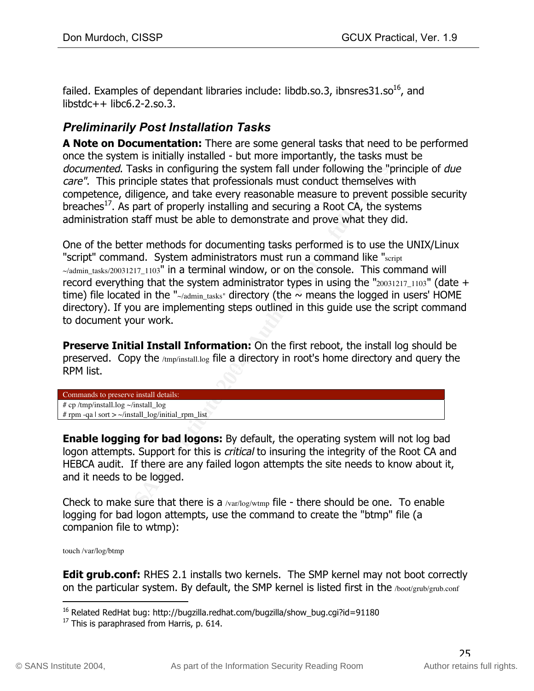failed. Examples of dependant libraries include: libdb.so.3, ibnsres $31.$ so<sup>16</sup>, and  $libstdc++ libc6.2-2.$ so.3.

### *Preliminarily Post Installation Tasks*

**A Note on Documentation:** There are some general tasks that need to be performed once the system is initially installed - but more importantly, the tasks must be documented. Tasks in configuring the system fall under following the "principle of due care". This principle states that professionals must conduct themselves with competence, diligence, and take every reasonable measure to prevent possible security breaches<sup>17</sup>. As part of properly installing and securing a Root CA, the systems administration staff must be able to demonstrate and prove what they did.

Constrained the system fall under following the "principle states that professionals must conduct themselves diajignce, and take every reasonable measure to prevent pass conduct the system of properly installing and securi One of the better methods for documenting tasks performed is to use the UNIX/Linux "script" command. System administrators must run a command like "script"  $\sim$ /admin\_tasks/20031217\_1103" in a terminal window, or on the console. This command will record everything that the system administrator types in using the " $20031217_1103$ " (date + time) file located in the " $\sim$ /admin\_tasks" directory (the  $\sim$  means the logged in users' HOME directory). If you are implementing steps outlined in this guide use the script command to document your work.

 $\mathsf{A}$  list. **Preserve Initial Install Information:** On the first reboot, the install log should be preserved. Copy the /tmp/install.log file a directory in root's home directory and query the RPM list.

Commands to preserve install details: # cp /tmp/install.log ~/install\_log # rpm -qa | sort >  $\sim$ /install\_log/initial\_rpm\_list

**Enable logging for bad logons:** By default, the operating system will not log bad logon attempts. Support for this is *critical* to insuring the integrity of the Root CA and HEBCA audit. If there are any failed logon attempts the site needs to know about it, and it needs to be logged.

Check to make sure that there is a  $\sqrt{x}$  /var/log/wtmp file - there should be one. To enable logging for bad logon attempts, use the command to create the "btmp" file (a companion file to wtmp):

touch /var/log/btmp

**Edit grub.conf:** RHES 2.1 installs two kernels. The SMP kernel may not boot correctly on the particular system. By default, the SMP kernel is listed first in the /boot/grub/grub.conf

<sup>&</sup>lt;sup>16</sup> Related RedHat bug: http://bugzilla.redhat.com/bugzilla/show\_bug.cgi?id=91180

 $17$  This is paraphrased from Harris, p. 614.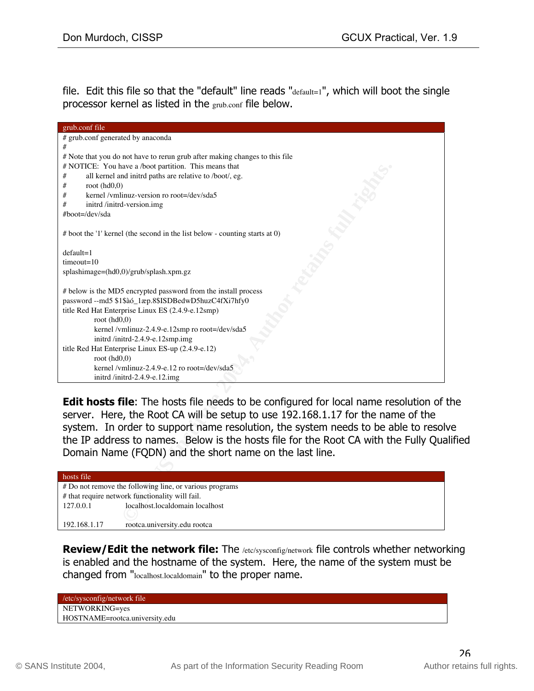file. Edit this file so that the "default" line reads " $\text{default}=1$ ", which will boot the single processor kernel as listed in the grub.conf file below.

| grub.conf file                                                                                                                                                                                                                                                                                                                                                                                                       |
|----------------------------------------------------------------------------------------------------------------------------------------------------------------------------------------------------------------------------------------------------------------------------------------------------------------------------------------------------------------------------------------------------------------------|
| # grub.conf generated by anaconda                                                                                                                                                                                                                                                                                                                                                                                    |
| #                                                                                                                                                                                                                                                                                                                                                                                                                    |
| # Note that you do not have to rerun grub after making changes to this file                                                                                                                                                                                                                                                                                                                                          |
| # NOTICE: You have a /boot partition. This means that                                                                                                                                                                                                                                                                                                                                                                |
| all kernel and initrd paths are relative to /boot/, eg.<br>#                                                                                                                                                                                                                                                                                                                                                         |
| root $(hd0,0)$<br>#                                                                                                                                                                                                                                                                                                                                                                                                  |
| kernel /vmlinuz-version ro root=/dev/sda5<br>#                                                                                                                                                                                                                                                                                                                                                                       |
| initrd /initrd-version.img<br>#                                                                                                                                                                                                                                                                                                                                                                                      |
| #boot=/dev/sda                                                                                                                                                                                                                                                                                                                                                                                                       |
|                                                                                                                                                                                                                                                                                                                                                                                                                      |
| # boot the '1' kernel (the second in the list below - counting starts at 0)                                                                                                                                                                                                                                                                                                                                          |
| $default=1$                                                                                                                                                                                                                                                                                                                                                                                                          |
| $timeout=10$                                                                                                                                                                                                                                                                                                                                                                                                         |
| splashimage=(hd0,0)/grub/splash.xpm.gz                                                                                                                                                                                                                                                                                                                                                                               |
|                                                                                                                                                                                                                                                                                                                                                                                                                      |
|                                                                                                                                                                                                                                                                                                                                                                                                                      |
| # below is the MD5 encrypted password from the install process                                                                                                                                                                                                                                                                                                                                                       |
| password -- md5 \$1\$à6_1æp.8\$ISDBedwD5huzC4fXi7hfy0                                                                                                                                                                                                                                                                                                                                                                |
| title Red Hat Enterprise Linux ES (2.4.9-e.12smp)                                                                                                                                                                                                                                                                                                                                                                    |
| root $(hd0,0)$                                                                                                                                                                                                                                                                                                                                                                                                       |
| kernel /vmlinuz-2.4.9-e.12smp ro root=/dev/sda5                                                                                                                                                                                                                                                                                                                                                                      |
| initrd /initrd-2.4.9-e.12smp.img                                                                                                                                                                                                                                                                                                                                                                                     |
| title Red Hat Enterprise Linux ES-up (2.4.9-e.12)                                                                                                                                                                                                                                                                                                                                                                    |
| root $(hd0,0)$                                                                                                                                                                                                                                                                                                                                                                                                       |
| kernel /vmlinuz-2.4.9-e.12 ro root=/dev/sda5                                                                                                                                                                                                                                                                                                                                                                         |
| initrd /initrd-2.4.9-e.12.img                                                                                                                                                                                                                                                                                                                                                                                        |
|                                                                                                                                                                                                                                                                                                                                                                                                                      |
| <b>Edit hosts file:</b> The hosts file needs to be configured for local name resolution of<br>server. Here, the Root CA will be setup to use 192.168.1.17 for the name of the<br>system. In order to support name resolution, the system needs to be able to resol<br>the IP address to names. Below is the hosts file for the Root CA with the Fully Qua<br>Domain Name (FQDN) and the short name on the last line. |
| hosts file                                                                                                                                                                                                                                                                                                                                                                                                           |
| # Do not remove the following line, or various programs                                                                                                                                                                                                                                                                                                                                                              |
| # that require network functionality will fail.                                                                                                                                                                                                                                                                                                                                                                      |
| localhost.localdomain localhost<br>127.0.0.1                                                                                                                                                                                                                                                                                                                                                                         |
| 00.100117                                                                                                                                                                                                                                                                                                                                                                                                            |

**Edit hosts file**: The hosts file needs to be configured for local name resolution of the server. Here, the Root CA will be setup to use 192.168.1.17 for the name of the system. In order to support name resolution, the system needs to be able to resolve the IP address to names. Below is the hosts file for the Root CA with the Fully Qualified Domain Name (FQDN) and the short name on the last line.

| hosts file   |                                                         |
|--------------|---------------------------------------------------------|
|              | # Do not remove the following line, or various programs |
|              | # that require network functionality will fail.         |
| 127.0.0.1    | localhost.localdomain localhost                         |
|              |                                                         |
| 192.168.1.17 | rootca.university.edu rootca                            |

**Review/Edit the network file:** The /etc/sysconfig/network file controls whether networking is enabled and the hostname of the system. Here, the name of the system must be changed from "localhost.localdomain" to the proper name.

| /etc/sysconfig/network file    |  |
|--------------------------------|--|
| NETWORKING=yes                 |  |
| HOSTNAME=rootca.university.edu |  |
|                                |  |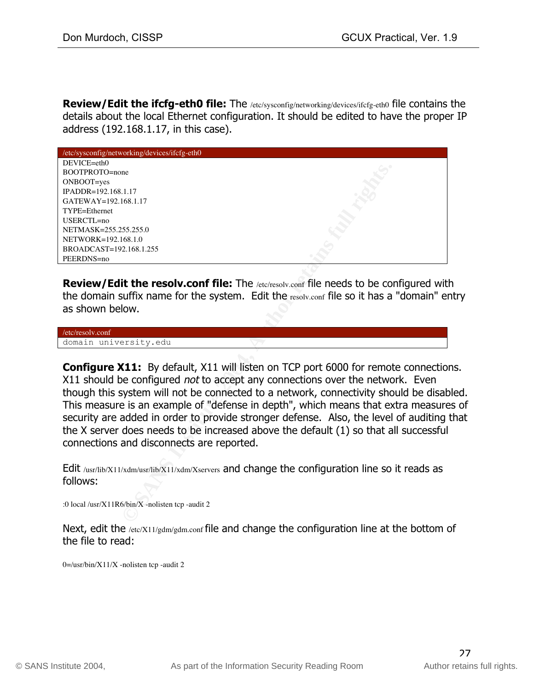**Review/Edit the ifcfg-eth0 file:** The /etc/sysconfig/networking/devices/ifcfg-eth0 file contains the details about the local Ethernet configuration. It should be edited to have the proper IP address (192.168.1.17, in this case).

| /etc/sysconfig/networking/devices/ifcfg-eth0     |                                                                                                 |
|--------------------------------------------------|-------------------------------------------------------------------------------------------------|
| DEVICE=eth0                                      |                                                                                                 |
| BOOTPROTO=none                                   |                                                                                                 |
| ONBOOT=yes                                       |                                                                                                 |
| IPADDR=192.168.1.17                              |                                                                                                 |
| GATEWAY=192.168.1.17                             |                                                                                                 |
| TYPE=Ethernet                                    |                                                                                                 |
| USERCTL=no                                       |                                                                                                 |
| NETMASK=255.255.255.0                            |                                                                                                 |
| NETWORK=192.168.1.0                              |                                                                                                 |
| BROADCAST=192.168.1.255                          |                                                                                                 |
| PEERDNS=no                                       |                                                                                                 |
|                                                  |                                                                                                 |
|                                                  | <b>Review/Edit the resolv.conf file:</b> The /etc/resolv.conf file needs to be configured with  |
|                                                  | the domain suffix name for the system. Edit the resolv.conf file so it has a "domain" er        |
|                                                  |                                                                                                 |
| as shown below.                                  |                                                                                                 |
|                                                  |                                                                                                 |
| /etc/resolv.conf                                 |                                                                                                 |
| domain university.edu                            |                                                                                                 |
|                                                  |                                                                                                 |
|                                                  | <b>Configure X11:</b> By default, X11 will listen on TCP port 6000 for remote connection        |
|                                                  |                                                                                                 |
|                                                  | X11 should be configured not to accept any connections over the network. Even                   |
|                                                  | though this system will not be connected to a network, connectivity should be disab             |
|                                                  | This measure is an example of "defense in depth", which means that extra measure                |
|                                                  |                                                                                                 |
|                                                  | security are added in order to provide stronger defense. Also, the level of auditing            |
|                                                  | the X server does needs to be increased above the default (1) so that all successful            |
| connections and disconnects are reported.        |                                                                                                 |
|                                                  |                                                                                                 |
|                                                  |                                                                                                 |
|                                                  | Edit /usr/lib/X11/xdm/usr/lib/X11/xdm/Xservers and change the configuration line so it reads as |
| follows:                                         |                                                                                                 |
|                                                  |                                                                                                 |
| :0 local /usr/X11R6/bin/X -nolisten tcp -audit 2 |                                                                                                 |
|                                                  |                                                                                                 |
|                                                  |                                                                                                 |

**Configure X11:** By default, X11 will listen on TCP port 6000 for remote connections. X11 should be configured not to accept any connections over the network. Even though this system will not be connected to a network, connectivity should be disabled. This measure is an example of "defense in depth", which means that extra measures of security are added in order to provide stronger defense. Also, the level of auditing that the X server does needs to be increased above the default (1) so that all successful connections and disconnects are reported.

Next, edit the /etc/X11/gdm/gdm.conf file and change the configuration line at the bottom of the file to read:

 $0 = /$ usr/bin/X11/X -nolisten tcp -audit 2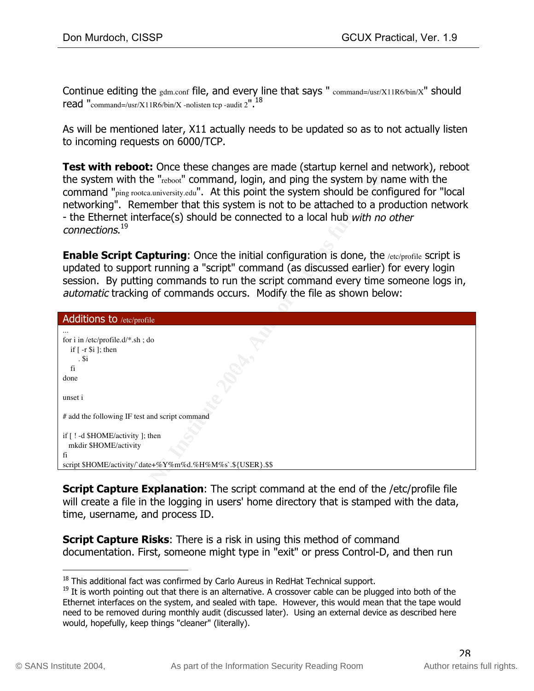Continue editing the  $gdm.com$  file, and every line that says "  $command='usr/X11R6/bin/X"$  should read "command=/usr/X11R6/bin/X -nolisten tcp -audit  $2''$ .<sup>18</sup>

As will be mentioned later, X11 actually needs to be updated so as to not actually listen to incoming requests on 6000/TCP.

| <b>Test with reboot:</b> Once these changes are made (startup kernel and network), reboot<br>the system with the "reboot" command, login, and ping the system by name with the<br>command "ping rootca.university.edu". At this point the system should be configured for "local<br>networking". Remember that this system is not to be attached to a production network<br>- the Ethernet interface(s) should be connected to a local hub with no other<br>connections. <sup>19</sup> |  |  |
|----------------------------------------------------------------------------------------------------------------------------------------------------------------------------------------------------------------------------------------------------------------------------------------------------------------------------------------------------------------------------------------------------------------------------------------------------------------------------------------|--|--|
| <b>Enable Script Capturing:</b> Once the initial configuration is done, the /etc/profile script is<br>updated to support running a "script" command (as discussed earlier) for every login<br>session. By putting commands to run the script command every time someone logs in,<br>automatic tracking of commands occurs. Modify the file as shown below:                                                                                                                             |  |  |
| Additions to /etc/profile                                                                                                                                                                                                                                                                                                                                                                                                                                                              |  |  |
| for i in /etc/profile.d/*.sh; do<br>if $[-r \$ i; then<br>. \$i<br>fi<br>done<br>unset i                                                                                                                                                                                                                                                                                                                                                                                               |  |  |
| # add the following IF test and script command                                                                                                                                                                                                                                                                                                                                                                                                                                         |  |  |
| if [ ! -d \$HOME/activity ]; then<br>mkdir \$HOME/activity<br>fi<br>script \$HOME/activity/`date+%Y%m%d.%H%M%s`.\${USER}.\$\$                                                                                                                                                                                                                                                                                                                                                          |  |  |
|                                                                                                                                                                                                                                                                                                                                                                                                                                                                                        |  |  |
| <b>Script Capture Explanation:</b> The script command at the end of the /etc/profile file<br>will create a file in the logging in users' home directory that is stamped with the data,<br>time, username, and process ID.                                                                                                                                                                                                                                                              |  |  |

**Script Capture Risks:** There is a risk in using this method of command documentation. First, someone might type in "exit" or press Control-D, and then run

 $18$  This additional fact was confirmed by Carlo Aureus in RedHat Technical support.

<sup>&</sup>lt;sup>19</sup> It is worth pointing out that there is an alternative. A crossover cable can be plugged into both of the Ethernet interfaces on the system, and sealed with tape. However, this would mean that the tape would need to be removed during monthly audit (discussed later). Using an external device as described here would, hopefully, keep things "cleaner" (literally).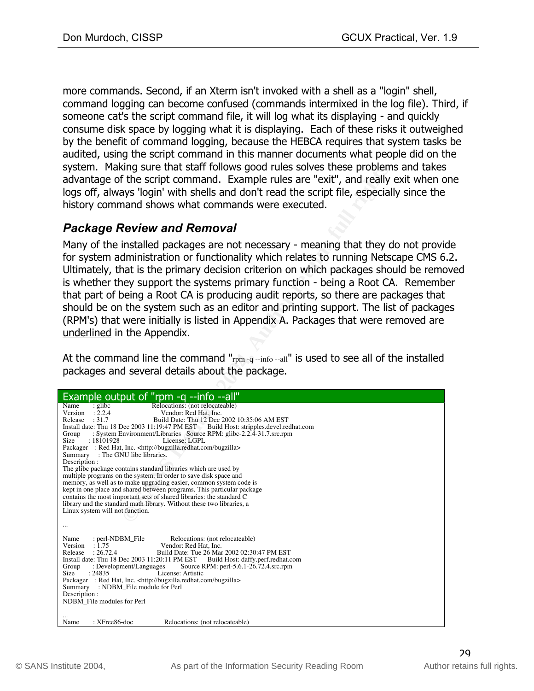more commands. Second, if an Xterm isn't invoked with a shell as a "login" shell, command logging can become confused (commands intermixed in the log file). Third, if someone cat's the script command file, it will log what its displaying - and quickly consume disk space by logging what it is displaying. Each of these risks it outweighed by the benefit of command logging, because the HEBCA requires that system tasks be audited, using the script command in this manner documents what people did on the system. Making sure that staff follows good rules solves these problems and takes advantage of the script command. Example rules are "exit", and really exit when one logs off, always 'login' with shells and don't read the script file, especially since the history command shows what commands were executed.

#### *Package Review and Removal*

Many of the installed packages are not necessary - meaning that they do not provide for system administration or functionality which relates to running Netscape CMS 6.2. Ultimately, that is the primary decision criterion on which packages should be removed is whether they support the systems primary function - being a Root CA. Remember that part of being a Root CA is producing audit reports, so there are packages that should be on the system such as an editor and printing support. The list of packages (RPM's) that were initially is listed in Appendix A. Packages that were removed are underlined in the Appendix.

| system. Making sure that staff follows good rules solves these problems and take<br>advantage of the script command. Example rules are "exit", and really exit when<br>logs off, always 'login' with shells and don't read the script file, especially since the<br>history command shows what commands were executed.                                                                                                                                                                                                                                                                                                                                                                                                                                                                                                                                                                                                                                                                                        |
|---------------------------------------------------------------------------------------------------------------------------------------------------------------------------------------------------------------------------------------------------------------------------------------------------------------------------------------------------------------------------------------------------------------------------------------------------------------------------------------------------------------------------------------------------------------------------------------------------------------------------------------------------------------------------------------------------------------------------------------------------------------------------------------------------------------------------------------------------------------------------------------------------------------------------------------------------------------------------------------------------------------|
| <b>Package Review and Removal</b><br>Many of the installed packages are not necessary - meaning that they do not prov<br>for system administration or functionality which relates to running Netscape CMS<br>Ultimately, that is the primary decision criterion on which packages should be rem<br>is whether they support the systems primary function - being a Root CA. Rememl<br>that part of being a Root CA is producing audit reports, so there are packages tha<br>should be on the system such as an editor and printing support. The list of package<br>(RPM's) that were initially is listed in Appendix A. Packages that were removed are<br>underlined in the Appendix.                                                                                                                                                                                                                                                                                                                          |
| At the command line the command " $r_{\text{pm-q}}$ -info--all" is used to see all of the installed<br>packages and several details about the package.                                                                                                                                                                                                                                                                                                                                                                                                                                                                                                                                                                                                                                                                                                                                                                                                                                                        |
| Example output of "rpm -q --info --all"                                                                                                                                                                                                                                                                                                                                                                                                                                                                                                                                                                                                                                                                                                                                                                                                                                                                                                                                                                       |
| Relocations: (not relocateable)<br>: glibc<br>Name<br>: 2.2.4<br>Version<br>Vendor: Red Hat, Inc.<br>Release<br>: 31.7<br>Build Date: Thu 12 Dec 2002 10:35:06 AM EST<br>Install date: Thu 18 Dec 2003 11:19:47 PM EST Build Host: stripples.devel.redhat.com<br>: System Environment/Libraries Source RPM: glibc-2.2.4-31.7.src.rpm<br>Group<br>Size<br>: 18101928<br>License: LGPL<br>Packager : Red Hat, Inc. <http: bugzilla="" bugzilla.redhat.com=""><br/>Summary : The GNU libe libraries.<br/>Description :<br/>The glibc package contains standard libraries which are used by<br/>multiple programs on the system. In order to save disk space and<br/>memory, as well as to make upgrading easier, common system code is<br/>kept in one place and shared between programs. This particular package<br/>contains the most important sets of shared libraries: the standard C<br/>library and the standard math library. Without these two libraries, a<br/>Linux system will not function.</http:> |
|                                                                                                                                                                                                                                                                                                                                                                                                                                                                                                                                                                                                                                                                                                                                                                                                                                                                                                                                                                                                               |
| : perl-NDBM_File<br>Relocations: (not relocateable)<br>Name<br>Version<br>: 1.75<br>Vendor: Red Hat, Inc.<br>: 26.72.4<br>Build Date: Tue 26 Mar 2002 02:30:47 PM EST<br>Release<br>Install date: Thu 18 Dec 2003 11:20:11 PM EST<br>Build Host: daffy.perf.redhat.com<br>Group<br>: Development/Languages<br>Source RPM: perl-5.6.1-26.72.4.src.rpm<br>Size<br>License: Artistic<br>: 24835<br>Packager: Red Hat, Inc. <http: bugzilla="" bugzilla.redhat.com=""><br/>Summary<br/>: NDBM File module for Perl<br/>Description :<br/>NDBM_File modules for Perl</http:>                                                                                                                                                                                                                                                                                                                                                                                                                                       |
| : $XFree86$ -doc<br>Relocations: (not relocateable)<br>Name                                                                                                                                                                                                                                                                                                                                                                                                                                                                                                                                                                                                                                                                                                                                                                                                                                                                                                                                                   |
|                                                                                                                                                                                                                                                                                                                                                                                                                                                                                                                                                                                                                                                                                                                                                                                                                                                                                                                                                                                                               |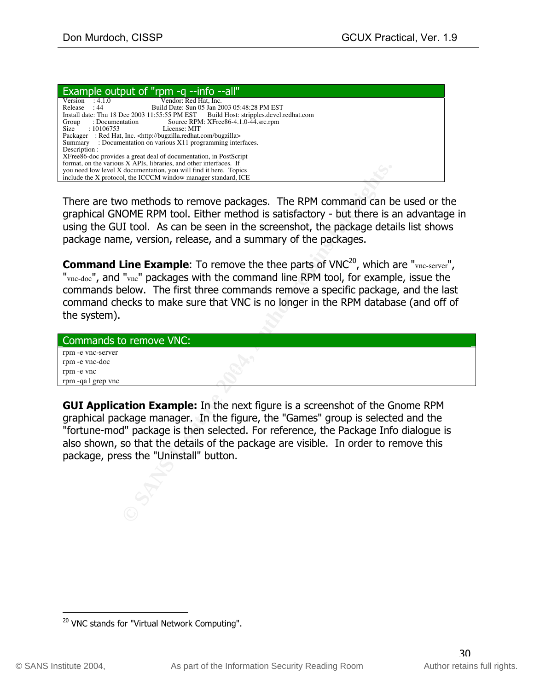| Example output of "rpm -q --info --all"                                              |
|--------------------------------------------------------------------------------------|
| Version<br>Vendor: Red Hat, Inc.<br>: 4.1.0                                          |
| Build Date: Sun 05 Jan 2003 05:48:28 PM EST<br>Release<br>: 44                       |
| Install date: Thu 18 Dec 2003 11:55:55 PM EST Build Host: stripples.devel.redhat.com |
| Source RPM: XFree86-4.1.0-44.src.rpm<br>: Documentation<br>Group                     |
| Size : $10106753$<br>License: MIT                                                    |
| Packager : Red Hat, Inc. <http: bugzilla="" bugzilla.redhat.com=""></http:>          |
| Summary : Documentation on various X11 programming interfaces.                       |
| Description :                                                                        |
| XFree86-doc provides a great deal of documentation, in PostScript                    |
| format, on the various X APIs, libraries, and other interfaces. If                   |
| you need low level X documentation, you will find it here. Topics                    |
| include the X protocol, the ICCCM window manager standard, ICE                       |

There are two methods to remove packages. The RPM command can be used or the graphical GNOME RPM tool. Either method is satisfactory - but there is an advantage in using the GUI tool. As can be seen in the screenshot, the package details list shows package name, version, release, and a summary of the packages.

Commandian, business translation The RPM command can b<br>
An An ECCM whow manager standar ICE<br>
O methods to remove packages. The RPM command can b<br>
DOME RPM tool. Either method is satisfactory - but there is a<br>
II tool. As c **Command Line Example:** To remove the thee parts of VNC<sup>20</sup>, which are "vnc-server", "vnc-doc", and "vnc" packages with the command line RPM tool, for example, issue the commands below. The first three commands remove a specific package, and the last command checks to make sure that VNC is no longer in the RPM database (and off of the system).

| Commands to remove VNC: |  |
|-------------------------|--|
| rpm -e vnc-server       |  |
| rpm -e vnc-doc          |  |
| rpm -e vnc              |  |
| rpm -qa   grep vnc      |  |

**GUI Application Example:** In the next figure is a screenshot of the Gnome RPM graphical package manager. In the figure, the "Games" group is selected and the "fortune-mod" package is then selected. For reference, the Package Info dialogue is also shown, so that the details of the package are visible. In order to remove this package, press the "Uninstall" button.

<sup>&</sup>lt;sup>20</sup> VNC stands for "Virtual Network Computing".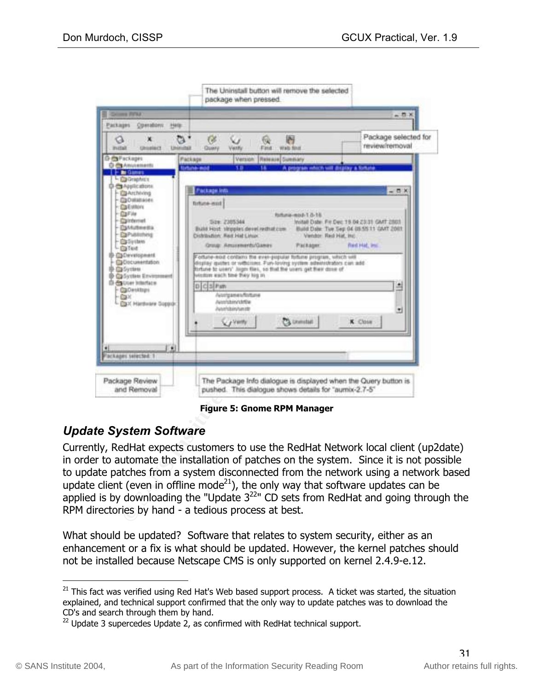

**Figure 5: Gnome RPM Manager**

# *Update System Software*

Currently, RedHat expects customers to use the RedHat Network local client (up2date) in order to automate the installation of patches on the system. Since it is not possible to update patches from a system disconnected from the network using a network based update client (even in offline mode<sup>21</sup>), the only way that software updates can be applied is by downloading the "Update  $3^{22}$ " CD sets from RedHat and going through the RPM directories by hand - a tedious process at best.

What should be updated? Software that relates to system security, either as an enhancement or a fix is what should be updated. However, the kernel patches should not be installed because Netscape CMS is only supported on kernel 2.4.9-e.12.

<sup>&</sup>lt;sup>21</sup> This fact was verified using Red Hat's Web based support process. A ticket was started, the situation explained, and technical support confirmed that the only way to update patches was to download the CD's and search through them by hand.

 $^{22}$  Update 3 supercedes Update 2, as confirmed with RedHat technical support.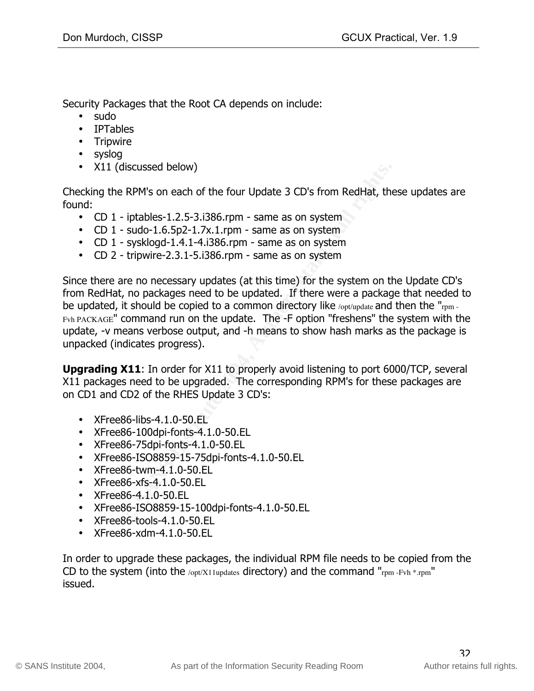Security Packages that the Root CA depends on include:

- sudo
- IPTables
- Tripwire
- syslog
- X11 (discussed below)

Checking the RPM's on each of the four Update 3 CD's from RedHat, these updates are found:

- CD 1 iptables-1.2.5-3.i386.rpm same as on system
- CD  $1$  sudo-1.6.5p2-1.7x.1.rpm same as on system
- CD 1 sysklogd-1.4.1-4.i386.rpm same as on system
- CD 2 tripwire-2.3.1-5.i386.rpm same as on system

discussed below)<br>
e RPM's on each of the four Update 3 CD's from RedHat, the<br>
iptables-1.2.5-3.i386.rpm - same as on system<br>
– sudo-1.6.5p2-1.7x.1.rpm - same as on system<br>
– sysklogd-1.4.1-4.i386.rpm - same as on system<br>
t Since there are no necessary updates (at this time) for the system on the Update CD's from RedHat, no packages need to be updated. If there were a package that needed to be updated, it should be copied to a common directory like /opt/update and then the "rpm -Fvh PACKAGE" command run on the update. The -F option "freshens" the system with the update, -v means verbose output, and -h means to show hash marks as the package is unpacked (indicates progress).

**Upgrading X11**: In order for X11 to properly avoid listening to port 6000/TCP, several X11 packages need to be upgraded. The corresponding RPM's for these packages are on CD1 and CD2 of the RHES Update 3 CD's:

- XFree86-libs-4.1.0-50.EL
- XFree86-100dpi-fonts-4.1.0-50.EL
- XFree86-75dpi-fonts-4.1.0-50.EL
- XFree86-ISO8859-15-75dpi-fonts-4.1.0-50.EL
- XFree86-twm-4.1.0-50.EL
- XFree86-xfs-4.1.0-50.EL
- XFree86-4.1.0-50.EL
- XFree86-ISO8859-15-100dpi-fonts-4.1.0-50.EL
- XFree86-tools-4.1.0-50.EL
- XFree86-xdm-4.1.0-50.EL

In order to upgrade these packages, the individual RPM file needs to be copied from the CD to the system (into the /opt/X11updates directory) and the command "rpm -Fvh  $*$ .rpm" issued.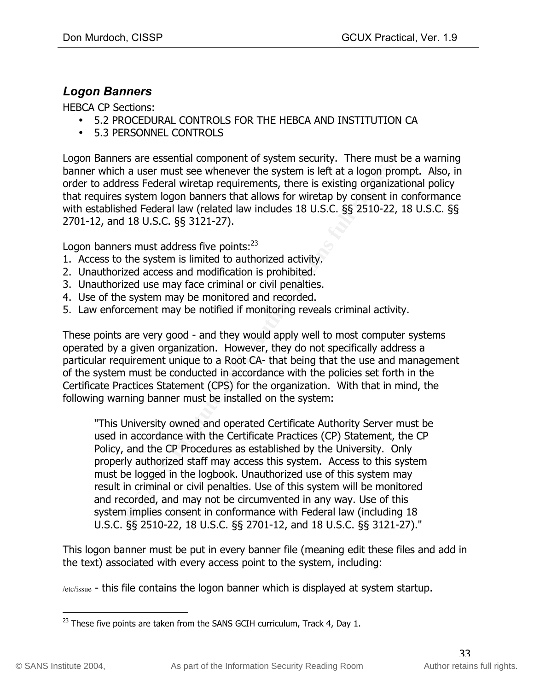#### *Logon Banners*

HEBCA CP Sections:

- 5.2 PROCEDURAL CONTROLS FOR THE HEBCA AND INSTITUTION CA
- 5.3 PERSONNEL CONTROLS

Logon Banners are essential component of system security. There must be a warning banner which a user must see whenever the system is left at a logon prompt. Also, in order to address Federal wiretap requirements, there is existing organizational policy that requires system logon banners that allows for wiretap by consent in conformance with established Federal law (related law includes 18 U.S.C. §§ 2510-22, 18 U.S.C. §§ 2701-12, and 18 U.S.C. §§ 3121-27).

Logon banners must address five points:<sup>23</sup>

- 1. Access to the system is limited to authorized activity.
- 2. Unauthorized access and modification is prohibited.
- 3. Unauthorized use may face criminal or civil penalties.
- 4. Use of the system may be monitored and recorded.
- 5. Law enforcement may be notified if monitoring reveals criminal activity.

of the system must be conducted in accordance with the policies set forth in the These points are very good - and they would apply well to most computer systems operated by a given organization. However, they do not specifically address a particular requirement unique to a Root CA- that being that the use and management Certificate Practices Statement (CPS) for the organization. With that in mind, the following warning banner must be installed on the system:

h a user must see whenever the system is left at a logon pr<br>
ress Federal wiretar prequirements, there is existing organizs<br>
system logon banners that allows for wiretap by consent in<br>
thed Federal law (related law include "This University owned and operated Certificate Authority Server must be used in accordance with the Certificate Practices (CP) Statement, the CP Policy, and the CP Procedures as established by the University. Only properly authorized staff may access this system. Access to this system must be logged in the logbook. Unauthorized use of this system may result in criminal or civil penalties. Use of this system will be monitored and recorded, and may not be circumvented in any way. Use of this system implies consent in conformance with Federal law (including 18 U.S.C. §§ 2510-22, 18 U.S.C. §§ 2701-12, and 18 U.S.C. §§ 3121-27)."

This logon banner must be put in every banner file (meaning edit these files and add in the text) associated with every access point to the system, including:

/etc/issue - this file contains the logon banner which is displayed at system startup.

 $^{23}$  These five points are taken from the SANS GCIH curriculum, Track 4, Day 1.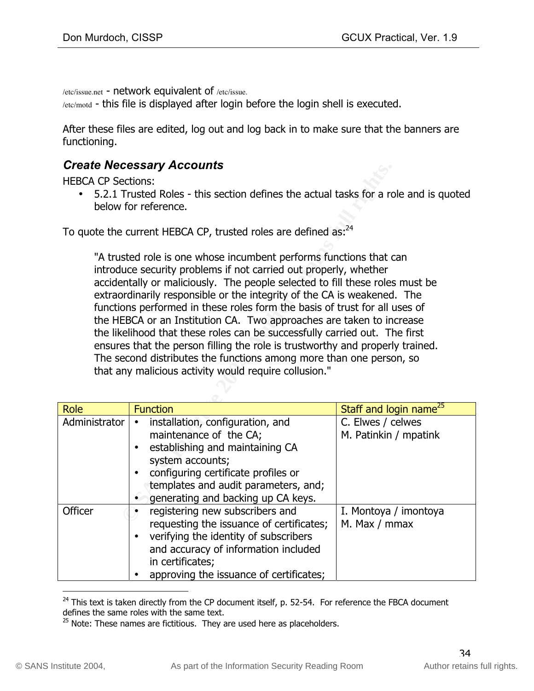/etc/issue.net - network equivalent of /etc/issue.

/etc/motd - this file is displayed after login before the login shell is executed.

After these files are edited, log out and log back in to make sure that the banners are functioning.

#### *Create Necessary Accounts*

HEBCA CP Sections:

• 5.2.1 Trusted Roles - this section defines the actual tasks for a role and is quoted below for reference.

To quote the current HEBCA CP, trusted roles are defined as:<sup>24</sup>

**CONDITE:**<br>
Sections:<br>
Trusted Roles - this section defines the actual tasks for a rc<br>
for reference.<br>
<br>
Le current HEBCA CP, trusted roles are defined as.<sup>24</sup><br>
sted role is one whose incumbent performs functions that<br>
the that any malicious activity would require collusion." "A trusted role is one whose incumbent performs functions that can introduce security problems if not carried out properly, whether accidentally or maliciously. The people selected to fill these roles must be extraordinarily responsible or the integrity of the CA is weakened. The functions performed in these roles form the basis of trust for all uses of the HEBCA or an Institution CA. Two approaches are taken to increase the likelihood that these roles can be successfully carried out. The first ensures that the person filling the role is trustworthy and properly trained. The second distributes the functions among more than one person, so

| Role          | <b>Function</b>                                                                                                                                                                                                                        | Staff and login name <sup>25</sup>         |
|---------------|----------------------------------------------------------------------------------------------------------------------------------------------------------------------------------------------------------------------------------------|--------------------------------------------|
| Administrator | installation, configuration, and<br>maintenance of the CA;<br>establishing and maintaining CA<br>system accounts;<br>configuring certificate profiles or<br>templates and audit parameters, and;<br>generating and backing up CA keys. | C. Elwes / celwes<br>M. Patinkin / mpatink |
| Officer       | registering new subscribers and<br>requesting the issuance of certificates;<br>verifying the identity of subscribers<br>and accuracy of information included<br>in certificates;<br>approving the issuance of certificates;            | I. Montoya / imontoya<br>M. Max / mmax     |

 $^{24}$  This text is taken directly from the CP document itself, p. 52-54. For reference the FBCA document defines the same roles with the same text.

 $25$  Note: These names are fictitious. They are used here as placeholders.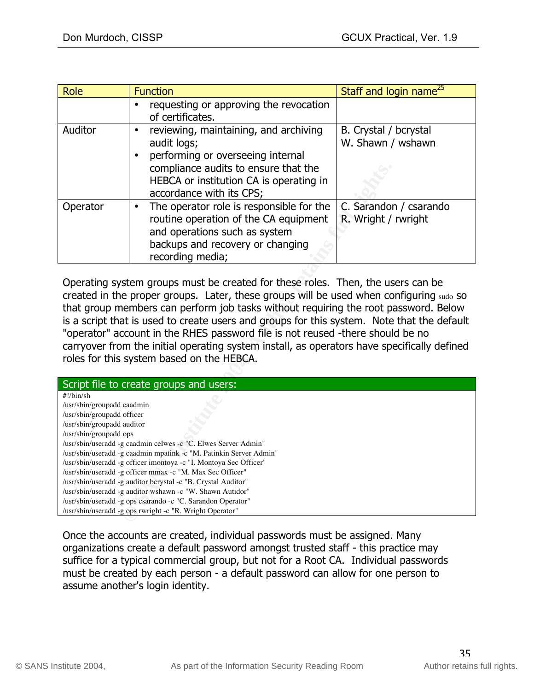| Role     | <b>Function</b>                                                                                                                                                                                          | Staff and login name <sup>25</sup>            |
|----------|----------------------------------------------------------------------------------------------------------------------------------------------------------------------------------------------------------|-----------------------------------------------|
|          | requesting or approving the revocation<br>of certificates.                                                                                                                                               |                                               |
| Auditor  | reviewing, maintaining, and archiving<br>audit logs;<br>performing or overseeing internal<br>compliance audits to ensure that the<br>HEBCA or institution CA is operating in<br>accordance with its CPS; | B. Crystal / bcrystal<br>W. Shawn / wshawn    |
| Operator | The operator role is responsible for the<br>routine operation of the CA equipment<br>and operations such as system<br>backups and recovery or changing<br>recording media;                               | C. Sarandon / csarando<br>R. Wright / rwright |

|                                                                                                                                                                                                                                                                                                                                                                                                                                                                                                                                                                                               | compliance audits to ensure that the<br>HEBCA or institution CA is operating in<br>accordance with its CPS;                                                                                                                                                                                                                                                                                                                                                                                                                     |                                               |  |
|-----------------------------------------------------------------------------------------------------------------------------------------------------------------------------------------------------------------------------------------------------------------------------------------------------------------------------------------------------------------------------------------------------------------------------------------------------------------------------------------------------------------------------------------------------------------------------------------------|---------------------------------------------------------------------------------------------------------------------------------------------------------------------------------------------------------------------------------------------------------------------------------------------------------------------------------------------------------------------------------------------------------------------------------------------------------------------------------------------------------------------------------|-----------------------------------------------|--|
| Operator                                                                                                                                                                                                                                                                                                                                                                                                                                                                                                                                                                                      | The operator role is responsible for the<br>$\bullet$<br>routine operation of the CA equipment<br>and operations such as system<br>backups and recovery or changing<br>recording media;                                                                                                                                                                                                                                                                                                                                         | C. Sarandon / csarando<br>R. Wright / rwright |  |
| Operating system groups must be created for these roles. Then, the users can be<br>created in the proper groups. Later, these groups will be used when configuring sudo so<br>that group members can perform job tasks without requiring the root password. Below<br>is a script that is used to create users and groups for this system. Note that the default<br>"operator" account in the RHES password file is not reused -there should be no<br>carryover from the initial operating system install, as operators have specifically defined<br>roles for this system based on the HEBCA. |                                                                                                                                                                                                                                                                                                                                                                                                                                                                                                                                 |                                               |  |
|                                                                                                                                                                                                                                                                                                                                                                                                                                                                                                                                                                                               | Script file to create groups and users:                                                                                                                                                                                                                                                                                                                                                                                                                                                                                         |                                               |  |
| $\#!/\text{bin}/\text{sh}$<br>/usr/sbin/groupadd caadmin<br>/usr/sbin/groupadd officer<br>/usr/sbin/groupadd auditor<br>/usr/sbin/groupadd ops                                                                                                                                                                                                                                                                                                                                                                                                                                                | /usr/sbin/useradd -g caadmin celwes -c "C. Elwes Server Admin"<br>/usr/sbin/useradd -g caadmin mpatink -c "M. Patinkin Server Admin"<br>/usr/sbin/useradd -g officer imontoya -c "I. Montoya Sec Officer"<br>/usr/sbin/useradd -g officer mmax -c "M. Max Sec Officer"<br>/usr/sbin/useradd -g auditor bcrystal -c "B. Crystal Auditor"<br>/usr/sbin/useradd -g auditor wshawn -c "W. Shawn Autidor"<br>/usr/sbin/useradd -g ops csarando -c "C. Sarandon Operator"<br>/usr/sbin/useradd -g ops rwright -c "R. Wright Operator" |                                               |  |

Once the accounts are created, individual passwords must be assigned. Many organizations create a default password amongst trusted staff - this practice may suffice for a typical commercial group, but not for a Root CA. Individual passwords must be created by each person - a default password can allow for one person to assume another's login identity.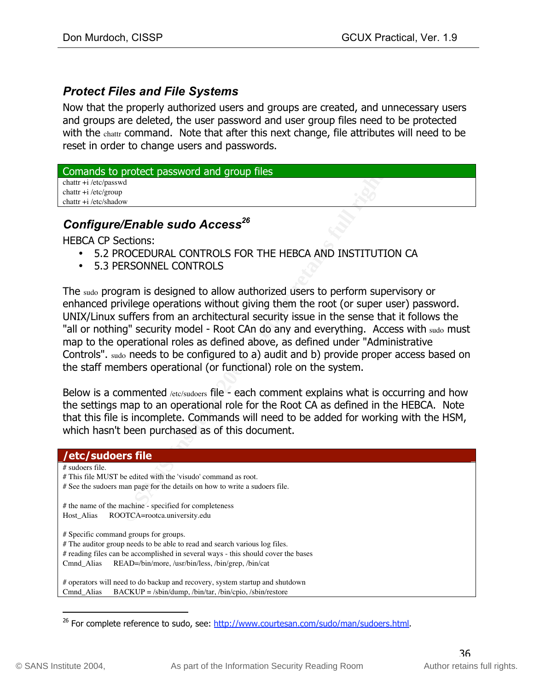#### *Protect Files and File Systems*

Now that the properly authorized users and groups are created, and unnecessary users and groups are deleted, the user password and user group files need to be protected with the chattr command. Note that after this next change, file attributes will need to be reset in order to change users and passwords.

| Comands to protect password and group files |  |
|---------------------------------------------|--|
| chattr $+i$ /etc/passwd                     |  |
| chattr $+i$ /etc/group                      |  |
| chattr $+i$ /etc/shadow                     |  |
|                                             |  |

#### Configure/Enable sudo Access<sup>26</sup>

HEBCA CP Sections:

- 5.2 PROCEDURAL CONTROLS FOR THE HEBCA AND INSTITUTION CA
- 5.3 PERSONNEL CONTROLS

**Protect password and group files<br>
We We Authority Contribute 2006**<br> **Crable sudo Access<sup>26</sup><br>
Rections:**<br> **CRIMING INSTITUTION ENDING INSTITUTION**<br> **ERSONNEL CONTROLS FOR THE HEBCA AND INSTITUTION**<br>
INTERSONNEL CONTROLS<br>
I the staff members operational (or functional) role on the system. The sudo program is designed to allow authorized users to perform supervisory or enhanced privilege operations without giving them the root (or super user) password. UNIX/Linux suffers from an architectural security issue in the sense that it follows the "all or nothing" security model - Root CAn do any and everything. Access with sudo must map to the operational roles as defined above, as defined under "Administrative Controls". sudo needs to be configured to a) audit and b) provide proper access based on

Below is a commented /etc/sudoers file - each comment explains what is occurring and how the settings map to an operational role for the Root CA as defined in the HEBCA. Note that this file is incomplete. Commands will need to be added for working with the HSM, which hasn't been purchased as of this document.

| /etc/sudoers file                                                                 |  |
|-----------------------------------------------------------------------------------|--|
| # sudoers file.                                                                   |  |
| # This file MUST be edited with the 'visudo' command as root.                     |  |
| # See the sudoers man page for the details on how to write a sudoers file.        |  |
|                                                                                   |  |
| # the name of the machine - specified for completeness                            |  |
| ROOTCA=rootca.university.edu<br>Host Alias                                        |  |
|                                                                                   |  |
| # Specific command groups for groups.                                             |  |
| # The auditor group needs to be able to read and search various log files.        |  |
| # reading files can be accomplished in several ways - this should cover the bases |  |
| READ=/bin/more, /usr/bin/less, /bin/grep, /bin/cat<br>Cmnd Alias                  |  |
|                                                                                   |  |
| # operators will need to do backup and recovery, system startup and shutdown      |  |
| $BACKUP = /$ sbin/dump, /bin/tar, /bin/cpio, /sbin/restore<br>Cmnd Alias          |  |

<sup>&</sup>lt;sup>26</sup> For complete reference to sudo, see: http://www.courtesan.com/sudo/man/sudoers.html.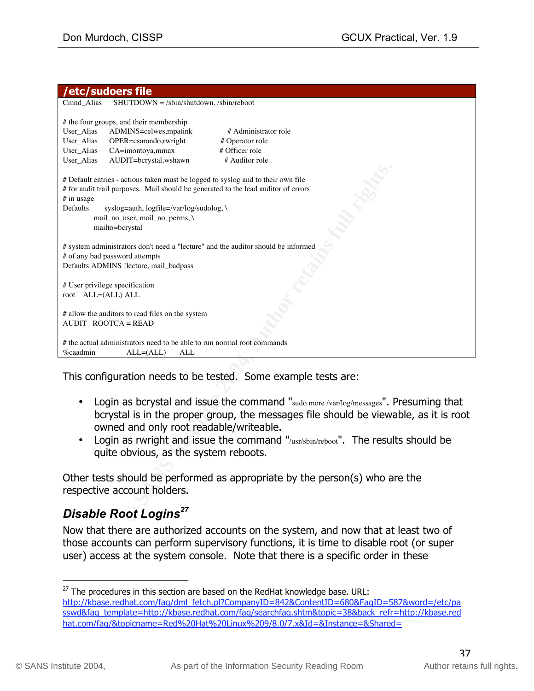#### **/etc/sudoers file**

| Cmnd_Alias<br>$SHUTDOWN = /$ sbin/shutdown, /sbin/reboot                                                                                                                                                                 |  |  |  |
|--------------------------------------------------------------------------------------------------------------------------------------------------------------------------------------------------------------------------|--|--|--|
| # the four groups, and their membership<br>ADMINS=celwes, mpatink<br># Administrator role<br>User_Alias                                                                                                                  |  |  |  |
| User_Alias<br>OPER=csarando,rwright<br># Operator role                                                                                                                                                                   |  |  |  |
| CA=imontoya,mmax<br># Officer role<br>User_Alias                                                                                                                                                                         |  |  |  |
| AUDIT=bcrystal,wshawn<br># Auditor role<br>User_Alias                                                                                                                                                                    |  |  |  |
|                                                                                                                                                                                                                          |  |  |  |
| # Default entries - actions taken must be logged to syslog and to their own file<br># for audit trail purposes. Mail should be generated to the lead auditor of errors                                                   |  |  |  |
| $#$ in usage                                                                                                                                                                                                             |  |  |  |
| Defaults<br>syslog=auth, logfile=/var/log/sudolog, \                                                                                                                                                                     |  |  |  |
| mail_no_user, mail_no_perms, \                                                                                                                                                                                           |  |  |  |
| mailto=bcrystal                                                                                                                                                                                                          |  |  |  |
| # system administrators don't need a "lecture" and the auditor should be informed<br># of any bad password attempts                                                                                                      |  |  |  |
| Defaults: ADMINS !lecture, mail_badpass                                                                                                                                                                                  |  |  |  |
|                                                                                                                                                                                                                          |  |  |  |
| # User privilege specification                                                                                                                                                                                           |  |  |  |
| root ALL=(ALL) ALL                                                                                                                                                                                                       |  |  |  |
|                                                                                                                                                                                                                          |  |  |  |
| # allow the auditors to read files on the system<br>AUDIT ROOTCA = READ                                                                                                                                                  |  |  |  |
|                                                                                                                                                                                                                          |  |  |  |
| # the actual administrators need to be able to run normal root commands                                                                                                                                                  |  |  |  |
| %caadmin<br>$ALL = (ALL)$<br>ALL                                                                                                                                                                                         |  |  |  |
| This configuration needs to be tested. Some example tests are:                                                                                                                                                           |  |  |  |
| Login as bcrystal and issue the command "sudo more /var/log/messages". Presuming that<br>bcrystal is in the proper group, the messages file should be viewable, as it is root<br>owned and only root readable/writeable. |  |  |  |
| Login as rwright and issue the command "/usr/sbin/reboot". The results should be<br>quite obvious, as the system reboots.                                                                                                |  |  |  |
|                                                                                                                                                                                                                          |  |  |  |
| Other tests should be performed as appropriate by the person(s) who are the<br>respective account holders.                                                                                                               |  |  |  |
| <b>Disable Root Logins<sup>27</sup></b>                                                                                                                                                                                  |  |  |  |

- Login as bcrystal and issue the command "sudo more /var/log/messages". Presuming that bcrystal is in the proper group, the messages file should be viewable, as it is root owned and only root readable/writeable.
- Login as rwright and issue the command "/usr/sbin/reboot". The results should be quite obvious, as the system reboots.

# *Disable Root Logins*<sup>27</sup>

Now that there are authorized accounts on the system, and now that at least two of those accounts can perform supervisory functions, it is time to disable root (or super user) access at the system console. Note that there is a specific order in these

 $27$  The procedures in this section are based on the RedHat knowledge base. URL: http://kbase.redhat.com/faq/dml\_fetch.pl?CompanyID=842&ContentID=680&FaqID=587&word=/etc/pa sswd&faq\_template=http://kbase.redhat.com/faq/searchfaq.shtm&topic=38&back\_refr=http://kbase.red hat.com/faq/&topicname=Red%20Hat%20Linux%209/8.0/7.x&Id=&Instance=&Shared=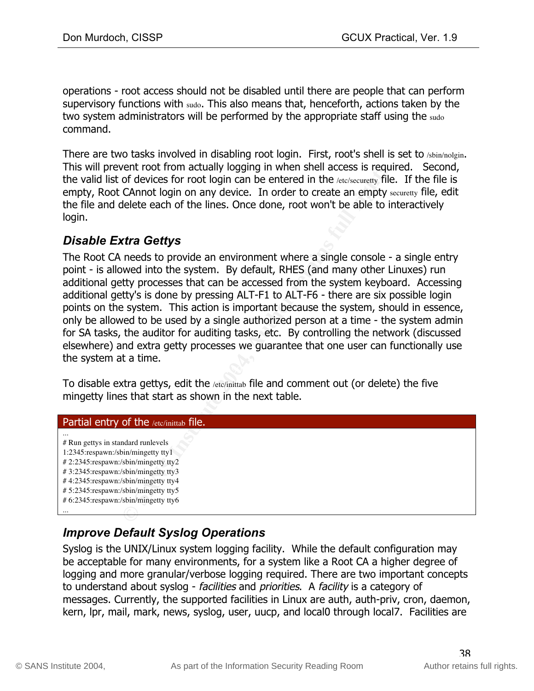operations - root access should not be disabled until there are people that can perform supervisory functions with sudo. This also means that, henceforth, actions taken by the two system administrators will be performed by the appropriate staff using the sudo command.

There are two tasks involved in disabling root login. First, root's shell is set to /sbin/nolgin. This will prevent root from actually logging in when shell access is required. Second, the valid list of devices for root login can be entered in the /etc/securetty file. If the file is empty, Root CAnnot login on any device. In order to create an empty securetty file, edit the file and delete each of the lines. Once done, root won't be able to interactively login.

## *Disable Extra Gettys*

Front root from actually logging in when shell access is required<br>of devices for root login can be entered in the *l*ewiseurety file<br>CAnnot login on any device. In order to create an empty selecte<br>delete each of the lines. The Root CA needs to provide an environment where a single console - a single entry point - is allowed into the system. By default, RHES (and many other Linuxes) run additional getty processes that can be accessed from the system keyboard. Accessing additional getty's is done by pressing ALT-F1 to ALT-F6 - there are six possible login points on the system. This action is important because the system, should in essence, only be allowed to be used by a single authorized person at a time - the system admin for SA tasks, the auditor for auditing tasks, etc. By controlling the network (discussed elsewhere) and extra getty processes we guarantee that one user can functionally use the system at a time.

To disable extra gettys, edit the /etc/inittab file and comment out (or delete) the five mingetty lines that start as shown in the next table.

#### Partial entry of the /etc/inittab file.

... # Run gettys in standard runlevels 1:2345:respawn:/sbin/mingetty tty1 # 2:2345:respawn:/sbin/mingetty tty2 # 3:2345:respawn:/sbin/mingetty tty3 # 4:2345:respawn:/sbin/mingetty tty4 # 5:2345:respawn:/sbin/mingetty tty5 # 6:2345:respawn:/sbin/mingetty tty6 ...

## *Improve Default Syslog Operations*

Syslog is the UNIX/Linux system logging facility. While the default configuration may be acceptable for many environments, for a system like a Root CA a higher degree of logging and more granular/verbose logging required. There are two important concepts to understand about syslog - facilities and priorities. A facility is a category of messages. Currently, the supported facilities in Linux are auth, auth-priv, cron, daemon, kern, lpr, mail, mark, news, syslog, user, uucp, and local0 through local7. Facilities are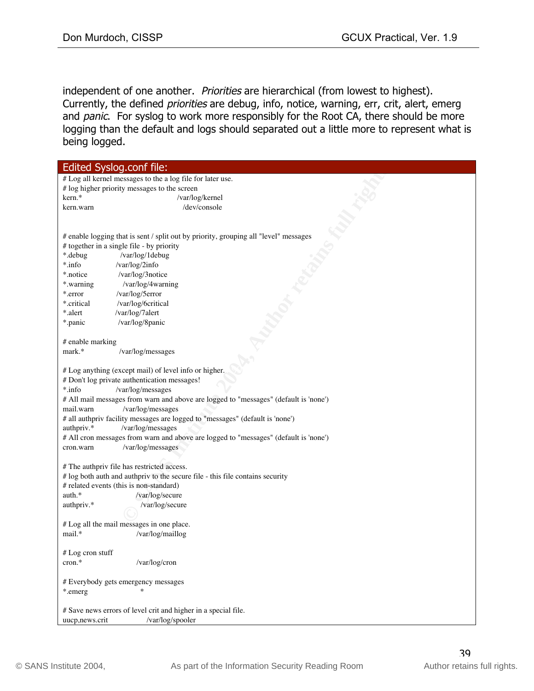independent of one another. Priorities are hierarchical (from lowest to highest). Currently, the defined priorities are debug, info, notice, warning, err, crit, alert, emerg and panic. For syslog to work more responsibly for the Root CA, there should be more logging than the default and logs should separated out a little more to represent what is being logged.

| Edited Syslog.conf file:                       |                                                                                      |  |  |
|------------------------------------------------|--------------------------------------------------------------------------------------|--|--|
|                                                | # Log all kernel messages to the a log file for later use.                           |  |  |
|                                                | # log higher priority messages to the screen                                         |  |  |
| kern.*                                         | /var/log/kernel                                                                      |  |  |
| kern.warn                                      | /dev/console                                                                         |  |  |
|                                                |                                                                                      |  |  |
|                                                |                                                                                      |  |  |
|                                                | # enable logging that is sent / split out by priority, grouping all "level" messages |  |  |
|                                                | # together in a single file - by priority                                            |  |  |
| *.debug                                        | /var/log/1debug                                                                      |  |  |
| *.info                                         | /var/log/2info                                                                       |  |  |
| *.notice                                       | /var/log/3notice                                                                     |  |  |
| *.warning                                      | /var/log/4warning                                                                    |  |  |
| *.error                                        | /var/log/5error                                                                      |  |  |
| *.critical                                     | /var/log/6critical                                                                   |  |  |
| *.alert                                        | /var/log/7alert                                                                      |  |  |
| *.panic                                        | /var/log/8panic                                                                      |  |  |
|                                                |                                                                                      |  |  |
| # enable marking                               |                                                                                      |  |  |
| mark.*                                         | /var/log/messages                                                                    |  |  |
|                                                |                                                                                      |  |  |
|                                                | # Log anything (except mail) of level info or higher,                                |  |  |
|                                                | # Don't log private authentication messages!                                         |  |  |
| *.info                                         | /var/log/messages                                                                    |  |  |
|                                                | # All mail messages from warn and above are logged to "messages" (default is 'none') |  |  |
| mail.warn                                      | /var/log/messages                                                                    |  |  |
|                                                | # all authpriv facility messages are logged to "messages" (default is 'none')        |  |  |
| authpriv.*                                     | /var/log/messages                                                                    |  |  |
|                                                | # All cron messages from warn and above are logged to "messages" (default is 'none') |  |  |
| cron.warn                                      | /var/log/messages                                                                    |  |  |
|                                                |                                                                                      |  |  |
|                                                | # The authpriv file has restricted access.                                           |  |  |
|                                                | # log both auth and authpriv to the secure file - this file contains security        |  |  |
|                                                | # related events (this is non-standard)                                              |  |  |
| auth.*                                         | /var/log/secure                                                                      |  |  |
| authpriv.*                                     | /var/log/secure                                                                      |  |  |
|                                                |                                                                                      |  |  |
|                                                | # Log all the mail messages in one place.                                            |  |  |
| mail.*                                         | /var/log/maillog                                                                     |  |  |
|                                                |                                                                                      |  |  |
| # Log cron stuff                               |                                                                                      |  |  |
| cron.*                                         | /var/log/cron                                                                        |  |  |
|                                                |                                                                                      |  |  |
| # Everybody gets emergency messages<br>*.emerg |                                                                                      |  |  |
|                                                |                                                                                      |  |  |
|                                                | # Save news errors of level crit and higher in a special file.                       |  |  |
| uucp,news.crit                                 | /var/log/spooler                                                                     |  |  |
|                                                |                                                                                      |  |  |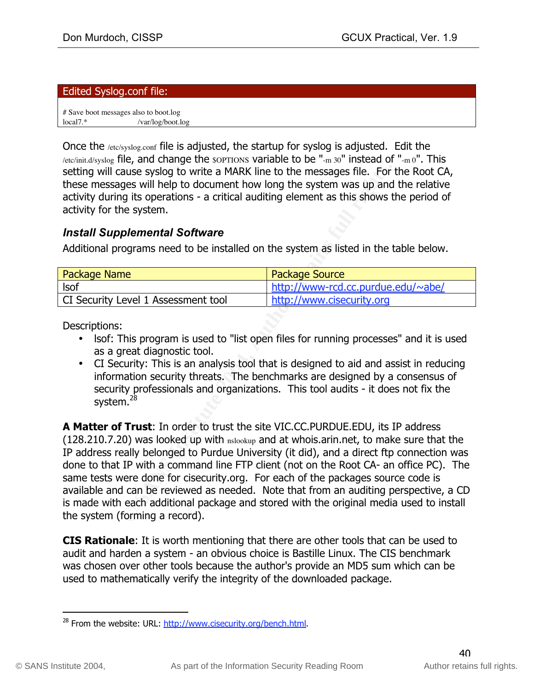#### Edited Syslog.conf file:

# Save boot messages also to boot.log local7.\* /var/log/boot.log

Once the /etc/syslog.conf file is adjusted, the startup for syslog is adjusted. Edit the /etc/init.d/syslog file, and change the soprions variable to be "-m 30" instead of "-m  $0"$ . This setting will cause syslog to write a MARK line to the messages file. For the Root CA, these messages will help to document how long the system was up and the relative activity during its operations - a critical auditing element as this shows the period of activity for the system.

### *Install Supplemental Software*

Additional programs need to be installed on the system as listed in the table below.

| <b>Package Name</b>                 | <b>Package Source</b>              |
|-------------------------------------|------------------------------------|
| <b>Isof</b>                         | http://www-rcd.cc.purdue.edu/~abe/ |
| CI Security Level 1 Assessment tool | http://www.cisecurity.org          |

Descriptions:

- Isof: This program is used to "list open files for running processes" and it is used as a great diagnostic tool.
- En Security. This is an analysis con that is designed to ald and assist in reducing information security threats. The benchmarks are designed by a consensus of • CI Security: This is an analysis tool that is designed to aid and assist in reducing security professionals and organizations. This tool audits - it does not fix the system.<sup>28</sup>

ause syslog to write a MARK line to the messages file. For<br>ges will help to document how long the system was up and<br>git to poretations - a critical auditing element as this shows t<br>plemental Software<br>grams need to be insta **A Matter of Trust**: In order to trust the site VIC.CC.PURDUE.EDU, its IP address (128.210.7.20) was looked up with nslookup and at whois.arin.net, to make sure that the IP address really belonged to Purdue University (it did), and a direct ftp connection was done to that IP with a command line FTP client (not on the Root CA- an office PC). The same tests were done for cisecurity.org. For each of the packages source code is available and can be reviewed as needed. Note that from an auditing perspective, a CD is made with each additional package and stored with the original media used to install the system (forming a record).

**CIS Rationale**: It is worth mentioning that there are other tools that can be used to audit and harden a system - an obvious choice is Bastille Linux. The CIS benchmark was chosen over other tools because the author's provide an MD5 sum which can be used to mathematically verify the integrity of the downloaded package.

<sup>&</sup>lt;sup>28</sup> From the website: URL: http://www.cisecurity.org/bench.html.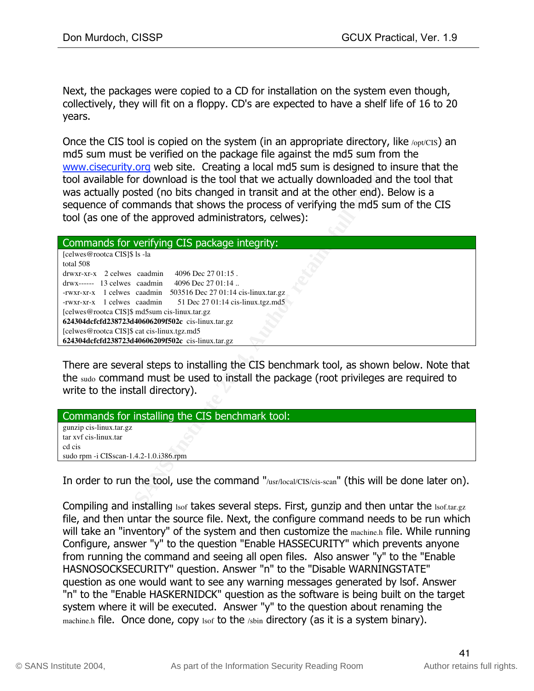Next, the packages were copied to a CD for installation on the system even though, collectively, they will fit on a floppy. CD's are expected to have a shelf life of 16 to 20 years.

Once the CIS tool is copied on the system (in an appropriate directory, like /opt/CIS) an md5 sum must be verified on the package file against the md5 sum from the www.cisecurity.org web site. Creating a local md5 sum is designed to insure that the tool available for download is the tool that we actually downloaded and the tool that was actually posted (no bits changed in transit and at the other end). Below is a sequence of commands that shows the process of verifying the md5 sum of the CIS tool (as one of the approved administrators, celwes):

| www.cisecurity.org web site. Creating a local md5 sum is designed to insure that the<br>tool available for download is the tool that we actually downloaded and the tool that<br>was actually posted (no bits changed in transit and at the other end). Below is a<br>sequence of commands that shows the process of verifying the md5 sum of the CIS<br>tool (as one of the approved administrators, celwes):                                                                                           |
|----------------------------------------------------------------------------------------------------------------------------------------------------------------------------------------------------------------------------------------------------------------------------------------------------------------------------------------------------------------------------------------------------------------------------------------------------------------------------------------------------------|
| Commands for verifying CIS package integrity:                                                                                                                                                                                                                                                                                                                                                                                                                                                            |
| [celwes@rootca CIS]\$ ls -la<br>total 508<br>4096 Dec 27 01:15.<br>drwxr-xr-x 2 celwes caadmin<br>4096 Dec 27 01:14<br>drwx------ 13 celwes caadmin<br>-rwxr-xr-x 1 celwes caadmin<br>503516 Dec 27 01:14 cis-linux.tar.gz<br>-rwxr-xr-x 1 celwes caadmin<br>51 Dec 27 01:14 cis-linux.tgz.md5<br>[celwes@rootca CIS]\$ md5sum cis-linux.tar.gz<br>624304dcfcfd238723d40606209f502c cis-linux.tar.gz<br>[celwes@rootca CIS]\$ cat cis-linux.tgz.md5<br>624304dcfcfd238723d40606209f502c cis-linux.tar.gz |
| There are several steps to installing the CIS benchmark tool, as shown below. Note that<br>the sudo command must be used to install the package (root privileges are required to<br>write to the install directory).                                                                                                                                                                                                                                                                                     |
| Commands for installing the CIS benchmark tool:                                                                                                                                                                                                                                                                                                                                                                                                                                                          |
| gunzip cis-linux.tar.gz<br>tar xvf cis-linux.tar<br>cd cis<br>sudo rpm -i CISscan-1.4.2-1.0.i386.rpm                                                                                                                                                                                                                                                                                                                                                                                                     |
|                                                                                                                                                                                                                                                                                                                                                                                                                                                                                                          |
| In order to run the tool, use the command "/usr/local/CIS/cis-scan" (this will be done later on).                                                                                                                                                                                                                                                                                                                                                                                                        |
| Compiling and installing 1sof takes several steps. First, gunzip and then untar the 1sof.tar.gz<br>file, and then untar the source file. Next, the configure command needs to be run which                                                                                                                                                                                                                                                                                                               |

| Commands for installing the CIS benchmark tool: |
|-------------------------------------------------|
| gunzip cis-linux.tar.gz                         |
| tar xyf cis-linux.tar                           |
| cd cis                                          |
| sudo rpm -i $CISscan-1.4.2-1.0.1386$ .rpm       |
|                                                 |

Compiling and installing lsof takes several steps. First, gunzip and then untar the Isof.tar.gz file, and then untar the source file. Next, the configure command needs to be run which will take an "inventory" of the system and then customize the machine.h file. While running Configure, answer "y" to the question "Enable HASSECURITY" which prevents anyone from running the command and seeing all open files. Also answer "y" to the "Enable HASNOSOCKSECURITY" question. Answer "n" to the "Disable WARNINGSTATE" question as one would want to see any warning messages generated by lsof. Answer "n" to the "Enable HASKERNIDCK" question as the software is being built on the target system where it will be executed. Answer "y" to the question about renaming the machine.h file. Once done, copy lsof to the /sbin directory (as it is a system binary).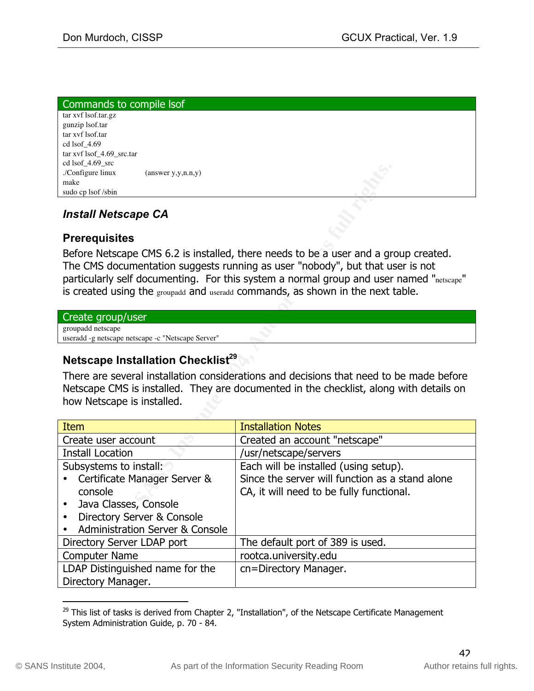| Commands to compile Isof    |                    |          |
|-----------------------------|--------------------|----------|
| tar xvf lsof.tar.gz         |                    |          |
| gunzip lsof.tar             |                    |          |
| tar xvf lsof.tar            |                    |          |
| cd lsof $4.69$              |                    |          |
| $\ar xvf$ lsof_4.69_src.tar |                    |          |
| cd lsof $4.69$ src          |                    |          |
| ./Configure linux           | (answer y,y,n.n,y) | $\kappa$ |
| make                        |                    |          |
| sudo cp lsof /sbin          |                    |          |
|                             |                    |          |

## *Install Netscape CA*

### **Prerequisites**

#### Create group/user

# **Netscape Installation Checklist<sup>29</sup>**

| $0.1301 - 7.02 - 316$<br>./Configure linux<br>$(\text{answer } y, y, n.n.y)$<br>make                                                                                                                                                                                                                                                               |                                                 |  |  |
|----------------------------------------------------------------------------------------------------------------------------------------------------------------------------------------------------------------------------------------------------------------------------------------------------------------------------------------------------|-------------------------------------------------|--|--|
| sudo cp lsof /sbin                                                                                                                                                                                                                                                                                                                                 |                                                 |  |  |
| <b>Install Netscape CA</b>                                                                                                                                                                                                                                                                                                                         |                                                 |  |  |
| <b>Prerequisites</b>                                                                                                                                                                                                                                                                                                                               |                                                 |  |  |
| Before Netscape CMS 6.2 is installed, there needs to be a user and a group created.<br>The CMS documentation suggests running as user "nobody", but that user is not<br>particularly self documenting. For this system a normal group and user named "netscape"<br>is created using the groupadd and useradd commands, as shown in the next table. |                                                 |  |  |
| Create group/user                                                                                                                                                                                                                                                                                                                                  |                                                 |  |  |
| groupadd netscape<br>useradd -g netscape netscape -c "Netscape Server"                                                                                                                                                                                                                                                                             |                                                 |  |  |
| Netscape Installation Checklist <sup>29</sup>                                                                                                                                                                                                                                                                                                      |                                                 |  |  |
| There are several installation considerations and decisions that need to be made before<br>Netscape CMS is installed. They are documented in the checklist, along with details on<br>how Netscape is installed.                                                                                                                                    |                                                 |  |  |
| <b>Item</b>                                                                                                                                                                                                                                                                                                                                        | <b>Installation Notes</b>                       |  |  |
| Create user account                                                                                                                                                                                                                                                                                                                                | Created an account "netscape"                   |  |  |
| <b>Install Location</b>                                                                                                                                                                                                                                                                                                                            | /usr/netscape/servers                           |  |  |
| Subsystems to install:                                                                                                                                                                                                                                                                                                                             | Each will be installed (using setup).           |  |  |
| Certificate Manager Server &                                                                                                                                                                                                                                                                                                                       | Since the server will function as a stand alone |  |  |
| console                                                                                                                                                                                                                                                                                                                                            | CA, it will need to be fully functional.        |  |  |
| Java Classes, Console                                                                                                                                                                                                                                                                                                                              |                                                 |  |  |
| Directory Server & Console<br>$\bullet$                                                                                                                                                                                                                                                                                                            |                                                 |  |  |
| <b>Administration Server &amp; Console</b><br>$\bullet$                                                                                                                                                                                                                                                                                            |                                                 |  |  |
| Directory Server LDAP port                                                                                                                                                                                                                                                                                                                         | The default port of 389 is used.                |  |  |
| <b>Computer Name</b>                                                                                                                                                                                                                                                                                                                               | rootca.university.edu                           |  |  |
| LDAP Distinguished name for the<br>Directory Manager.                                                                                                                                                                                                                                                                                              | cn=Directory Manager.                           |  |  |

 $29$  This list of tasks is derived from Chapter 2, "Installation", of the Netscape Certificate Management System Administration Guide, p. 70 - 84.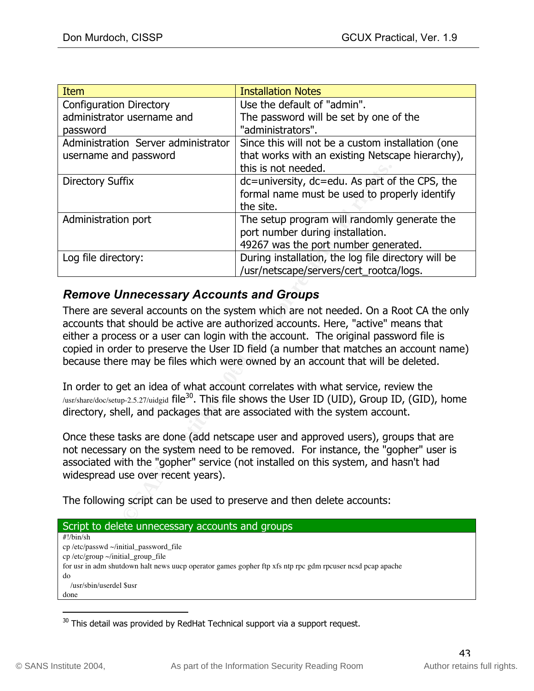| <b>Item</b>                                                                                                                                                                                                                                                                                                                                                                                                                                   | <b>Installation Notes</b>                           |  |  |
|-----------------------------------------------------------------------------------------------------------------------------------------------------------------------------------------------------------------------------------------------------------------------------------------------------------------------------------------------------------------------------------------------------------------------------------------------|-----------------------------------------------------|--|--|
| <b>Configuration Directory</b>                                                                                                                                                                                                                                                                                                                                                                                                                | Use the default of "admin".                         |  |  |
| administrator username and                                                                                                                                                                                                                                                                                                                                                                                                                    | The password will be set by one of the              |  |  |
| password                                                                                                                                                                                                                                                                                                                                                                                                                                      | "administrators".                                   |  |  |
| Administration Server administrator                                                                                                                                                                                                                                                                                                                                                                                                           | Since this will not be a custom installation (one   |  |  |
| username and password                                                                                                                                                                                                                                                                                                                                                                                                                         | that works with an existing Netscape hierarchy),    |  |  |
|                                                                                                                                                                                                                                                                                                                                                                                                                                               | this is not needed.                                 |  |  |
| <b>Directory Suffix</b>                                                                                                                                                                                                                                                                                                                                                                                                                       | dc=university, dc=edu. As part of the CPS, the      |  |  |
|                                                                                                                                                                                                                                                                                                                                                                                                                                               | formal name must be used to properly identify       |  |  |
|                                                                                                                                                                                                                                                                                                                                                                                                                                               | the site.                                           |  |  |
| Administration port                                                                                                                                                                                                                                                                                                                                                                                                                           | The setup program will randomly generate the        |  |  |
|                                                                                                                                                                                                                                                                                                                                                                                                                                               | port number during installation.                    |  |  |
|                                                                                                                                                                                                                                                                                                                                                                                                                                               | 49267 was the port number generated.                |  |  |
| Log file directory:                                                                                                                                                                                                                                                                                                                                                                                                                           | During installation, the log file directory will be |  |  |
|                                                                                                                                                                                                                                                                                                                                                                                                                                               | /usr/netscape/servers/cert_rootca/logs.             |  |  |
| <b>Remove Unnecessary Accounts and Groups</b>                                                                                                                                                                                                                                                                                                                                                                                                 |                                                     |  |  |
| There are several accounts on the system which are not needed. On a Root CA the only<br>accounts that should be active are authorized accounts. Here, "active" means that<br>either a process or a user can login with the account. The original password file is<br>copied in order to preserve the User ID field (a number that matches an account name)<br>because there may be files which were owned by an account that will be deleted. |                                                     |  |  |
| In order to get an idea of what account correlates with what service, review the<br>/usr/share/doc/setup-2.5.27/uidgid file <sup>30</sup> . This file shows the User ID (UID), Group ID, (GID), home<br>directory, shell, and packages that are associated with the system account.                                                                                                                                                           |                                                     |  |  |
| Once these tasks are done (add netscape user and approved users), groups that are<br>not necessary on the system need to be removed. For instance, the "gopher" user is<br>associated with the "gopher" service (not installed on this system, and hasn't had<br>widespread use over recent years).                                                                                                                                           |                                                     |  |  |
| The following script can be used to preserve and then delete accounts:                                                                                                                                                                                                                                                                                                                                                                        |                                                     |  |  |

# *Remove Unnecessary Accounts and Groups*

| Script to delete unnecessary accounts and groups                                                          |
|-----------------------------------------------------------------------------------------------------------|
| $\#!/bin/sh$                                                                                              |
| $cp/etc/passwd \sim/initial$ password file                                                                |
| cp/etc/group $\sim$ /initial group file                                                                   |
| for usr in adm shutdown halt news uucp operator games gopher ftp xfs ntp rpc gdm rpcuser ncsd pcap apache |
| do                                                                                                        |
| /usr/sbin/userdel \$usr                                                                                   |
| done                                                                                                      |
|                                                                                                           |

 $30$  This detail was provided by RedHat Technical support via a support request.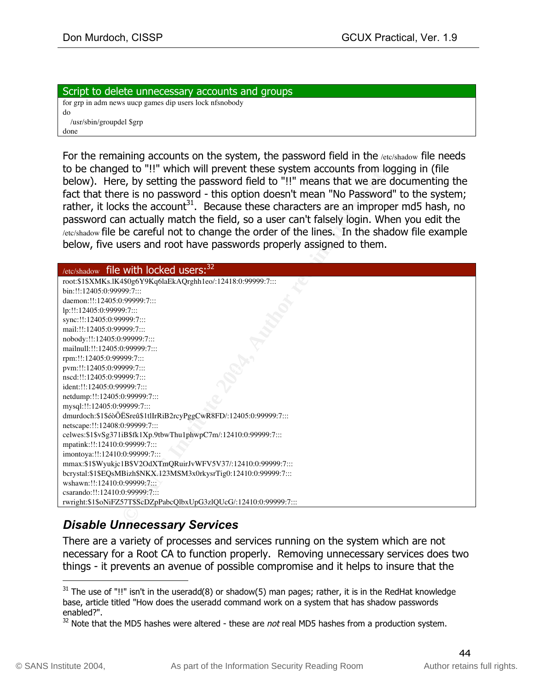Script to delete unnecessary accounts and groups for grp in adm news uucp games dip users lock nfsnobody do /usr/sbin/groupdel \$grp done

For the remaining accounts on the system, the password field in the /etc/shadow file needs to be changed to "!!" which will prevent these system accounts from logging in (file below). Here, by setting the password field to "!!" means that we are documenting the fact that there is no password - this option doesn't mean "No Password" to the system; rather, it locks the account<sup>31</sup>. Because these characters are an improper md5 hash, no password can actually match the field, so a user can't falsely login. When you edit the /etc/shadow file be careful not to change the order of the lines. In the shadow file example below, five users and root have passwords properly assigned to them.

| to be changed to "!!" which will prevent these system accounts from logging in (file<br>below). Here, by setting the password field to "!!" means that we are documenting the<br>fact that there is no password - this option doesn't mean "No Password" to the system;<br>rather, it locks the account <sup>31</sup> . Because these characters are an improper md5 hash, no<br>password can actually match the field, so a user can't falsely login. When you edit the<br>/etc/shadow file be careful not to change the order of the lines. In the shadow file example<br>below, five users and root have passwords properly assigned to them. |
|--------------------------------------------------------------------------------------------------------------------------------------------------------------------------------------------------------------------------------------------------------------------------------------------------------------------------------------------------------------------------------------------------------------------------------------------------------------------------------------------------------------------------------------------------------------------------------------------------------------------------------------------------|
| $/$ etc/shadow file with locked users: $32$                                                                                                                                                                                                                                                                                                                                                                                                                                                                                                                                                                                                      |
| root:\$1\$XMKs.lK4\$0g6Y9Kq6laEkAQrghh1eo/:12418:0:99999:7:::                                                                                                                                                                                                                                                                                                                                                                                                                                                                                                                                                                                    |
| bin:!!:12405:0:99999:7:::                                                                                                                                                                                                                                                                                                                                                                                                                                                                                                                                                                                                                        |
| daemon:!!:12405:0:99999:7:::                                                                                                                                                                                                                                                                                                                                                                                                                                                                                                                                                                                                                     |
| lp:!!:12405:0:99999:7:::                                                                                                                                                                                                                                                                                                                                                                                                                                                                                                                                                                                                                         |
| sync:!!:12405:0:99999:7:::                                                                                                                                                                                                                                                                                                                                                                                                                                                                                                                                                                                                                       |
| mail:!!:12405:0:99999:7:::                                                                                                                                                                                                                                                                                                                                                                                                                                                                                                                                                                                                                       |
| nobody:!!:12405:0:99999:7:::                                                                                                                                                                                                                                                                                                                                                                                                                                                                                                                                                                                                                     |
| mailnull:!!:12405:0:99999:7:::                                                                                                                                                                                                                                                                                                                                                                                                                                                                                                                                                                                                                   |
| rpm:!!:12405:0:99999:7:::                                                                                                                                                                                                                                                                                                                                                                                                                                                                                                                                                                                                                        |
| pvm:!!:12405:0:99999:7:::                                                                                                                                                                                                                                                                                                                                                                                                                                                                                                                                                                                                                        |
| nscd:!!:12405:0:99999:7:::                                                                                                                                                                                                                                                                                                                                                                                                                                                                                                                                                                                                                       |
| ident:!!:12405:0:99999:7:::                                                                                                                                                                                                                                                                                                                                                                                                                                                                                                                                                                                                                      |
| netdump:!!:12405:0:99999:7:::<br>mysql:!!:12405:0:99999:7:::                                                                                                                                                                                                                                                                                                                                                                                                                                                                                                                                                                                     |
| dmurdoch:\$1\$éòÕËSreû\$1tlIrRiB2rcyPggCwR8FD/:12405:0:99999:7:::                                                                                                                                                                                                                                                                                                                                                                                                                                                                                                                                                                                |
| netscape:!!:12408:0:99999:7:::                                                                                                                                                                                                                                                                                                                                                                                                                                                                                                                                                                                                                   |
| celwes:\$1\$vSg371iB\$fk1Xp.9tbwThu1phwpC7m/:12410:0:99999:7:::                                                                                                                                                                                                                                                                                                                                                                                                                                                                                                                                                                                  |
| mpatink:!!:12410:0:99999:7:::                                                                                                                                                                                                                                                                                                                                                                                                                                                                                                                                                                                                                    |
| imontoya:!!:12410:0:99999:7:::                                                                                                                                                                                                                                                                                                                                                                                                                                                                                                                                                                                                                   |
| mmax:\$1\$Wyukjc1B\$V2OdXTmQRuirJvWFV5V37/:12410:0:99999:7:::                                                                                                                                                                                                                                                                                                                                                                                                                                                                                                                                                                                    |
| bcrystal:\$1\$EQsMBizh\$NKX.123MSM3x0rkysrTig0:12410:0:99999:7:::                                                                                                                                                                                                                                                                                                                                                                                                                                                                                                                                                                                |
| wshawn:!!:12410:0:99999:7:::                                                                                                                                                                                                                                                                                                                                                                                                                                                                                                                                                                                                                     |
| csarando:!!:12410:0:99999:7:::                                                                                                                                                                                                                                                                                                                                                                                                                                                                                                                                                                                                                   |
| rwright:\$1\$oNiFZ57T\$ScDZpPabcQlbxUpG3zlQUcG/:12410:0:99999:7:::                                                                                                                                                                                                                                                                                                                                                                                                                                                                                                                                                                               |
|                                                                                                                                                                                                                                                                                                                                                                                                                                                                                                                                                                                                                                                  |
| Diaabla Ilanas<br>$\sim$ $\sim$ $\sim$ $\sim$ $\sim$ $\sim$                                                                                                                                                                                                                                                                                                                                                                                                                                                                                                                                                                                      |

# *Disable Unnecessary Services*

There are a variety of processes and services running on the system which are not necessary for a Root CA to function properly. Removing unnecessary services does two things - it prevents an avenue of possible compromise and it helps to insure that the

 $31$  The use of "!!" isn't in the useradd(8) or shadow(5) man pages; rather, it is in the RedHat knowledge base, article titled "How does the useradd command work on a system that has shadow passwords enabled?".

 $32$  Note that the MD5 hashes were altered - these are not real MD5 hashes from a production system.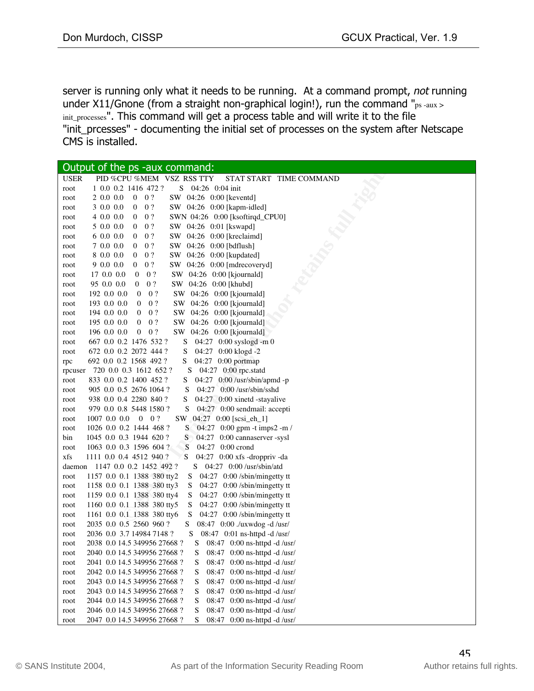server is running only what it needs to be running. At a command prompt, not running under X11/Gnone (from a straight non-graphical login!), run the command "ps-aux > init\_processes". This command will get a process table and will write it to the file "init\_prcesses" - documenting the initial set of processes on the system after Netscape CMS is installed.

| Output of the ps -aux command:                                                      |
|-------------------------------------------------------------------------------------|
| PID %CPU %MEM VSZ RSS TTY<br><b>USER</b><br>STAT START TIME COMMAND                 |
| 1 0.0 0.2 1416 472 ?<br>S 04:26 0:04 init<br>root                                   |
| 20.000<br>$0 \quad 0 ?$<br>SW 04:26 0:00 [keventd]<br>root                          |
| SW 04:26 0:00 [kapm-idled]<br>3 0.0 0.0<br>$0 \quad 0?$<br>root                     |
| 4 0.0 0.0<br>0?<br>SWN 04:26 0:00 [ksoftirqd_CPU0]<br>0<br>root                     |
| 5 0.0 0.0<br>0?<br>SW 04:26 0:01 [kswapd]<br>0<br>root                              |
| SW 04:26 0:00 [kreclaimd]<br>6 0.0 0.0<br>0?<br>0<br>root                           |
| 7 0.0 0.0<br>0?<br>SW 04:26 0:00 [bdflush]<br>0<br>root                             |
| 0?<br>SW 04:26 0:00 [kupdated]<br>8 0.0 0.0<br>0<br>root                            |
| 9 0.0 0.0<br>0?<br>0<br>SW 04:26 0:00 [mdrecoveryd]<br>root                         |
| 0?<br>SW 04:26 0:00 [kjournald]<br>17 0.0 0.0<br>0<br>root                          |
| 95 0.0 0.0<br>0?<br>SW 04:26 0:00 [khubd]<br>0<br>root                              |
| SW 04:26 0:00 [kjournald]<br>192 0.0 0.0<br>$\boldsymbol{0}$<br>0?<br>root          |
| 193 0.0 0.0<br>0?<br>SW 04:26 0:00 [kjournald]<br>$\mathbf{0}$<br>root              |
| 194 0.0 0.0<br>$\boldsymbol{0}$<br>0?<br>SW 04:26 0:00 [kjournald]<br>root          |
| 0?<br>SW 04:26 0:00 [kjournald]<br>195 0.0 0.0<br>$\mathbf{0}$<br>root              |
| 0?<br>196 0.0 0.0<br>$\boldsymbol{0}$<br>SW 04:26 0:00 [kjournald]<br>root          |
| 667 0.0 0.2 1476 532 ?<br>04:27 0:00 syslogd -m 0<br>S<br>root                      |
| 672 0.0 0.2 2072 444 ?<br>04:27 0:00 klogd -2<br>S<br>root                          |
| 692 0.0 0.2 1568 492 ?<br>04:27 0:00 portmap<br>S<br>rpc                            |
| 04:27 0:00 rpc.statd<br>720 0.0 0.3 1612 652 ?<br>S.<br>rpcuser                     |
| 04:27 0:00 /usr/sbin/apmd -p<br>833 0.0 0.2 1400 452 ?<br>root                      |
| 905 0.0 0.5 2676 1064 ?<br>$04:27$ $0:00$ /usr/sbin/sshd<br>S<br>root               |
| 938 0.0 0.4 2280 840 ?<br>S<br>04:27 0:00 xinetd -stayalive<br>root                 |
| 979 0.0 0.8 5448 1580 ?<br>S<br>04:27 0:00 sendmail: accepti<br>root                |
| $1007$ 0.0 0.0 0 0 ?<br>04:27 0:00 [scsi_eh_1]<br>SW.<br>root                       |
| 1026 0.0 0.2 1444 468 ?<br>04:27 0:00 gpm -t imps2 -m /<br>root<br>S.               |
| 1045 0.0 0.3 1944 620 ?<br>04:27 0:00 cannaserver -sysl<br>bin<br>S                 |
| 04:27 0:00 crond<br>1063 0.0 0.3 1596 604 ?<br>S<br>root                            |
| 1111 0.0 0.4 4512 940 ?<br>S<br>04:27 0:00 xfs -droppriv -da<br>xfs                 |
| 1147 0.0 0.2 1452 492 ?<br>S 04:27 0:00 /usr/sbin/atd<br>daemon                     |
| 1157 0.0 0.1 1388 380 tty2<br>$04:27$ 0:00 /sbin/mingetty tt<br>root<br>S           |
| 1158 0.0 0.1 1388 380 tty3<br>04:27 0:00 /sbin/mingetty tt<br>S<br>root             |
| 1159 0.0 0.1 1388 380 tty4<br>S<br>04:27 0:00 /sbin/mingetty tt<br>root             |
| 1160 0.0 0.1 1388 380 tty5<br>S<br>04:27 0:00 /sbin/mingetty tt<br>root             |
| 1161 0.0 0.1 1388 380 tty6<br>04:27 0:00 /sbin/mingetty tt<br>S<br>root             |
| 08:47 0:00 ./uxwdog -d /usr/<br>2035 0.0 0.5 2560 960 ?<br>S<br>root                |
| 2036 0.0 3.7 14984 7148 ?<br>08:47 0:01 ns-httpd -d /usr/<br>S<br>root              |
| 2038 0.0 14.5 349956 27668 ?<br>S<br>08:47 $0:00$ ns-httpd -d /usr/<br>root         |
| $\mathbf S$<br>2040 0.0 14.5 349956 27668 ?<br>08:47 0:00 ns-httpd -d /usr/<br>root |
| S<br>2041 0.0 14.5 349956 27668 ?<br>08:47 0:00 ns-httpd -d /usr/<br>root           |
| 08:47 0:00 ns-httpd -d /usr/<br>2042 0.0 14.5 349956 27668 ?<br>S<br>root           |
| 08:47 0:00 ns-httpd -d /usr/<br>2043 0.0 14.5 349956 27668 ?<br>S<br>root           |
| 08:47 0:00 ns-httpd -d /usr/<br>2043 0.0 14.5 349956 27668 ?<br>S<br>root           |
| S<br>08:47 0:00 ns-httpd -d /usr/<br>2044 0.0 14.5 349956 27668 ?<br>root           |
| 2046 0.0 14.5 349956 27668 ?<br>S<br>08:47 0:00 ns-httpd -d /usr/<br>root           |
| S<br>0:00 ns-httpd -d /usr/<br>2047 0.0 14.5 349956 27668 ?<br>08:47<br>root        |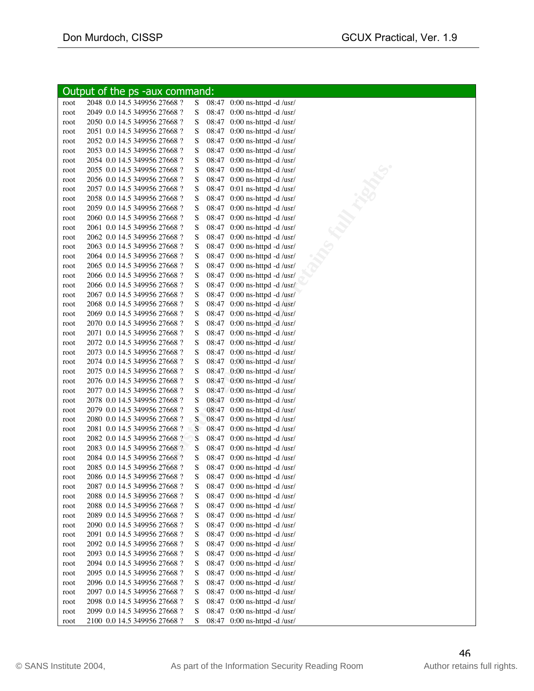|              | Output of the ps -aux command:                               |        |       |                                                              |
|--------------|--------------------------------------------------------------|--------|-------|--------------------------------------------------------------|
| root         | 2048 0.0 14.5 349956 27668 ?                                 | S      |       | $08:47$ 0:00 ns-httpd -d /usr/                               |
| root         | 2049 0.0 14.5 349956 27668 ?                                 | S      |       | 08:47 0:00 ns-httpd -d /usr/                                 |
| root         | 2050 0.0 14.5 349956 27668 ?                                 | S      |       | 08:47 0:00 ns-httpd -d /usr/                                 |
| root         | 2051 0.0 14.5 349956 27668 ?                                 | S      |       | 08:47 0:00 ns-httpd -d /usr/                                 |
| root         | 2052 0.0 14.5 349956 27668 ?                                 | S      |       | 08:47 0:00 ns-httpd -d /usr/                                 |
| root         | 2053 0.0 14.5 349956 27668 ?                                 | S      |       | 08:47 0:00 ns-httpd -d /usr/                                 |
| root         | 2054 0.0 14.5 349956 27668 ?                                 | S      |       | 08:47 0:00 ns-httpd -d /usr/                                 |
| root         | 2055 0.0 14.5 349956 27668 ?                                 | S      |       | 08:47 0:00 ns-httpd -d /usr/                                 |
| root         | 2056 0.0 14.5 349956 27668 ?                                 | S      |       | 08:47 0:00 ns-httpd -d /usr/                                 |
| root         | 2057 0.0 14.5 349956 27668 ?                                 | S      |       | 08:47 0:01 ns-httpd -d /usr/                                 |
| root         | 2058 0.0 14.5 349956 27668 ?                                 | S      |       | 08:47 0:00 ns-httpd -d /usr/                                 |
| root         | 2059 0.0 14.5 349956 27668 ?                                 | S      |       | 08:47 0:00 ns-httpd -d /usr/                                 |
| root         | 2060 0.0 14.5 349956 27668 ?                                 | S      |       | 08:47 0:00 ns-httpd -d /usr/                                 |
| root         | 2061 0.0 14.5 349956 27668 ?                                 | S      |       | 08:47 0:00 ns-httpd -d /usr/                                 |
| root         | 2062 0.0 14.5 349956 27668 ?                                 | S      |       | 08:47 0:00 ns-httpd -d /usr/                                 |
| root         | 2063 0.0 14.5 349956 27668 ?                                 | S      |       | 08:47 0:00 ns-httpd -d /usr/                                 |
| root         | 2064 0.0 14.5 349956 27668 ?                                 | S      |       | 08:47 0:00 ns-httpd -d /usr/                                 |
| root         | 2065 0.0 14.5 349956 27668 ?                                 | S      |       | 08:47 0:00 ns-httpd -d /usr/                                 |
|              | 2066 0.0 14.5 349956 27668 ?                                 | S      |       | 08:47 0:00 ns-httpd -d /usr/                                 |
| root         | 2066 0.0 14.5 349956 27668 ?                                 | S      |       | 08:47 0:00 ns-httpd -d /usr/                                 |
| root         | 2067 0.0 14.5 349956 27668 ?                                 | S      |       |                                                              |
| root         | 2068 0.0 14.5 349956 27668 ?                                 | S      |       | 08:47 0:00 ns-httpd -d /usr/<br>08:47 0:00 ns-httpd -d /usr/ |
| root         | 2069 0.0 14.5 349956 27668 ?                                 | S      |       | 08:47 0:00 ns-httpd -d /usr/                                 |
| root         | 2070 0.0 14.5 349956 27668 ?                                 | S      |       | 08:47 0:00 ns-httpd -d /usr/                                 |
| root         | 2071 0.0 14.5 349956 27668 ?                                 | S      |       | 08:47 0:00 ns-httpd -d /usr/                                 |
| root         | 2072 0.0 14.5 349956 27668 ?                                 | S      |       | 08:47 0:00 ns-httpd -d /usr/                                 |
| root         | 2073 0.0 14.5 349956 27668 ?                                 | S      |       | 08:47 0:00 ns-httpd -d /usr/                                 |
| root         | 2074 0.0 14.5 349956 27668 ?                                 | S      |       | 08:47 0:00 ns-httpd -d /usr/                                 |
| root         | 2075 0.0 14.5 349956 27668 ?                                 | S      |       | 08:47 0:00 ns-httpd -d /usr/                                 |
| root<br>root | 2076 0.0 14.5 349956 27668 ?                                 | S      |       | 08:47 0:00 ns-httpd -d /usr/                                 |
| root         | 2077 0.0 14.5 349956 27668 ?                                 | S      |       | 08:47 0:00 ns-httpd -d /usr/                                 |
| root         | 2078 0.0 14.5 349956 27668 ?                                 | S      |       | 08:47 0:00 ns-httpd -d /usr/                                 |
|              | 2079 0.0 14.5 349956 27668 ?                                 | S      |       | 08:47 0:00 ns-httpd -d /usr/                                 |
| root<br>root | 2080 0.0 14.5 349956 27668 ?                                 | S      |       | 08:47 0:00 ns-httpd -d /usr/                                 |
| root         | 2081 0.0 14.5 349956 27668 ?                                 | S      |       | 08:47 0:00 ns-httpd -d /usr/                                 |
| root         | 2082 0.0 14.5 349956 27668 ?                                 | S      |       | 08:47 0:00 ns-httpd -d /usr/                                 |
|              | 2083 0.0 14.5 349956 27668 ?                                 | S      |       | 08:47 0:00 ns-httpd -d /usr/                                 |
| root         | 2084 0.0 14.5 349956 27668 ?                                 | S      |       | 08:47 0:00 ns-httpd -d /usr/                                 |
| root         | 2085 0.0 14.5 349956 27668 ?                                 | S      |       | 08:47 0:00 ns-httpd -d /usr/                                 |
| root<br>root | 2086 0.0 14.5 349956 27668 ?                                 | S      |       | 08:47 0:00 ns-httpd -d /usr/                                 |
| root         | 2087 0.0 14.5 349956 27668 ?                                 | S      |       | $08:47$ 0:00 ns-httpd -d /usr/                               |
| root         | 2088 0.0 14.5 349956 27668 ?                                 | S      |       | 08:47 0:00 ns-httpd -d /usr/                                 |
|              | 2088 0.0 14.5 349956 27668 ?                                 | S      |       | 08:47 0:00 ns-httpd -d /usr/                                 |
| root         | 2089 0.0 14.5 349956 27668 ?                                 | S      |       | 08:47 0:00 ns-httpd -d /usr/                                 |
| root         |                                                              |        |       |                                                              |
| root         | 2090 0.0 14.5 349956 27668 ?<br>2091 0.0 14.5 349956 27668 ? | S<br>S |       | 08:47 0:00 ns-httpd -d /usr/<br>08:47 0:00 ns-httpd -d /usr/ |
| root         | 2092 0.0 14.5 349956 27668 ?                                 | S      |       | 08:47 0:00 ns-httpd -d /usr/                                 |
| root         | 2093 0.0 14.5 349956 27668 ?                                 | S      |       | 08:47 0:00 ns-httpd -d /usr/                                 |
| root         | 2094 0.0 14.5 349956 27668 ?                                 | S      |       | 08:47 0:00 ns-httpd -d /usr/                                 |
| root         | 2095 0.0 14.5 349956 27668 ?                                 | S      |       | 08:47 0:00 ns-httpd -d /usr/                                 |
| root         | 2096 0.0 14.5 349956 27668 ?                                 | S      |       |                                                              |
| root<br>root | 2097 0.0 14.5 349956 27668 ?                                 | S      |       | 08:47 0:00 ns-httpd -d /usr/<br>08:47 0:00 ns-httpd -d /usr/ |
| root         | 2098 0.0 14.5 349956 27668 ?                                 | S      |       | 08:47 0:00 ns-httpd -d /usr/                                 |
| root         | 2099 0.0 14.5 349956 27668 ?                                 | S      |       | 08:47 0:00 ns-httpd -d /usr/                                 |
| root         | 2100 0.0 14.5 349956 27668 ?                                 | S      | 08:47 | $0:00$ ns-httpd -d /usr/                                     |
|              |                                                              |        |       |                                                              |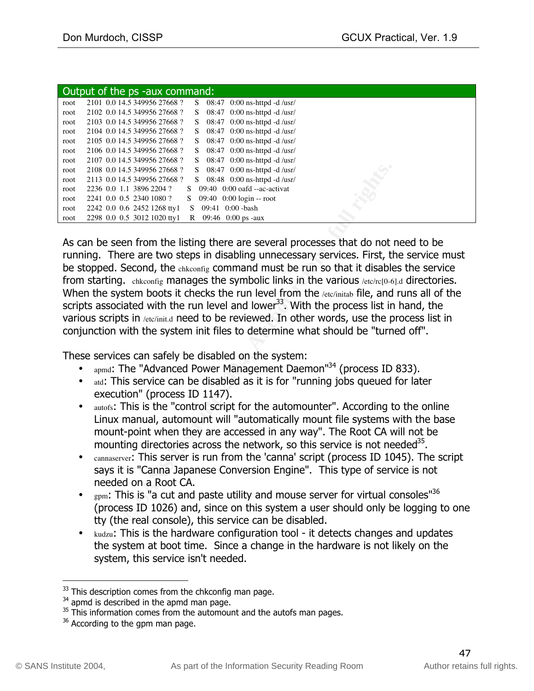|      | Output of the ps -aux command:                                       |
|------|----------------------------------------------------------------------|
| root | 2101 0.0 14.5 349956 27668 ?<br>$08:47$ 0:00 ns-httpd -d /usr/<br>S. |
| root | 08:47 $0:00$ ns-httpd -d /usr/<br>2102 0.0 14.5 349956 27668 ?<br>S. |
| root | 08:47 $0:00$ ns-httpd -d /usr/<br>2103 0.0 14.5 349956 27668 ?<br>S. |
| root | 08:47 $0:00$ ns-httpd -d /usr/<br>2104 0.0 14.5 349956 27668 ?<br>S. |
| root | 08:47 $0:00$ ns-httpd -d /usr/<br>2105 0.0 14.5 349956 27668 ?<br>S. |
| root | 08:47 $0:00$ ns-httpd -d /usr/<br>2106 0.0 14.5 349956 27668 ?<br>S. |
| root | 08:47 $0:00$ ns-httpd -d /usr/<br>2107 0.0 14.5 349956 27668 ?<br>S. |
| root | 2108 0.0 14.5 349956 27668 ?<br>08:47 $0:00$ ns-httpd -d /usr/<br>S. |
| root | $08:48$ 0:00 ns-httpd -d /usr/<br>2113 0.0 14.5 349956 27668 ?<br>S. |
| root | $09:40$ $0:00$ oafd $-ac$ -activat<br>2236 0.0 1.1 3896 2204 ?<br>S. |
| root | 2241 0.0 0.5 2340 1080 ?<br>$09:40$ $0:00$ $login - root$<br>S.      |
| root | 2242 0.0 0.6 2452 1268 tty1<br>$0:00$ -bash<br>09:41<br>S            |
| root | 2298 0.0 0.5 3012 1020 tty1<br>09:46 0:00 ps -aux<br>R               |

4,5,4996,27668? Solestar 0.000 ns-httpd 4.0str 2000 ns-html 4.3 stress 2004 and 2.344956 27668? Solestar 0.000 ond-me-activat 1.1 3896 2204 ? Solestar 0.000 ond-me-activat 1.1 3896 2204 ? Solestar 0.000 ond-me-activat 1.1 As can be seen from the listing there are several processes that do not need to be running. There are two steps in disabling unnecessary services. First, the service must be stopped. Second, the chkconfig command must be run so that it disables the service from starting. chkconfig manages the symbolic links in the various /etc/rc[0-6].d directories. When the system boots it checks the run level from the /etc/initab file, and runs all of the scripts associated with the run level and lower<sup>33</sup>. With the process list in hand, the various scripts in /etc/init.d need to be reviewed. In other words, use the process list in conjunction with the system init files to determine what should be "turned off".

These services can safely be disabled on the system:

- $_{\text{apmd}}$ : The "Advanced Power Management Daemon" $^{34}$  (process ID 833).
- atd: This service can be disabled as it is for "running jobs queued for later execution" (process ID 1147).
- autofs: This is the "control script for the automounter". According to the online Linux manual, automount will "automatically mount file systems with the base mount-point when they are accessed in any way". The Root CA will not be mounting directories across the network, so this service is not needed<sup>35</sup>.
- cannaserver: This server is run from the 'canna' script (process ID 1045). The script says it is "Canna Japanese Conversion Engine". This type of service is not needed on a Root CA.
- $_{\text{gpm}}$ : This is "a cut and paste utility and mouse server for virtual consoles"<sup>36</sup> (process ID 1026) and, since on this system a user should only be logging to one tty (the real console), this service can be disabled.
- kudzu: This is the hardware configuration tool it detects changes and updates the system at boot time. Since a change in the hardware is not likely on the system, this service isn't needed.

 $33$  This description comes from the chkconfig man page.

<sup>&</sup>lt;sup>34</sup> apmd is described in the apmd man page.

 $35$  This information comes from the automount and the autofs man pages.

 $36$  According to the gpm man page.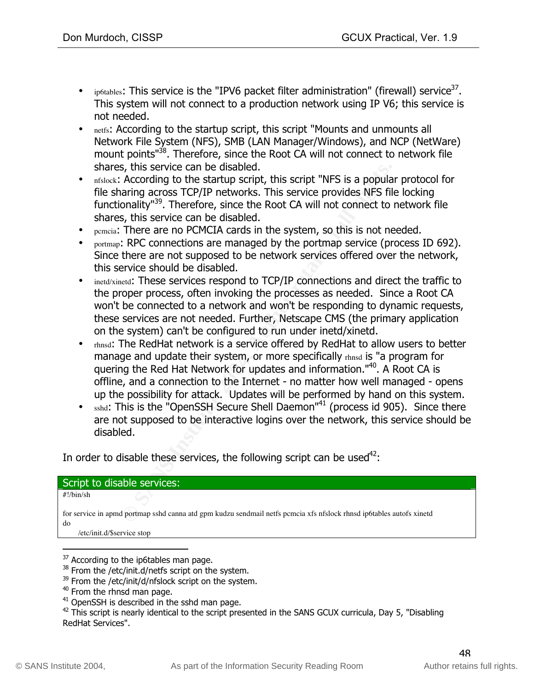- ip6tables: This service is the "IPV6 packet filter administration" (firewall) service<sup>37</sup>. This system will not connect to a production network using IP V6; this service is not needed.
- netfs: According to the startup script, this script "Mounts and unmounts all Network File System (NFS), SMB (LAN Manager/Windows), and NCP (NetWare) mount points<sup>"38</sup>. Therefore, since the Root CA will not connect to network file shares, this service can be disabled.
- nfslock: According to the startup script, this script "NFS is a popular protocol for file sharing across TCP/IP networks. This service provides NFS file locking functionality"39. Therefore, since the Root CA will not connect to network file shares, this service can be disabled.
- pemeia: There are no PCMCIA cards in the system, so this is not needed.
- portmap: RPC connections are managed by the portmap service (process ID 692). Since there are not supposed to be network services offered over the network, this service should be disabled.
- inetd/xinetd: These services respond to TCP/IP connections and direct the traffic to the proper process, often invoking the processes as needed. Since a Root CA won't be connected to a network and won't be responding to dynamic requests, these services are not needed. Further, Netscape CMS (the primary application on the system) can't be configured to run under inetd/xinetd.
- s, this service can be disabled.<br>According to the startup script, this script "NFS is a popula<br>According caross TCP/IP networks. This service provides NFS file<br>onality"<sup>39</sup>. Therefore, since the Root CA will not connect to quering the Red Hat Network for updates and information."<sup>40</sup>. A Root CA is • rhnsd: The RedHat network is a service offered by RedHat to allow users to better manage and update their system, or more specifically rhnsd is "a program for offline, and a connection to the Internet - no matter how well managed - opens up the possibility for attack. Updates will be performed by hand on this system.
- sshd: This is the "OpenSSH Secure Shell Daemon"<sup>41</sup> (process id 905). Since there are not supposed to be interactive logins over the network, this service should be disabled.

In order to disable these services, the following script can be used<sup>42</sup>:

### Script to disable services:

#!/bin/sh

for service in apmd portmap sshd canna atd gpm kudzu sendmail netfs pcmcia xfs nfslock rhnsd ip6tables autofs xinetd do

/etc/init.d/\$service stop

 $37$  According to the ip6tables man page.

<sup>&</sup>lt;sup>38</sup> From the /etc/init.d/netfs script on the system.

<sup>&</sup>lt;sup>39</sup> From the /etc/init/d/nfslock script on the system.

<sup>&</sup>lt;sup>40</sup> From the rhnsd man page.

 $41$  OpenSSH is described in the sshd man page.

 $42$  This script is nearly identical to the script presented in the SANS GCUX curricula, Day 5, "Disabling RedHat Services".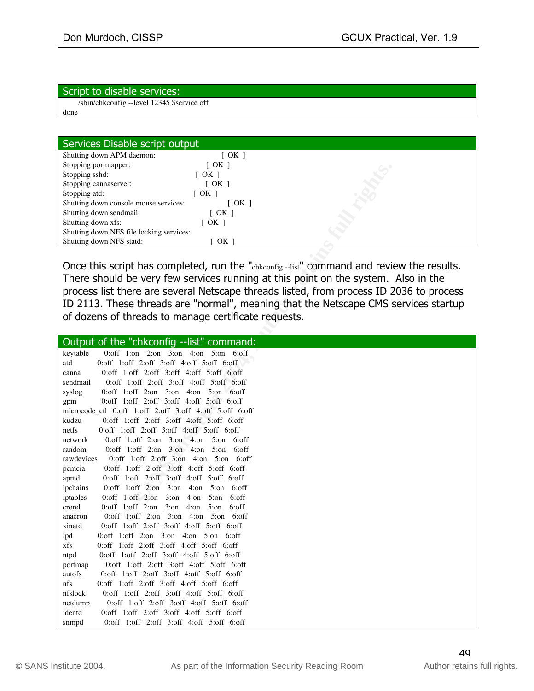#### Script to disable services:

 /sbin/chkconfig --level 12345 \$service off done

| Shutting down APM daemon:                | [ OK ]               |  |
|------------------------------------------|----------------------|--|
| Stopping portmapper:                     | $\lceil$ OK $\rceil$ |  |
| Stopping sshd:                           | [ OK ]               |  |
| Stopping cannaserver:                    | $\sqrt{CK}$ 1        |  |
| Stopping atd:                            | [ OK ]               |  |
| Shutting down console mouse services:    | [ OK ]               |  |
| Shutting down sendmail:                  | $\lceil$ OK $\rceil$ |  |
| Shutting down xfs:                       | OK 1                 |  |
| Shutting down NFS file locking services: |                      |  |
| Shutting down NFS statd:                 | OK                   |  |

| Stopping portmapper:<br>$\lfloor$ ON $\rfloor$                                           |
|------------------------------------------------------------------------------------------|
| Stopping sshd:<br>[OK]                                                                   |
| Stopping cannaserver:<br>[OK]                                                            |
| Stopping atd:<br>$\lceil$ OK $\rceil$                                                    |
| Shutting down console mouse services:<br>[OK]                                            |
| Shutting down sendmail:<br>[OK]                                                          |
| Shutting down xfs:<br>[OK]                                                               |
| Shutting down NFS file locking services:                                                 |
| Shutting down NFS statd:<br>OK 1                                                         |
|                                                                                          |
| Once this script has completed, run the "chkconfig-list" command and review the results. |
| There should be very few services running at this point on the system. Also in the       |
| process list there are several Netscape threads listed, from process ID 2036 to process  |
| ID 2113. These threads are "normal", meaning that the Netscape CMS services startup      |
| of dozens of threads to manage certificate requests.                                     |
|                                                                                          |
|                                                                                          |
| Output of the "chkconfig --list" command:                                                |
| 0:off 1:on 2:on 3:on 4:on 5:on 6:off<br>keytable                                         |
| 0:off 1:off 2:off 3:off 4:off 5:off 6:off<br>atd                                         |
| $0:$ off $1:$ off $2:$ off $3:$ off $4:$ off $5:$ off $6:$ off<br>canna                  |
| $0:$ off $1:$ off $2:$ off $3:$ off $4:$ off $5:$ off $6:$ off<br>sendmail               |
| syslog<br>$0:$ off 1: off 2: on 3: on 4: on 5: on 6: off                                 |
| $0:$ off $1:$ off $2:$ off $3:$ off $4:$ off $5:$ off $6:$ off<br>gpm                    |
| microcode_ctl 0:off 1:off 2:off 3:off 4:off 5:off 6:off                                  |
| 0:off 1:off 2:off 3:off 4:off 5:off 6:off<br>kudzu                                       |
| $0:$ off $1:$ off $2:$ off $3:$ off $4:$ off $5:$ off $6:$ off<br>netfs                  |
| $0:$ off 1: off 2: on 3: on 4: on 5: on 6: off<br>network                                |
| $0:$ off 1: off 2: on 3: on 4: on 5: on 6: off<br>random                                 |
| rawdevices<br>$0:$ off 1: off 2: off 3: on 4: on 5: on 6: off                            |
| 0:off 1:off 2:off 3:off 4:off 5:off 6:off<br>pcmcia                                      |
| $0:$ off $1:$ off $2:$ off $3:$ off $4:$ off $5:$ off $6:$ off<br>apmd                   |
| $0:$ off 1: off 2: on 3: on 4: on 5: on 6: off<br>ipchains                               |
| 0:off 1:off 2:on $3:on$ 4:on $5:on$<br>iptables<br>6:off                                 |
| $0:$ off 1: off 2: on 3: on 4: on 5: on 6: off<br>crond                                  |
| $0:$ off 1: off 2: on 3: on 4: on 5: on 6: off<br>anacron                                |
| $0:$ off $1:$ off $2:$ off $3:$ off $4:$ off $5:$ off $6:$ off<br>xinetd                 |
| $0:$ off 1: off 2: on 3: on 4: on 5: on 6: off<br>lpd                                    |
| 0:off 1:off 2:off 3:off 4:off 5:off 6:off<br>xfs                                         |
| $0:$ off $1:$ off $2:$ off $3:$ off $4:$ off $5:$ off $6:$ off<br>ntpd                   |
| 0:off 1:off 2:off 3:off 4:off 5:off 6:off<br>portmap                                     |
| autofs<br>$0:$ off $1:$ off $2:$ off $3:$ off $4:$ off $5:$ off $6:$ off                 |
| nfs<br>$0:$ off $1:$ off $2:$ off $3:$ off $4:$ off $5:$ off $6:$ off                    |
| 0:off 1:off 2:off 3:off 4:off 5:off 6:off<br>nfslock                                     |
| $0:$ off $1:$ off $2:$ off $3:$ off $4:$ off $5:$ off $6:$ off<br>netdump                |
| identd<br>0:off 1:off 2:off 3:off 4:off 5:off 6:off                                      |
| 0:off 1:off 2:off 3:off 4:off 5:off 6:off<br>snmpd                                       |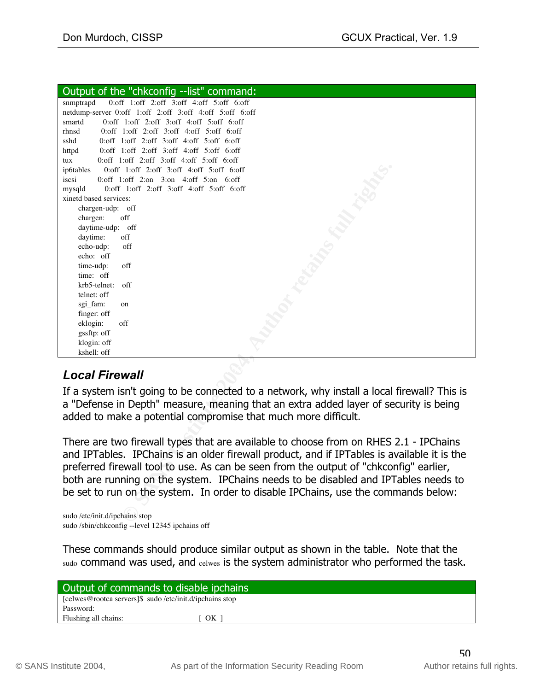| Output of the "chkconfig --list" command:                                                                                                                                                                                                                                      |  |  |
|--------------------------------------------------------------------------------------------------------------------------------------------------------------------------------------------------------------------------------------------------------------------------------|--|--|
| snmptrapd<br>$0:$ off $1:$ off $2:$ off $3:$ off $4:$ off $5:$ off $6:$ off                                                                                                                                                                                                    |  |  |
| netdump-server 0:off 1:off 2:off 3:off 4:off 5:off 6:off                                                                                                                                                                                                                       |  |  |
| 0:off 1:off 2:off 3:off 4:off 5:off 6:off<br>smartd                                                                                                                                                                                                                            |  |  |
| $0:$ off $1:$ off $2:$ off $3:$ off $4:$ off $5:$ off $6:$ off<br>rhnsd                                                                                                                                                                                                        |  |  |
| $0:$ off $1:$ off $2:$ off $3:$ off $4:$ off $5:$ off $6:$ off<br>sshd                                                                                                                                                                                                         |  |  |
| $0:$ off $1:$ off $2:$ off $3:$ off $4:$ off $5:$ off $6:$ off<br>httpd                                                                                                                                                                                                        |  |  |
| $0:$ off $1:$ off $2:$ off $3:$ off $4:$ off $5:$ off $6:$ off<br>tux                                                                                                                                                                                                          |  |  |
| 0:off 1:off 2:off 3:off 4:off 5:off 6:off<br>ip6tables                                                                                                                                                                                                                         |  |  |
| iscsi<br>$0:$ off 1: off 2: on 3: on 4: off 5: on 6: off                                                                                                                                                                                                                       |  |  |
| $0:$ off $1:$ off $2:$ off $3:$ off $4:$ off $5:$ off $6:$ off<br>mysqld                                                                                                                                                                                                       |  |  |
| xinetd based services:                                                                                                                                                                                                                                                         |  |  |
| chargen-udp: off<br>off                                                                                                                                                                                                                                                        |  |  |
| chargen:<br>daytime-udp: off                                                                                                                                                                                                                                                   |  |  |
| daytime:<br>off                                                                                                                                                                                                                                                                |  |  |
| echo-udp:<br>off                                                                                                                                                                                                                                                               |  |  |
| echo: off                                                                                                                                                                                                                                                                      |  |  |
| off<br>time-udp:                                                                                                                                                                                                                                                               |  |  |
| time: off                                                                                                                                                                                                                                                                      |  |  |
| krb5-telnet:<br>off                                                                                                                                                                                                                                                            |  |  |
| telnet: off                                                                                                                                                                                                                                                                    |  |  |
| sgi_fam:<br>on                                                                                                                                                                                                                                                                 |  |  |
| finger: off                                                                                                                                                                                                                                                                    |  |  |
| eklogin:<br>off                                                                                                                                                                                                                                                                |  |  |
| gssftp: off                                                                                                                                                                                                                                                                    |  |  |
| klogin: off                                                                                                                                                                                                                                                                    |  |  |
| kshell: off                                                                                                                                                                                                                                                                    |  |  |
| <b>Local Firewall</b><br>If a system isn't going to be connected to a network, why install a local firewall? This is<br>a "Defense in Depth" measure, meaning that an extra added layer of security is being<br>added to make a potential compromise that much more difficult. |  |  |
| There are two firewall types that are available to choose from on RHES 2.1 - IPChains<br>and IPTables. IPChains is an older firewall product, and if IPTables is available it is the                                                                                           |  |  |
| preferred firewall tool to use. As can be seen from the output of "chkconfig" earlier,<br>both are running on the system. IPChains needs to be disabled and IPTables needs to<br>be set to run on the system. In order to disable IPChains, use the commands below:            |  |  |
| sudo /etc/init.d/ipchains stop                                                                                                                                                                                                                                                 |  |  |

# **Local Firewall** and the Separate service of  $\mathbb{R}^3$

sudo /etc/init.d/ipchains stop sudo /sbin/chkconfig --level 12345 ipchains off

These commands should produce similar output as shown in the table. Note that the sudo command was used, and celwes is the system administrator who performed the task.

| Output of commands to disable ipchains                   |    |  |
|----------------------------------------------------------|----|--|
| [celwes@rootca servers]\$ sudo /etc/init.d/ipchains stop |    |  |
| Password:                                                |    |  |
| Flushing all chains:                                     | OK |  |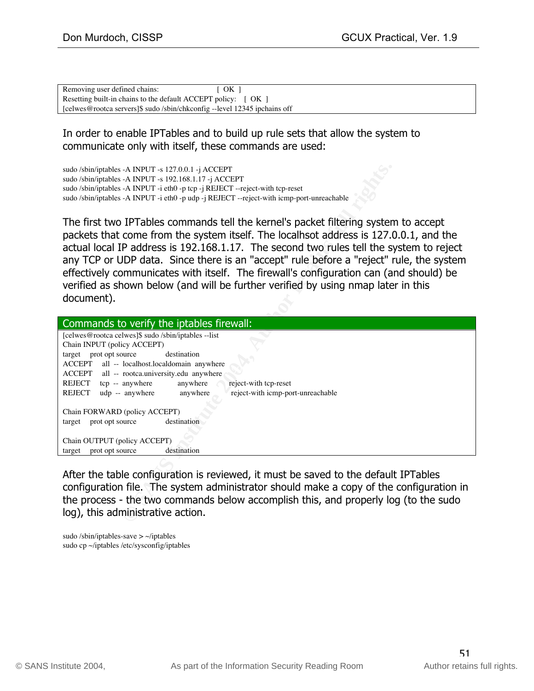| Removing user defined chains:                                             | $\sqrt{2}$ OK $\sqrt{2}$ |
|---------------------------------------------------------------------------|--------------------------|
| Resetting built-in chains to the default ACCEPT policy: [ OK ]            |                          |
| [celwes@rootca servers]\$ sudo /sbin/chkconfig --level 12345 ipchains off |                          |

### In order to enable IPTables and to build up rule sets that allow the system to communicate only with itself, these commands are used:

| sudo /sbin/iptables -A INPUT -s 127.0.0.1 -j ACCEPT<br>sudo /sbin/iptables -A INPUT -s 192.168.1.17 -j ACCEPT<br>sudo /sbin/iptables -A INPUT -i eth0 -p tcp -j REJECT --reject-with tcp-reset<br>sudo /sbin/iptables -A INPUT -i eth0 -p udp -j REJECT --reject-with icmp-port-unreachable                                                                                                                                                                                                                                                                     |  |  |
|-----------------------------------------------------------------------------------------------------------------------------------------------------------------------------------------------------------------------------------------------------------------------------------------------------------------------------------------------------------------------------------------------------------------------------------------------------------------------------------------------------------------------------------------------------------------|--|--|
| The first two IPTables commands tell the kernel's packet filtering system to accept<br>packets that come from the system itself. The localhsot address is 127.0.0.1, and the<br>actual local IP address is 192.168.1.17. The second two rules tell the system to reject<br>any TCP or UDP data. Since there is an "accept" rule before a "reject" rule, the system<br>effectively communicates with itself. The firewall's configuration can (and should) be<br>verified as shown below (and will be further verified by using nmap later in this<br>document). |  |  |
| Commands to verify the iptables firewall:                                                                                                                                                                                                                                                                                                                                                                                                                                                                                                                       |  |  |
| [celwes@rootca celwes]\$ sudo /sbin/iptables --list<br>Chain INPUT (policy ACCEPT)<br>target prot opt source<br>destination<br>ACCEPT<br>all -- localhost.localdomain anywhere<br>ACCEPT<br>all -- rootca.university.edu anywhere<br>REJECT tcp -- anywhere<br>anywhere<br>reject-with tcp-reset<br>REJECT<br>udp -- anywhere<br>reject-with icmp-port-unreachable<br>anywhere<br>Chain FORWARD (policy ACCEPT)                                                                                                                                                 |  |  |
| target prot opt source<br>destination                                                                                                                                                                                                                                                                                                                                                                                                                                                                                                                           |  |  |
| Chain OUTPUT (policy ACCEPT)<br>target prot opt source<br>destination                                                                                                                                                                                                                                                                                                                                                                                                                                                                                           |  |  |
| After the table configuration is reviewed, it must be saved to the default IPTables<br>configuration file. The system administrator should make a copy of the configuration in<br>the process - the two commands below accomplish this, and properly log (to the sudo<br>log), this administrative action.                                                                                                                                                                                                                                                      |  |  |

sudo /sbin/iptables-save  $> \sim$ /iptables sudo cp ~/iptables /etc/sysconfig/iptables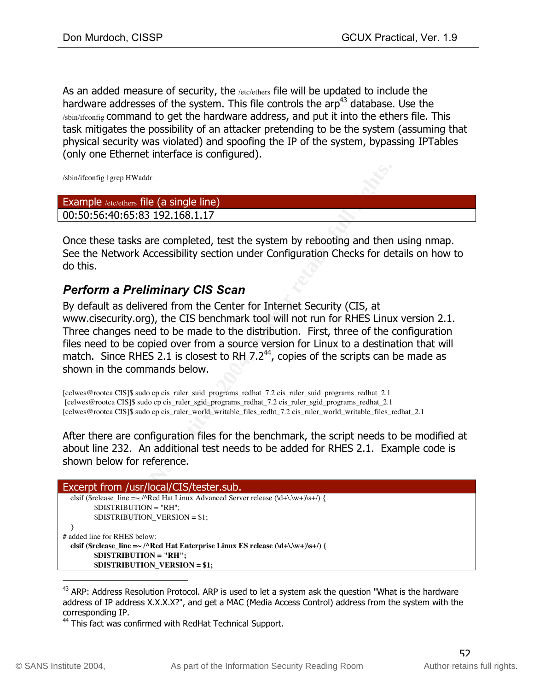As an added measure of security, the *letc/ethers* file will be updated to include the hardware addresses of the system. This file controls the  $\text{arp}^{43}$  database. Use the /sbin/ifconfig command to get the hardware address, and put it into the ethers file. This task mitigates the possibility of an attacker pretending to be the system (assuming that physical security was violated) and spoofing the IP of the system, bypassing IPTables (only one Ethernet interface is configured).

/sbin/ifconfig | grep HWaddr

| <b>Example</b> /etc/ethers file (a single line) |  |
|-------------------------------------------------|--|
| 00:50:56:40:65:83 192.168.1.17                  |  |
|                                                 |  |

Once these tasks are completed, test the system by rebooting and then using nmap. See the Network Accessibility section under Configuration Checks for details on how to do this.

## *Perform a Preliminary CIS Scan*

p HWaddr<br>
ethers file (a single line)<br> **EG5:83 192.168.1.17**<br> **CG5:83 192.168.1.17**<br>
aasks are completed, test the system by rebooting and then<br>
ovork Accessibility section under Configuration Checks for de<br> **Preliminary C** shown in the commands below. The  $\mathcal{S}_3$  and  $\mathcal{S}_4$  and  $\mathcal{S}_5$  and  $\mathcal{S}_6$  and  $\mathcal{S}_7$  and  $\mathcal{S}_8$  and  $\mathcal{S}_7$  and  $\mathcal{S}_8$  and  $\mathcal{S}_9$  and  $\mathcal{S}_8$  are  $\mathcal{S}_9$  and  $\mathcal{S}_9$  and  $\mathcal{S}_9$  are  $\mathcal{S$ By default as delivered from the Center for Internet Security (CIS, at www.cisecurity.org), the CIS benchmark tool will not run for RHES Linux version 2.1. Three changes need to be made to the distribution. First, three of the configuration files need to be copied over from a source version for Linux to a destination that will match. Since RHES 2.1 is closest to RH  $7.2^{44}$ , copies of the scripts can be made as

[celwes@rootca CIS]\$ sudo cp cis\_ruler\_suid\_programs\_redhat\_7.2 cis\_ruler\_suid\_programs\_redhat\_2.1 [celwes@rootca CIS]\$ sudo cp cis\_ruler\_sgid\_programs\_redhat\_7.2 cis\_ruler\_sgid\_programs\_redhat\_2.1 [celwes@rootca CIS]\$ sudo cp cis\_ruler\_world\_writable\_files\_redht\_7.2 cis\_ruler\_world\_writable\_files\_redhat\_2.1

After there are configuration files for the benchmark, the script needs to be modified at about line 232. An additional test needs to be added for RHES 2.1. Example code is shown below for reference.

| Excerpt from /usr/local/CIS/tester.sub.                                                |
|----------------------------------------------------------------------------------------|
| elsif (\$release line $=\sim$ /^Red Hat Linux Advanced Server release (\d+\\w+)\s+/) { |
| $SDISTRIBUTION = "RH":$                                                                |
| $DISTRIBUTION$ VERSION = \$1;                                                          |
|                                                                                        |
| # added line for RHES below:                                                           |
| elsif (\$release_line = $\sim$ /^Red Hat Enterprise Linux ES release (\d+\.\w+)\s+/) { |
| $SDISTRIBUTION = "RH":$                                                                |
| $IDISTRIBUTION$ VERSION = \$1;                                                         |

 $43$  ARP: Address Resolution Protocol. ARP is used to let a system ask the question "What is the hardware address of IP address X.X.X.X?", and get a MAC (Media Access Control) address from the system with the corresponding IP.

<sup>44</sup> This fact was confirmed with RedHat Technical Support.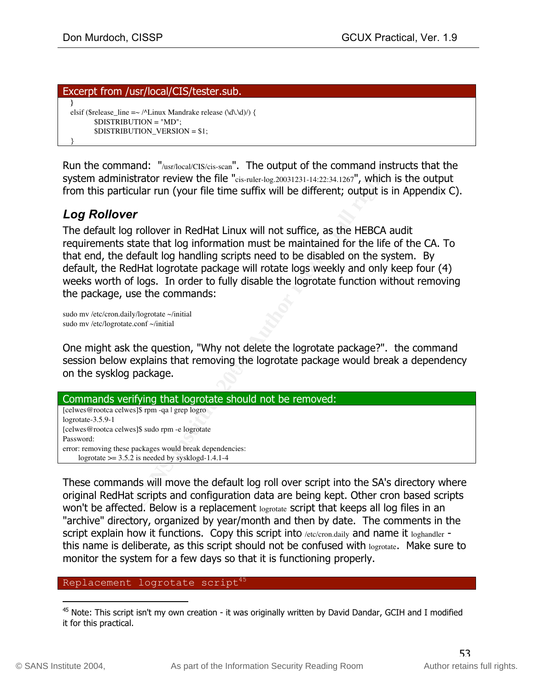#### Excerpt from /usr/local/CIS/tester.sub.  **}** elsif (\$release\_line  $=\sim$  /^Linux Mandrake release (\d\.\d)/) { \$DISTRIBUTION = "MD"; \$DISTRIBUTION\_VERSION = \$1; }

Run the command: "/usr/local/CIS/cis-scan". The output of the command instructs that the system administrator review the file "cis-ruler-log.20031231-14:22:34.1267", which is the output from this particular run (your file time suffix will be different; output is in Appendix C).

# *Log Rollover*

| Run the command: "/usr/local/CIS/cis-scan". The output of the command instructs that the<br>system administrator review the file "cis-ruler-log.20031231-14:22:34.1267", which is the output<br>from this particular run (your file time suffix will be different; output is in Appendix C).                                                                                                                                                                                                                                                                                                  |
|-----------------------------------------------------------------------------------------------------------------------------------------------------------------------------------------------------------------------------------------------------------------------------------------------------------------------------------------------------------------------------------------------------------------------------------------------------------------------------------------------------------------------------------------------------------------------------------------------|
| <b>Log Rollover</b><br>The default log rollover in RedHat Linux will not suffice, as the HEBCA audit<br>requirements state that log information must be maintained for the life of the CA. To<br>that end, the default log handling scripts need to be disabled on the system. By<br>default, the RedHat logrotate package will rotate logs weekly and only keep four (4)<br>weeks worth of logs. In order to fully disable the logrotate function without removing<br>the package, use the commands:<br>sudo mv /etc/cron.daily/logrotate ~/initial<br>sudo mv /etc/logrotate.conf ~/initial |
| One might ask the question, "Why not delete the logrotate package?". the command<br>session below explains that removing the logrotate package would break a dependency<br>on the sysklog package.                                                                                                                                                                                                                                                                                                                                                                                            |
| Commands verifying that logrotate should not be removed:                                                                                                                                                                                                                                                                                                                                                                                                                                                                                                                                      |
| [celwes@rootca celwes]\$ rpm -qa   grep logro<br>logrotate-3.5.9-1<br>[celwes@rootca celwes]\$ sudo rpm -e logrotate<br>Password:<br>error: removing these packages would break dependencies:<br>logrotate $\ge$ = 3.5.2 is needed by sysklogd-1.4.1-4                                                                                                                                                                                                                                                                                                                                        |
| These commands will move the default log roll over script into the SA's directory where<br>original RedHat scripts and configuration data are being kept. Other cron based scripts<br>won't be affected. Below is a replacement logrotate script that keeps all log files in an<br>"archive" directory, organized by year/month and then by date. The comments in the                                                                                                                                                                                                                         |

These commands will move the default log roll over script into the SA's directory where original RedHat scripts and configuration data are being kept. Other cron based scripts won't be affected. Below is a replacement logrotate script that keeps all log files in an "archive" directory, organized by year/month and then by date. The comments in the script explain how it functions. Copy this script into /etc/cron.daily and name it loghandler this name is deliberate, as this script should not be confused with logrotate. Make sure to monitor the system for a few days so that it is functioning properly.

#### Replacement logrotate script<sup>45</sup>

<sup>&</sup>lt;sup>45</sup> Note: This script isn't my own creation - it was originally written by David Dandar, GCIH and I modified it for this practical.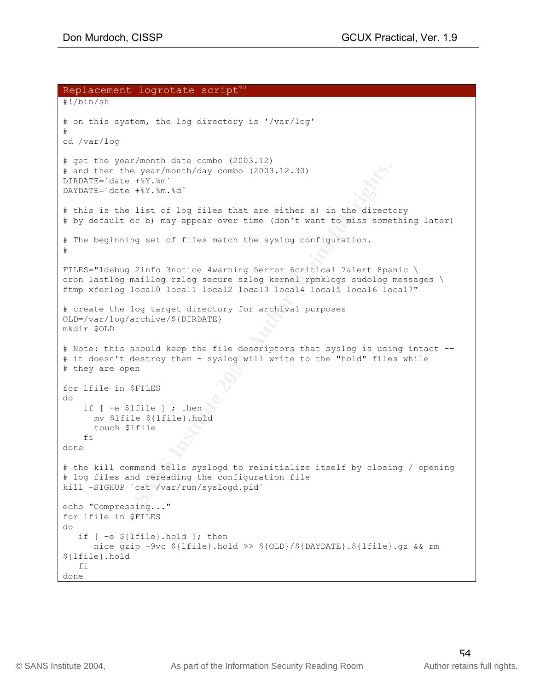```
the year/month/day combo (2003.12.30)<br>
Ece +%:$m.%d'<br>
Ce +%:$m.%d'<br>
Ce +%:$m.%d'<br>
Author Fig. 2014, Author retains full rights.<br>
<b>Combind \frac{1}{2} and \frac{1}{2} and \frac{1}{2} and \frac{1}{2} and \frac{1}{2} and \frac{1}{# they are open
Replacement logrotate script<sup>45</sup>
#!/bin/sh
# on this system, the log directory is '/var/log'
#
cd /var/log
# get the year/month date combo (2003.12)
# and then the year/month/day combo (2003.12.30)
DIRDATE=`date +%Y.%m`
DAYDATE=`date +%Y.%m.%d`
# this is the list of log files that are either a) in the directory
# by default or b) may appear over time (don't want to miss something later)
# The beginning set of files match the syslog configuration.
#
FILES="1debug 2info 3notice 4warning 5error 6critical 7alert 8panic \
cron lastlog maillog rzlog secure szlog kernel rpmklogs sudolog messages \
ftmp xferlog local0 local1 local2 local3 local4 local5 local6 local7"
# create the log target directory for archival purposes
OLD=/var/log/archive/${DIRDATE}
mkdir $OLD
# Note: this should keep the file descriptors that syslog is using intact --
# it doesn't destroy them - syslog will write to the "hold" files while
for lfile in $FILES
do
    if [ -e $lfile ] ; then
     mv $lfile ${lfile}.hold
      touch $lfile
     fi
done
# the kill command tells syslogd to reinitialize itself by closing / opening
# log files and rereading the configuration file
kill -SIGHUP `cat /var/run/syslogd.pid`
echo "Compressing..."
for lfile in $FILES
do
    if [ -e ${lfile}.hold ]; then
      nice gzip -9vc ${lfile}.hold >> ${OLD}/${DAYDATE}.${lfile}.gz && rm
${lfile}.hold
   f_1done
```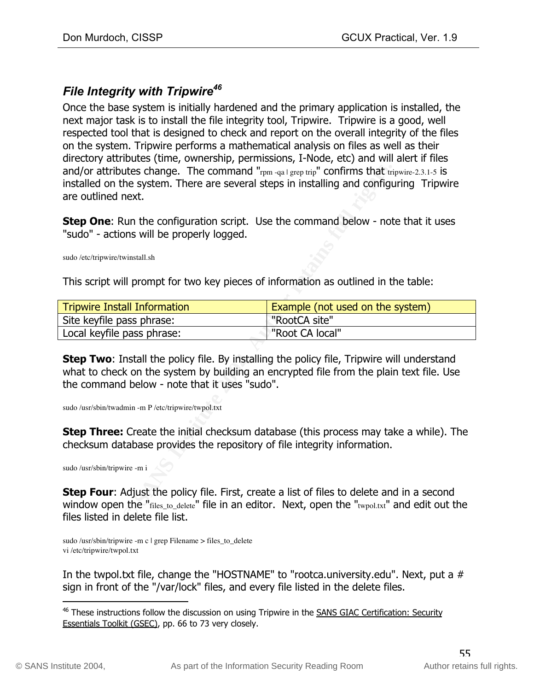## *File Integrity with Tripwire46*

Once the base system is initially hardened and the primary application is installed, the next major task is to install the file integrity tool, Tripwire. Tripwire is a good, well respected tool that is designed to check and report on the overall integrity of the files on the system. Tripwire performs a mathematical analysis on files as well as their directory attributes (time, ownership, permissions, I-Node, etc) and will alert if files and/or attributes change. The command "rpm-qa | grep trip" confirms that tripwire-2.3.1-5 is installed on the system. There are several steps in installing and configuring Tripwire are outlined next.

| and/or attributes change. The command " $r_{\text{pm-qa}}$   grep trip" confirms that tripwire-2.3.1-5 is<br>installed on the system. There are several steps in installing and configuring Tripwire<br>are outlined next.                                                                    |                                  |  |
|-----------------------------------------------------------------------------------------------------------------------------------------------------------------------------------------------------------------------------------------------------------------------------------------------|----------------------------------|--|
| Step One: Run the configuration script. Use the command below - note that it uses<br>"sudo" - actions will be properly logged.                                                                                                                                                                |                                  |  |
| sudo /etc/tripwire/twinstall.sh                                                                                                                                                                                                                                                               |                                  |  |
| This script will prompt for two key pieces of information as outlined in the table:                                                                                                                                                                                                           |                                  |  |
| <b>Tripwire Install Information</b>                                                                                                                                                                                                                                                           | Example (not used on the system) |  |
| Site keyfile pass phrase:                                                                                                                                                                                                                                                                     | "RootCA site"                    |  |
| Local keyfile pass phrase:                                                                                                                                                                                                                                                                    | "Root CA local"                  |  |
| Step Two: Install the policy file. By installing the policy file, Tripwire will understand<br>what to check on the system by building an encrypted file from the plain text file. Use<br>the command below - note that it uses "sudo".<br>sudo /usr/sbin/twadmin -m P /etc/tripwire/twpol.txt |                                  |  |
| <b>Step Three:</b> Create the initial checksum database (this process may take a while). The<br>checksum database provides the repository of file integrity information.<br>sudo /usr/sbin/tripwire -m i                                                                                      |                                  |  |
| Step Four: Adjust the policy file. First, create a list of files to delete and in a second<br>window open the "files_to_delete" file in an editor. Next, open the "twpol.txt" and edit out the<br>files listed in delete file list.                                                           |                                  |  |

sudo /usr/sbin/tripwire -m c | grep Filename > files\_to\_delete vi /etc/tripwire/twpol.txt

In the twpol.txt file, change the "HOSTNAME" to "rootca.university.edu". Next, put a # sign in front of the "/var/lock" files, and every file listed in the delete files.

<sup>&</sup>lt;sup>46</sup> These instructions follow the discussion on using Tripwire in the SANS GIAC Certification: Security Essentials Toolkit (GSEC), pp. 66 to 73 very closely.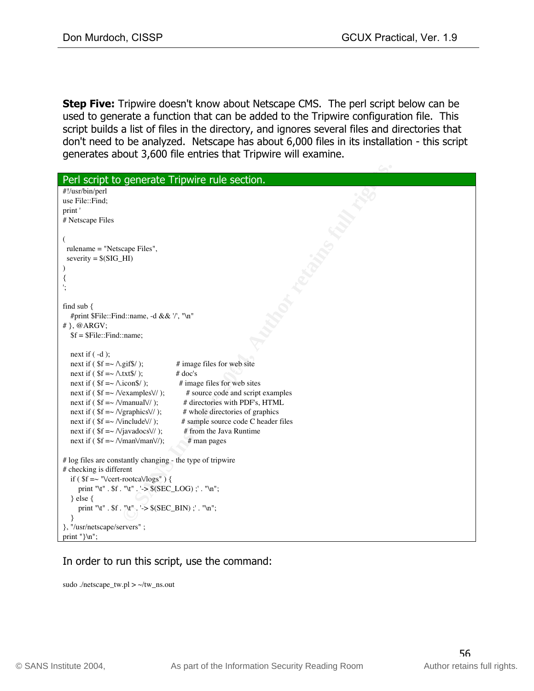**Step Five:** Tripwire doesn't know about Netscape CMS. The perl script below can be used to generate a function that can be added to the Tripwire configuration file. This script builds a list of files in the directory, and ignores several files and directories that don't need to be analyzed. Netscape has about 6,000 files in its installation - this script generates about 3,600 file entries that Tripwire will examine.

| Perl script to generate Tripwire rule section.                                        |  |
|---------------------------------------------------------------------------------------|--|
| #!/usr/bin/perl                                                                       |  |
| use File::Find;                                                                       |  |
| print'                                                                                |  |
| # Netscape Files                                                                      |  |
|                                                                                       |  |
| €                                                                                     |  |
| rulename = "Netscape Files",                                                          |  |
| severity = $$ (SIG_HI)$                                                               |  |
|                                                                                       |  |
| ₹                                                                                     |  |
| ١,                                                                                    |  |
|                                                                                       |  |
| find sub {                                                                            |  |
| #print \$File::Find::name, -d && '/', "\n"                                            |  |
| $#$ , @ARGV;                                                                          |  |
| $$f = $File::Find::name;$                                                             |  |
|                                                                                       |  |
| next if $(-d)$ ;                                                                      |  |
| next if ( $f = \sim \Lambda$ gif\$/);<br># image files for web site                   |  |
| next if $($ \$f = $\sim \Lambda$ txt\$/ );<br>$#$ doc's                               |  |
| next if $($f = \sim \Lambda \text{.icon}(s)$ ;<br># image files for web sites         |  |
| next if ( $$f = \sim \text{Nexamples}$ );<br># source code and script examples        |  |
| next if ( $$f = \sim \text{NmanualV/}$ );<br># directories with PDF's, HTML           |  |
| next if ( $f = \sim \sqrt{graphics}$ );<br># whole directories of graphics            |  |
| next if ( $$f = \sim \text{Ninclude}}$ \);<br># sample source code C header files     |  |
| next if ( $f = \sim N$ javadocs $V/$ );<br># from the Java Runtime                    |  |
| next if ( $f = \sim \text{NmanVmanV}$ );<br># man pages                               |  |
|                                                                                       |  |
| # log files are constantly changing - the type of tripwire<br># checking is different |  |
| if ( $f = \sim$ "Veert-rootcaVlogs") {                                                |  |
| print "\t" . $f$ . "\t" . '-> $(SEC\_LOG)$ ;' . "\n";                                 |  |
| $\}$ else $\{$                                                                        |  |
| print "\t". $f:$ "\t". '-> $(SEC_BIN)$ ;'. "\n";                                      |  |
| ł                                                                                     |  |
| }, "/usr/netscape/servers";                                                           |  |
| print "}\n";                                                                          |  |
|                                                                                       |  |

### In order to run this script, use the command:

sudo ./netscape\_tw.pl  $> \sim$ /tw\_ns.out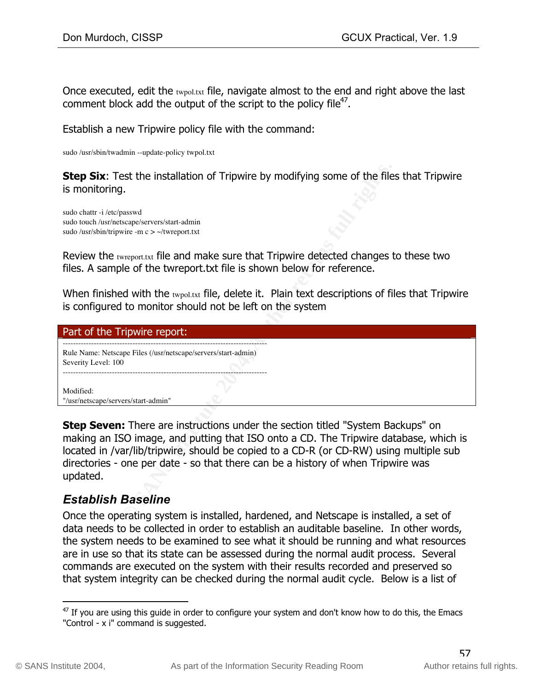Once executed, edit the twpol.txt file, navigate almost to the end and right above the last comment block add the output of the script to the policy file<sup>47</sup>.

Establish a new Tripwire policy file with the command:

sudo /usr/sbin/twadmin --update-policy twpol.txt

| <b>Step Six:</b> Test the installation of Tripwire by modifying some of the files that Tripwire<br>is monitoring.                                                                                                                                                                                                                                                        |
|--------------------------------------------------------------------------------------------------------------------------------------------------------------------------------------------------------------------------------------------------------------------------------------------------------------------------------------------------------------------------|
| sudo chattr -i /etc/passwd<br>sudo touch /usr/netscape/servers/start-admin<br>sudo /usr/sbin/tripwire -m $c$ > ~/twreport.txt                                                                                                                                                                                                                                            |
| Review the twreport.txt file and make sure that Tripwire detected changes to these two<br>files. A sample of the twreport txt file is shown below for reference.                                                                                                                                                                                                         |
| When finished with the twpol.txt file, delete it. Plain text descriptions of files that Tripwire<br>is configured to monitor should not be left on the system                                                                                                                                                                                                            |
| Part of the Tripwire report:                                                                                                                                                                                                                                                                                                                                             |
| Rule Name: Netscape Files (/usr/netscape/servers/start-admin)                                                                                                                                                                                                                                                                                                            |
| Severity Level: 100                                                                                                                                                                                                                                                                                                                                                      |
| Modified:<br>"/usr/netscape/servers/start-admin"                                                                                                                                                                                                                                                                                                                         |
| <b>Step Seven:</b> There are instructions under the section titled "System Backups" on<br>making an ISO image, and putting that ISO onto a CD. The Tripwire database, which is<br>located in /var/lib/tripwire, should be copied to a CD-R (or CD-RW) using multiple sub<br>directories - one per date - so that there can be a history of when Tripwire was<br>updated. |
| <b>Establish Baseline</b>                                                                                                                                                                                                                                                                                                                                                |

## *Establish Baseline*

Once the operating system is installed, hardened, and Netscape is installed, a set of data needs to be collected in order to establish an auditable baseline. In other words, the system needs to be examined to see what it should be running and what resources are in use so that its state can be assessed during the normal audit process. Several commands are executed on the system with their results recorded and preserved so that system integrity can be checked during the normal audit cycle. Below is a list of

 $47$  If you are using this guide in order to configure your system and don't know how to do this, the Emacs "Control - x i" command is suggested.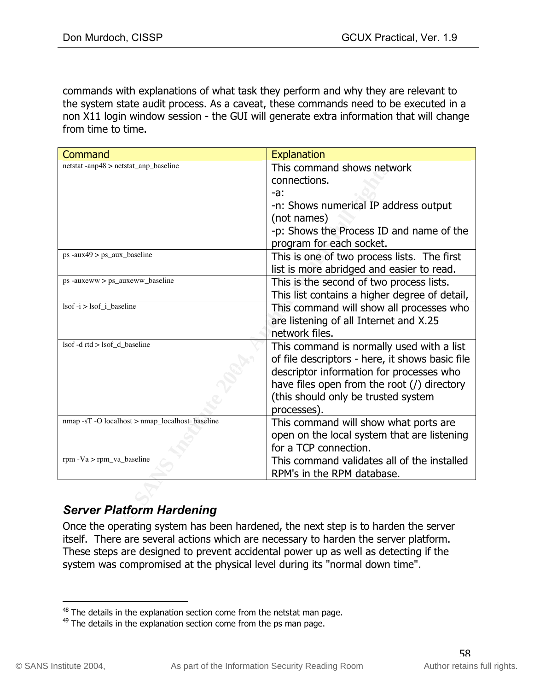commands with explanations of what task they perform and why they are relevant to the system state audit process. As a caveat, these commands need to be executed in a non X11 login window session - the GUI will generate extra information that will change from time to time.

| Command                                                 | <b>Explanation</b>                              |
|---------------------------------------------------------|-------------------------------------------------|
| netstat -anp48 > netstat_anp_baseline                   | This command shows network                      |
|                                                         | connections.                                    |
|                                                         | -а:                                             |
|                                                         | -n: Shows numerical IP address output           |
|                                                         | (not names)                                     |
|                                                         | -p: Shows the Process ID and name of the        |
|                                                         | program for each socket.                        |
| ps -aux49 > ps_aux_baseline                             | This is one of two process lists. The first     |
|                                                         | list is more abridged and easier to read.       |
| $ps$ -auxeww $> ps$ auxeww baseline                     | This is the second of two process lists.        |
|                                                         | This list contains a higher degree of detail,   |
| $\text{lsof} -\text{i} > \text{lsof}$ <i>i</i> baseline | This command will show all processes who        |
|                                                         | are listening of all Internet and X.25          |
|                                                         | network files.                                  |
| lsof -d rtd > lsof_d_baseline                           | This command is normally used with a list       |
|                                                         | of file descriptors - here, it shows basic file |
|                                                         | descriptor information for processes who        |
|                                                         | have files open from the root $($ ) directory   |
|                                                         | (this should only be trusted system             |
|                                                         | processes).                                     |
| nmap -sT -O localhost > nmap_localhost_baseline         | This command will show what ports are           |
|                                                         | open on the local system that are listening     |
|                                                         | for a TCP connection.                           |
| rpm $-Va$ > rpm_va_baseline                             | This command validates all of the installed     |
|                                                         | RPM's in the RPM database.                      |
|                                                         |                                                 |
| <b>Server Platform Hardening</b>                        |                                                 |
|                                                         |                                                 |

# *Server Platform Hardening*

Once the operating system has been hardened, the next step is to harden the server itself. There are several actions which are necessary to harden the server platform. These steps are designed to prevent accidental power up as well as detecting if the system was compromised at the physical level during its "normal down time".

 $48$  The details in the explanation section come from the netstat man page.

 $49$  The details in the explanation section come from the ps man page.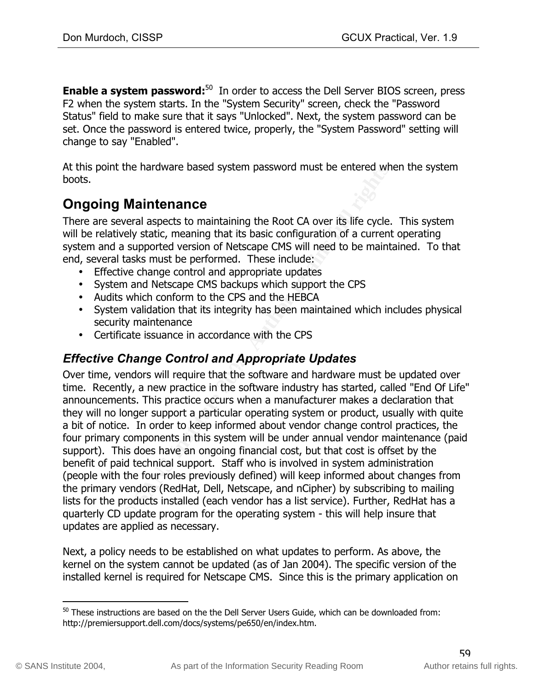**Enable a system password:**<sup>50</sup> In order to access the Dell Server BIOS screen, press F2 when the system starts. In the "System Security" screen, check the "Password Status" field to make sure that it says "Unlocked". Next, the system password can be set. Once the password is entered twice, properly, the "System Password" setting will change to say "Enabled".

At this point the hardware based system password must be entered when the system boots.

# **Ongoing Maintenance**

There are several aspects to maintaining the Root CA over its life cycle. This system will be relatively static, meaning that its basic configuration of a current operating system and a supported version of Netscape CMS will need to be maintained. To that end, several tasks must be performed. These include:

- Effective change control and appropriate updates
- System and Netscape CMS backups which support the CPS
- Audits which conform to the CPS and the HEBCA
- System validation that its integrity has been maintained which includes physical security maintenance
- Certificate issuance in accordance with the CPS

## *Effective Change Control and Appropriate Updates*

the hardware based system password must be entered who<br> **Maintenance**<br>
Weral aspects to maintaining the Root CA over its life cycle.<br>
Selve the maining that its basic configuration of a current<br>
tasks must be performed. Th Over time, vendors will require that the software and hardware must be updated over time. Recently, a new practice in the software industry has started, called "End Of Life" announcements. This practice occurs when a manufacturer makes a declaration that they will no longer support a particular operating system or product, usually with quite a bit of notice. In order to keep informed about vendor change control practices, the four primary components in this system will be under annual vendor maintenance (paid support). This does have an ongoing financial cost, but that cost is offset by the benefit of paid technical support. Staff who is involved in system administration (people with the four roles previously defined) will keep informed about changes from the primary vendors (RedHat, Dell, Netscape, and nCipher) by subscribing to mailing lists for the products installed (each vendor has a list service). Further, RedHat has a quarterly CD update program for the operating system - this will help insure that updates are applied as necessary.

Next, a policy needs to be established on what updates to perform. As above, the kernel on the system cannot be updated (as of Jan 2004). The specific version of the installed kernel is required for Netscape CMS. Since this is the primary application on

 $50$  These instructions are based on the the Dell Server Users Guide, which can be downloaded from: http://premiersupport.dell.com/docs/systems/pe650/en/index.htm.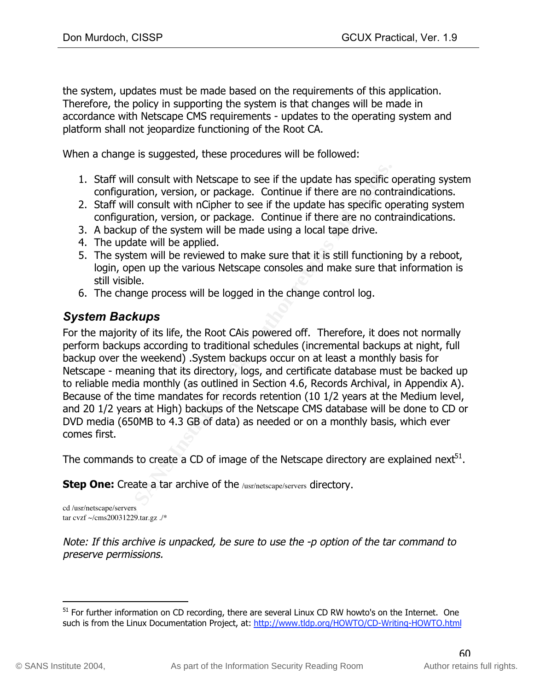the system, updates must be made based on the requirements of this application. Therefore, the policy in supporting the system is that changes will be made in accordance with Netscape CMS requirements - updates to the operating system and platform shall not jeopardize functioning of the Root CA.

When a change is suggested, these procedures will be followed:

- 1. Staff will consult with Netscape to see if the update has specific operating system configuration, version, or package. Continue if there are no contraindications.
- 2. Staff will consult with nCipher to see if the update has specific operating system configuration, version, or package. Continue if there are no contraindications.
- 3. A backup of the system will be made using a local tape drive.
- 4. The update will be applied.
- 5. The system will be reviewed to make sure that it is still functioning by a reboot, login, open up the various Netscape consoles and make sure that information is still visible.
- 6. The change process will be logged in the change control log.

# *System Backups*

will consult with Netscape to see if the update has specific curation, version, or package. Continue if there are no cont<br>will consult with nCipher to see if the update has specific op<br>uration, version, or package. Continu Netscape - meaning that its directory, logs, and certificate database must be backed up For the majority of its life, the Root CAis powered off. Therefore, it does not normally perform backups according to traditional schedules (incremental backups at night, full backup over the weekend) .System backups occur on at least a monthly basis for to reliable media monthly (as outlined in Section 4.6, Records Archival, in Appendix A). Because of the time mandates for records retention (10 1/2 years at the Medium level, and 20 1/2 years at High) backups of the Netscape CMS database will be done to CD or DVD media (650MB to 4.3 GB of data) as needed or on a monthly basis, which ever comes first.

The commands to create a CD of image of the Netscape directory are explained next $^{51}$ .

**Step One:** Create a tar archive of the /usr/netscape/servers directory.

cd /usr/netscape/servers tar cvzf ~/cms20031229.tar.gz ./\*

Note: If this archive is unpacked, be sure to use the -p option of the tar command to preserve permissions.

<sup>&</sup>lt;sup>51</sup> For further information on CD recording, there are several Linux CD RW howto's on the Internet. One such is from the Linux Documentation Project, at: http://www.tldp.org/HOWTO/CD-Writing-HOWTO.html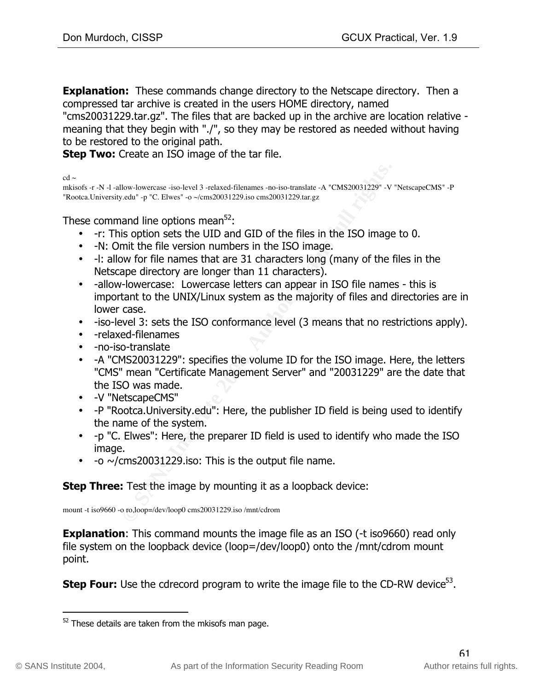**Explanation:** These commands change directory to the Netscape directory. Then a compressed tar archive is created in the users HOME directory, named "cms20031229.tar.gz". The files that are backed up in the archive are location relative meaning that they begin with "./", so they may be restored as needed without having to be restored to the original path.

**Step Two:** Create an ISO image of the tar file.

 $cd \sim$ 

mkisofs -r -N -l -allow-lowercase -iso-level 3 -relaxed-filenames -no-iso-translate -A "CMS20031229" -V "NetscapeCMS" -P "Rootca.University.edu" -p "C. Elwes" -o ~/cms20031229.iso cms20031229.tar.gz

These command line options mean $52$ :

- -r: This option sets the UID and GID of the files in the ISO image to 0.
- -N: Omit the file version numbers in the ISO image.
- -l: allow for file names that are 31 characters long (many of the files in the Netscape directory are longer than 11 characters).
- Ilow-lowerase -iso-level 3 -relaxed-filenames -no-iso-translate -A \*CMS20031229"-V<br>
Cedu<sup>1</sup> -p "C. Elwes" -o -coms20031229.iso cms20031229.tar.gz<br> **Example 12016 and GD of the files in the ISO images in the ISO images opti** • -allow-lowercase: Lowercase letters can appear in ISO file names - this is important to the UNIX/Linux system as the majority of files and directories are in lower case.
- -iso-level 3: sets the ISO conformance level (3 means that no restrictions apply).
- -relaxed-filenames
- -no-iso-translate
- "CMS" mean "Certificate Management Server" and "20031229" are the date that • -A "CMS20031229": specifies the volume ID for the ISO image. Here, the letters the ISO was made.
- -V "NetscapeCMS"
- -P "Rootca.University.edu": Here, the publisher ID field is being used to identify the name of the system.
- -p "C. Elwes": Here, the preparer ID field is used to identify who made the ISO image.
- $\sim$   $\sim$ /cms20031229.iso: This is the output file name.

### **Step Three:** Test the image by mounting it as a loopback device:

mount -t iso9660 -o ro,loop=/dev/loop0 cms20031229.iso /mnt/cdrom

**Explanation:** This command mounts the image file as an ISO (-t iso9660) read only file system on the loopback device (loop=/dev/loop0) onto the /mnt/cdrom mount point.

**Step Four:** Use the cdrecord program to write the image file to the CD-RW device<sup>53</sup>.

 $52$  These details are taken from the mkisofs man page.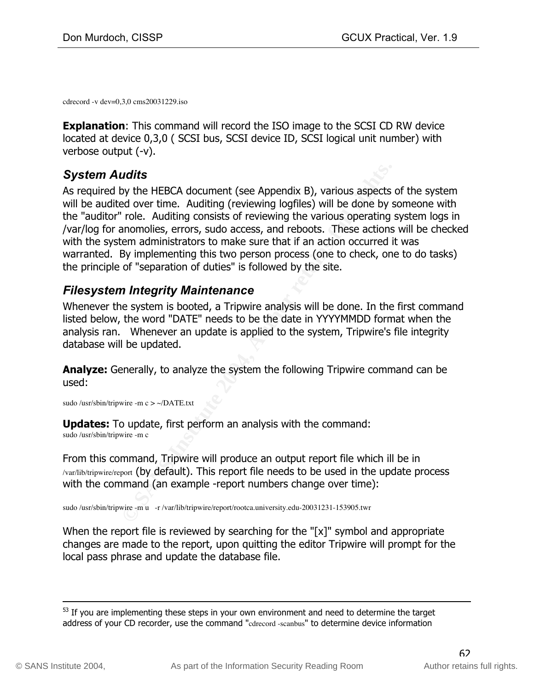cdrecord -v dev=0,3,0 cms20031229.iso

**Explanation:** This command will record the ISO image to the SCSI CD RW device located at device 0,3,0 ( SCSI bus, SCSI device ID, SCSI logical unit number) with verbose output (-v).

## *System Audits*

**Latifs**<br> **CONTRETTS AND AUTE CONTEX (SEE Appendix B)**, various aspects<br>
Ed over time. Auditing (reviewing logfiles) will be done by s<br>
Tole. Auditing consists of reviewing the various operating<br>
anomonolies, errors, sudo As required by the HEBCA document (see Appendix B), various aspects of the system will be audited over time. Auditing (reviewing logfiles) will be done by someone with the "auditor" role. Auditing consists of reviewing the various operating system logs in /var/log for anomolies, errors, sudo access, and reboots. These actions will be checked with the system administrators to make sure that if an action occurred it was warranted. By implementing this two person process (one to check, one to do tasks) the principle of "separation of duties" is followed by the site.

## *Filesystem Integrity Maintenance*

Whenever the system is booted, a Tripwire analysis will be done. In the first command listed below, the word "DATE" needs to be the date in YYYYMMDD format when the analysis ran. Whenever an update is applied to the system, Tripwire's file integrity database will be updated.

**Analyze:** Generally, to analyze the system the following Tripwire command can be used:

sudo /usr/sbin/tripwire -m c > ~/DATE.txt

**Updates:** To update, first perform an analysis with the command: sudo /usr/sbin/tripwire -m c

From this command, Tripwire will produce an output report file which ill be in /var/lib/tripwire/report (by default). This report file needs to be used in the update process with the command (an example -report numbers change over time):

sudo /usr/sbin/tripwire -m u -r /var/lib/tripwire/report/rootca.university.edu-20031231-153905.twr

When the report file is reviewed by searching for the "[x]" symbol and appropriate changes are made to the report, upon quitting the editor Tripwire will prompt for the local pass phrase and update the database file.

 $53$  If you are implementing these steps in your own environment and need to determine the target address of your CD recorder, use the command "cdrecord -scanbus" to determine device information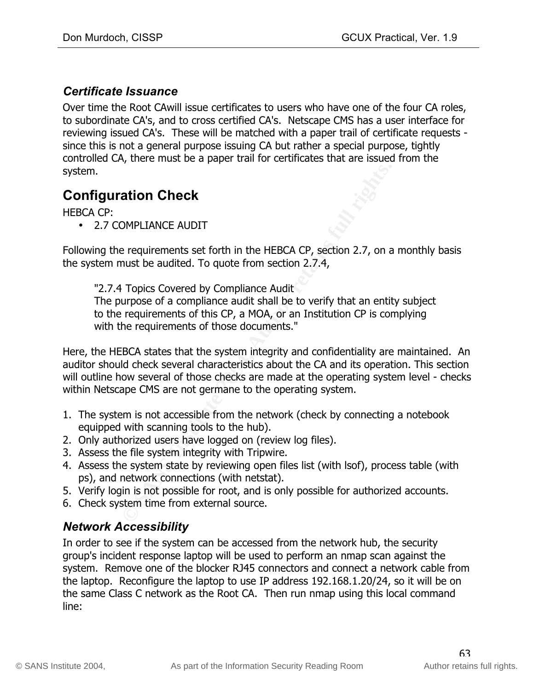## *Certificate Issuance*

Over time the Root CAwill issue certificates to users who have one of the four CA roles, to subordinate CA's, and to cross certified CA's. Netscape CMS has a user interface for reviewing issued CA's. These will be matched with a paper trail of certificate requests since this is not a general purpose issuing CA but rather a special purpose, tightly controlled CA, there must be a paper trail for certificates that are issued from the system.

# **Configuration Check**

HEBCA CP:

• 2.7 COMPLIANCE AUDIT

Following the requirements set forth in the HEBCA CP, section 2.7, on a monthly basis the system must be audited. To quote from section 2.7.4,

"2.7.4 Topics Covered by Compliance Audit The purpose of a compliance audit shall be to verify that an entity subject to the requirements of this CP, a MOA, or an Institution CP is complying with the requirements of those documents."

**Example 12**<br> **Example 2008 Complements set forth in the HEBCA CP, section 2.7, on a<br>
must be audited. To quote from section 2.7.4,<br>
<b>Fopics Covered by Compliance Audit**<br> **Examplese of a compliance audit shall be to verify** auditor should check several characteristics about the CA and its operation. This section<br>will suffice have seemed of these about the case wede at the concenting western land, also de Here, the HEBCA states that the system integrity and confidentiality are maintained. An will outline how several of those checks are made at the operating system level - checks within Netscape CMS are not germane to the operating system.

- 1. The system is not accessible from the network (check by connecting a notebook equipped with scanning tools to the hub).
- 2. Only authorized users have logged on (review log files).
- 3. Assess the file system integrity with Tripwire.
- 4. Assess the system state by reviewing open files list (with lsof), process table (with ps), and network connections (with netstat).
- 5. Verify login is not possible for root, and is only possible for authorized accounts.
- 6. Check system time from external source.

## *Network Accessibility*

In order to see if the system can be accessed from the network hub, the security group's incident response laptop will be used to perform an nmap scan against the system. Remove one of the blocker RJ45 connectors and connect a network cable from the laptop. Reconfigure the laptop to use IP address 192.168.1.20/24, so it will be on the same Class C network as the Root CA. Then run nmap using this local command line: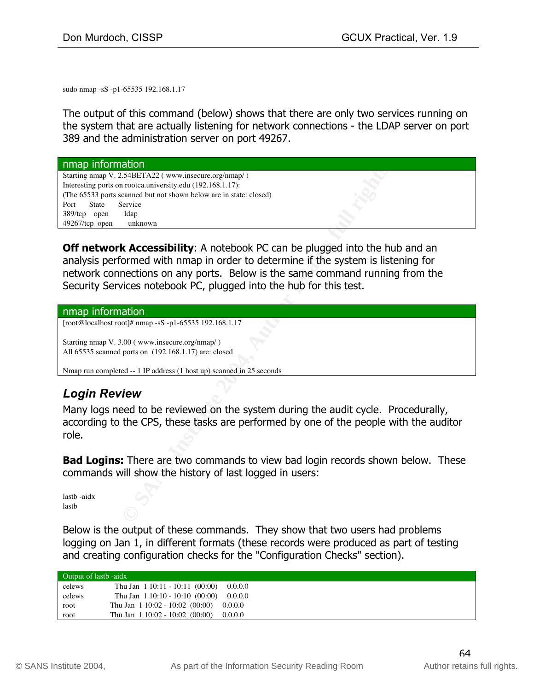sudo nmap -sS -p1-65535 192.168.1.17

The output of this command (below) shows that there are only two services running on the system that are actually listening for network connections - the LDAP server on port 389 and the administration server on port 49267.

| nmap information                                                                                                                                                                                                                                                                                                              |
|-------------------------------------------------------------------------------------------------------------------------------------------------------------------------------------------------------------------------------------------------------------------------------------------------------------------------------|
| Starting nmap V. 2.54BETA22 (www.insecure.org/nmap/)                                                                                                                                                                                                                                                                          |
| Interesting ports on rootca.university.edu (192.168.1.17):<br>(The 65533 ports scanned but not shown below are in state: closed)                                                                                                                                                                                              |
| Port<br><b>State</b><br>Service                                                                                                                                                                                                                                                                                               |
| 389/tcp open<br>ldap                                                                                                                                                                                                                                                                                                          |
| $49267$ /tcp open<br>unknown                                                                                                                                                                                                                                                                                                  |
|                                                                                                                                                                                                                                                                                                                               |
| <b>Off network Accessibility:</b> A notebook PC can be plugged into the hub and an<br>analysis performed with nmap in order to determine if the system is listening for<br>network connections on any ports. Below is the same command running from the<br>Security Services notebook PC, plugged into the hub for this test. |
| nmap information                                                                                                                                                                                                                                                                                                              |
| [root@localhost root]# nmap -sS -p1-65535 192.168.1.17                                                                                                                                                                                                                                                                        |
| Starting nmap V. 3.00 (www.insecure.org/nmap/)<br>All 65535 scanned ports on (192.168.1.17) are: closed                                                                                                                                                                                                                       |
| Nmap run completed -- 1 IP address (1 host up) scanned in 25 seconds                                                                                                                                                                                                                                                          |
|                                                                                                                                                                                                                                                                                                                               |
| <b>Login Review</b>                                                                                                                                                                                                                                                                                                           |
| Many logs need to be reviewed on the system during the audit cycle. Procedurally,<br>according to the CPS, these tasks are performed by one of the people with the auditor                                                                                                                                                    |
| role.                                                                                                                                                                                                                                                                                                                         |
| <b>Bad Logins:</b> There are two commands to view bad login records shown below. These<br>commands will show the history of last logged in users:                                                                                                                                                                             |
| lastb-aidx<br>lastb                                                                                                                                                                                                                                                                                                           |

#### nmap information

## *Login Review*

Below is the output of these commands. They show that two users had problems logging on Jan 1, in different formats (these records were produced as part of testing and creating configuration checks for the "Configuration Checks" section).

| Output of lastb -aidx |                                     |         |
|-----------------------|-------------------------------------|---------|
| celews                | Thu Jan $1\ 10:11 - 10:11\ (00:00)$ | 0.0.0.0 |
| celews                | Thu Jan $1\ 10:10 - 10:10\ (00:00)$ | 0.0.0.0 |
| root                  | Thu Jan $1\,10:02 - 10:02\,(00:00)$ | 0.0.0.0 |
| root                  | Thu Jan $1\,10:02 - 10:02\,(00:00)$ | 0.0.0.0 |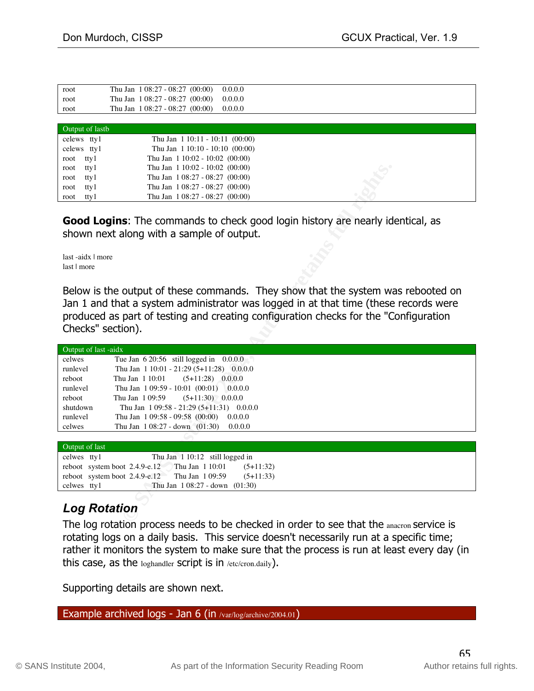| root            | 0.0.0.0<br>Thu Jan $1\,08:27 - 08:27\,(00:00)$ |  |
|-----------------|------------------------------------------------|--|
| root            | Thu Jan $1\,08:27 - 08:27(00:00)$<br>0.0.0.0   |  |
| root            | Thu Jan $1\,08:27 - 08:27\,(00:00)$<br>0.0.0.0 |  |
|                 |                                                |  |
| Output of lastb |                                                |  |
| celews ttyl     | Thu Jan $1\ 10:11 - 10:11\ (00:00)$            |  |
| celews ttyl     | Thu Jan $1\ 10:10 - 10:10\ (00:00)$            |  |
| root ttyl       | Thu Jan $1\,10:02 - 10:02\,(00:00)$            |  |
| tty1<br>root    | Thu Jan $1\,10:02 - 10:02\,(00:00)$            |  |
| tty1<br>root    | Thu Jan $1\,08:27 - 08:27\,(00:00)$            |  |
| tty1<br>root    | Thu Jan $1\,08:27 - 08:27\,(00:00)$            |  |
| tty1<br>root    | Thu Jan $1\,08:27 - 08:27\,(00:00)$            |  |

| tty1<br>root                                 | Thu Jan 1 10:02 - 10:02 (00:00)                                                                                                                                                                                                                                   |  |
|----------------------------------------------|-------------------------------------------------------------------------------------------------------------------------------------------------------------------------------------------------------------------------------------------------------------------|--|
| tty1<br>root                                 | Thu Jan 108:27 - 08:27 (00:00)                                                                                                                                                                                                                                    |  |
| tty1<br>root                                 | Thu Jan 108:27 - 08:27 (00:00)                                                                                                                                                                                                                                    |  |
| tty1<br>root                                 | Thu Jan 108:27 - 08:27 (00:00)                                                                                                                                                                                                                                    |  |
| last -aidx   more                            | <b>Good Logins:</b> The commands to check good login history are nearly identical, as<br>shown next along with a sample of output.                                                                                                                                |  |
| last   more                                  |                                                                                                                                                                                                                                                                   |  |
|                                              |                                                                                                                                                                                                                                                                   |  |
| Checks" section).                            | Below is the output of these commands. They show that the system was rebooted on<br>Jan 1 and that a system administrator was logged in at that time (these records were<br>produced as part of testing and creating configuration checks for the "Configuration" |  |
|                                              |                                                                                                                                                                                                                                                                   |  |
| Output of last -aidx                         |                                                                                                                                                                                                                                                                   |  |
| celwes                                       | Tue Jan $6\ 20:56$ still logged in $0.000$ .                                                                                                                                                                                                                      |  |
| runlevel                                     | Thu Jan 1 10:01 - 21:29 (5+11:28) 0.0.0.0                                                                                                                                                                                                                         |  |
| reboot                                       | Thu Jan 1 10:01<br>$(5+11:28)$ 0.0.0.0                                                                                                                                                                                                                            |  |
| runlevel                                     | Thu Jan 1 09:59 - 10:01 (00:01) 0.0.0.0                                                                                                                                                                                                                           |  |
| reboot                                       | $(5+11:30)$ 0.0.0.0<br>Thu Jan 109:59                                                                                                                                                                                                                             |  |
| shutdown                                     | Thu Jan 109:58 - 21:29 (5+11:31) 0.0.0.0                                                                                                                                                                                                                          |  |
| runlevel                                     | Thu Jan 109:58 - 09:58 (00:00)<br>0.0.0.0                                                                                                                                                                                                                         |  |
| celwes                                       | Thu Jan $1\,08:27$ - down $(01:30)$<br>0.0.0.0                                                                                                                                                                                                                    |  |
|                                              |                                                                                                                                                                                                                                                                   |  |
| Output of last                               |                                                                                                                                                                                                                                                                   |  |
| celwes tty1                                  | Thu Jan $110:12$ still logged in                                                                                                                                                                                                                                  |  |
|                                              | reboot system boot 2.4.9-e.12 Thu Jan 1 10:01<br>$(5+11:32)$<br>Thu Jan 109:59<br>$(5+11:33)$                                                                                                                                                                     |  |
| reboot system boot 2.4.9-e.12<br>celwes tty1 | Thu Jan 108:27 - down (01:30)                                                                                                                                                                                                                                     |  |
|                                              |                                                                                                                                                                                                                                                                   |  |
| <b>Log Rotation</b>                          |                                                                                                                                                                                                                                                                   |  |

| Output of last |                                   |                                     |  |
|----------------|-----------------------------------|-------------------------------------|--|
| celwes ttyl    |                                   | Thu Jan $1\ 10:12$ still logged in  |  |
|                | reboot system boot 2.4.9-e.12     | Thu Jan 1 10:01<br>$(5+11:32)$      |  |
|                | reboot system boot $2.4.9 - e.12$ | $(5+11:33)$<br>Thu Jan 109:59       |  |
| celwes ttyl    |                                   | Thu Jan $1\,08:27$ - down $(01:30)$ |  |

# *Log Rotation*

The log rotation process needs to be checked in order to see that the anacron service is rotating logs on a daily basis. This service doesn't necessarily run at a specific time; rather it monitors the system to make sure that the process is run at least every day (in this case, as the loghandler script is in /etc/cron.daily).

Supporting details are shown next.

Example archived logs - Jan 6 (in /var/log/archive/2004.01)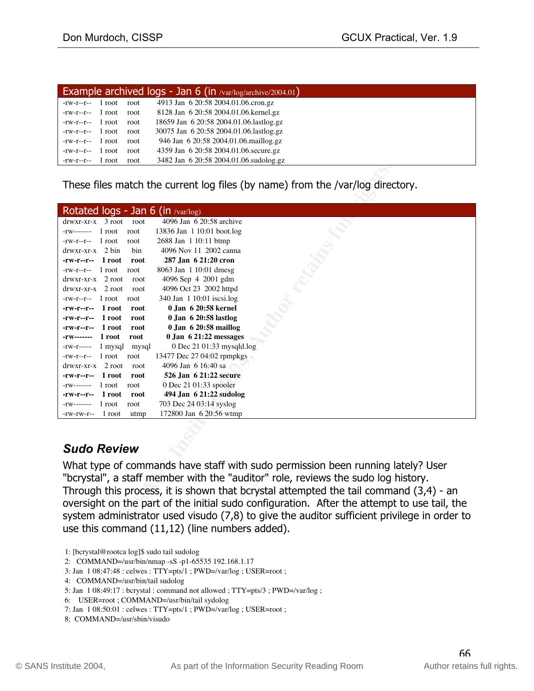| Example archived logs - Jan 6 (in /var/log/archive/2004.01) |        |      |                                         |
|-------------------------------------------------------------|--------|------|-----------------------------------------|
| $-rw-r-r-$                                                  | 1 root | root | 4913 Jan 6 20:58 2004.01.06.cron.gz     |
| $-rw-r-r--$ 1 root                                          |        | root | 8128 Jan 6 20:58 2004.01.06.kernel.gz   |
| $-rw-r-r-1$ root                                            |        | root | 18659 Jan 6 20:58 2004.01.06.lastlog.gz |
| $-rw-r-r-1$ root                                            |        | root | 30075 Jan 6 20:58 2004.01.06.lastlog.gz |
| $-rw-r-r-1$ root                                            |        | root | 946 Jan 6 20:58 2004.01.06.maillog.gz   |
| $-rw-r-r-$                                                  | 1 root | root | 4359 Jan 6 20:58 2004.01.06. secure.gz  |
| $-rw-r-r-1$ root                                            |        | root | 3482 Jan 6 20:58 2004.01.06.sudolog.gz  |

| These files match the current log files (by name) from the /var/log directory.                                                                                                                                                                                                                                                                                                                                                                                |  |  |  |
|---------------------------------------------------------------------------------------------------------------------------------------------------------------------------------------------------------------------------------------------------------------------------------------------------------------------------------------------------------------------------------------------------------------------------------------------------------------|--|--|--|
| Rotated logs - Jan 6 (in $\sqrt{varlog}$ )                                                                                                                                                                                                                                                                                                                                                                                                                    |  |  |  |
| 4096 Jan 6 20:58 archive<br>$d$ rwxr-xr-x $3$ root<br>root                                                                                                                                                                                                                                                                                                                                                                                                    |  |  |  |
| 13836 Jan 1 10:01 boot.log<br>$-rw$ ------- 1 root<br>root                                                                                                                                                                                                                                                                                                                                                                                                    |  |  |  |
| 2688 Jan 1 10:11 btmp<br>$-rw-r-r-1$ root<br>root                                                                                                                                                                                                                                                                                                                                                                                                             |  |  |  |
| $d$ rwxr-xr-x 2 bin<br>4096 Nov 11 2002 canna<br>bin                                                                                                                                                                                                                                                                                                                                                                                                          |  |  |  |
| 287 Jan 6 21:20 cron<br>$-rw-r -r -r - 1 root$<br>root                                                                                                                                                                                                                                                                                                                                                                                                        |  |  |  |
| 8063 Jan 1 10:01 dmesg<br>$-rw-r-r-1$ root<br>root                                                                                                                                                                                                                                                                                                                                                                                                            |  |  |  |
| $drwxr-xr-x$ 2 root<br>4096 Sep 4 2001 gdm<br>root                                                                                                                                                                                                                                                                                                                                                                                                            |  |  |  |
| 4096 Oct 23 2002 httpd<br>$d$ rwxr-xr-x 2 root<br>root                                                                                                                                                                                                                                                                                                                                                                                                        |  |  |  |
| 340 Jan 1 10:01 iscsi.log<br>$-rw-r-r-1$ root<br>root                                                                                                                                                                                                                                                                                                                                                                                                         |  |  |  |
| 0.Ian 6 20:58 kernel<br>-rw-r--r-- 1 root<br>root                                                                                                                                                                                                                                                                                                                                                                                                             |  |  |  |
| 0 Jan 6 20:58 lastlog<br>$-rw-r$ - $-r$ - $-1$ root<br>root                                                                                                                                                                                                                                                                                                                                                                                                   |  |  |  |
| $0$ Jan $6$ 20:58 maillog<br>$-rw-r-r-1$ root<br>root                                                                                                                                                                                                                                                                                                                                                                                                         |  |  |  |
| $0$ Jan $6$ 21:22 messages<br>-rw------- 1 root<br>root                                                                                                                                                                                                                                                                                                                                                                                                       |  |  |  |
| 0 Dec 21 01:33 mysqld.log<br>1 mysql<br>mysql<br>-rw-r-----                                                                                                                                                                                                                                                                                                                                                                                                   |  |  |  |
| $-rw-r-r-1$ root<br>13477 Dec 27 04:02 rpmpkgs<br>root                                                                                                                                                                                                                                                                                                                                                                                                        |  |  |  |
| $d$ rwxr-xr-x 2 root<br>4096 Jan 6 16:40 sa<br>root                                                                                                                                                                                                                                                                                                                                                                                                           |  |  |  |
| 526 Jan 6 21:22 secure<br>1 root<br>root<br>-rw-r--r--                                                                                                                                                                                                                                                                                                                                                                                                        |  |  |  |
| 0 Dec 21 01:33 spooler<br>$-rw$ ------- 1 root<br>root                                                                                                                                                                                                                                                                                                                                                                                                        |  |  |  |
| 494 Jan 6 21:22 sudolog<br>1 root<br>root<br>-rw-r--r--                                                                                                                                                                                                                                                                                                                                                                                                       |  |  |  |
| 703 Dec 24 03:14 syslog<br>1 root<br>root<br>-rw-------                                                                                                                                                                                                                                                                                                                                                                                                       |  |  |  |
| 172800 Jan 6 20:56 wtmp<br>1 root<br>-rw-rw-r--<br>utmp                                                                                                                                                                                                                                                                                                                                                                                                       |  |  |  |
| <b>Sudo Review</b>                                                                                                                                                                                                                                                                                                                                                                                                                                            |  |  |  |
| What type of commands have staff with sudo permission been running lately? User<br>"bcrystal", a staff member with the "auditor" role, reviews the sudo log history.<br>Through this process, it is shown that bcrystal attempted the tail command $(3,4)$ - an<br>oversight on the part of the initial sudo configuration. After the attempt to use tail, the<br>system administrator used visudo (7,8) to give the auditor sufficient privilege in order to |  |  |  |

# *Sudo Review*

What type of commands have staff with sudo permission been running lately? User "bcrystal", a staff member with the "auditor" role, reviews the sudo log history. Through this process, it is shown that bcrystal attempted the tail command (3,4) - an oversight on the part of the initial sudo configuration. After the attempt to use tail, the system administrator used visudo (7,8) to give the auditor sufficient privilege in order to use this command (11,12) (line numbers added).

4: COMMAND=/usr/bin/tail sudolog

6: USER=root ; COMMAND=/usr/bin/tail sydolog

8: COMMAND=/usr/sbin/visudo

 <sup>1: [</sup>bcrystal@rootca log]\$ sudo tail sudolog

 <sup>2:</sup> COMMAND=/usr/bin/nmap -sS -p1-65535 192.168.1.17

 <sup>3:</sup> Jan 1 08:47:48 : celwes : TTY=pts/1 ; PWD=/var/log ; USER=root ;

 <sup>5:</sup> Jan 1 08:49:17 : bcrystal : command not allowed ; TTY=pts/3 ; PWD=/var/log ;

 <sup>7:</sup> Jan 1 08:50:01 : celwes : TTY=pts/1 ; PWD=/var/log ; USER=root ;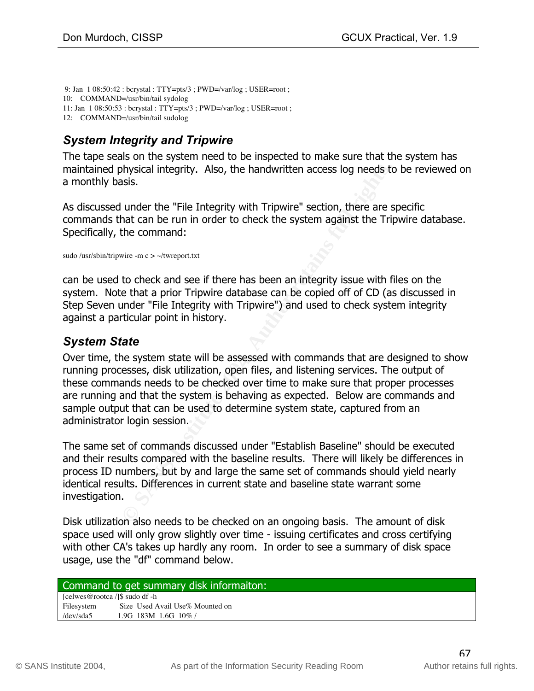9: Jan 1 08:50:42 : bcrystal : TTY=pts/3 ; PWD=/var/log ; USER=root ; 10: COMMAND=/usr/bin/tail sydolog 11: Jan 1 08:50:53 : bcrystal : TTY=pts/3 ; PWD=/var/log ; USER=root ; 12: COMMAND=/usr/bin/tail sudolog

# *System Integrity and Tripwire*

The tape seals on the system need to be inspected to make sure that the system has maintained physical integrity. Also, the handwritten access log needs to be reviewed on a monthly basis.

As discussed under the "File Integrity with Tripwire" section, there are specific commands that can be run in order to check the system against the Tripwire database. Specifically, the command:

sudo /usr/sbin/tripwire -m c > ~/twreport.txt

can be used to check and see if there has been an integrity issue with files on the system. Note that a prior Tripwire database can be copied off of CD (as discussed in Step Seven under "File Integrity with Tripwire") and used to check system integrity against a particular point in history.

# *System State*

bysical integrity. Also, the handwritten access log needs to<br>sis.<br>Sis.<br>Sis.<br>Sis.<br>Movember the "File Integrity with Tripwire" section, there are neasted and the mand:<br>Movementary<br>to check and see if there has been an integr running processes, disk utilization, open files, and listening services. The output of Over time, the system state will be assessed with commands that are designed to show these commands needs to be checked over time to make sure that proper processes are running and that the system is behaving as expected. Below are commands and sample output that can be used to determine system state, captured from an administrator login session.

The same set of commands discussed under "Establish Baseline" should be executed and their results compared with the baseline results. There will likely be differences in process ID numbers, but by and large the same set of commands should yield nearly identical results. Differences in current state and baseline state warrant some investigation.

Disk utilization also needs to be checked on an ongoing basis. The amount of disk space used will only grow slightly over time - issuing certificates and cross certifying with other CA's takes up hardly any room. In order to see a summary of disk space usage, use the "df" command below.

#### Command to get summary disk informaiton:

[celwes@rootca /]\$ sudo df -h Filesystem Size Used Avail Use% Mounted on /dev/sda5 1.9G 183M 1.6G 10% /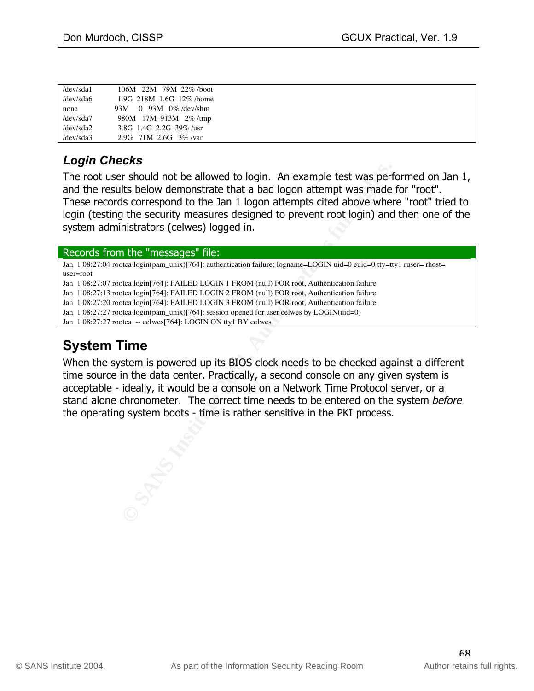| /dev/sda1        | 106M 22M 79M 22%/boot      |  |
|------------------|----------------------------|--|
| /dev/sda6        | 1.9G 218M 1.6G 12% /home   |  |
| none             | 93M 0 93M 0%/dev/shm       |  |
| /dev/sda7        | 980M 17M 913M 2%/tmp       |  |
| $/$ dev $/$ sda2 | 3.8G 1.4G 2.2G 39%/usr     |  |
| /dev/sda3        | 2.9G $71M$ 2.6G $3\%$ /var |  |

# *Login Checks*

The root user should not be allowed to login. An example test was performed on Jan 1, and the results below demonstrate that a bad logon attempt was made for "root". These records correspond to the Jan 1 logon attempts cited above where "root" tried to login (testing the security measures designed to prevent root login) and then one of the system administrators (celwes) logged in.

#### Records from the "messages" file:

Jan 1 08:27:04 rootca login(pam\_unix)[764]: authentication failure; logname=LOGIN uid=0 euid=0 tty=tty1 ruser= rhost= user=root

Jan 1 08:27:07 rootca login[764]: FAILED LOGIN 1 FROM (null) FOR root, Authentication failure

Jan 1 08:27:13 rootca login[764]: FAILED LOGIN 2 FROM (null) FOR root, Authentication failure

Jan 1 08:27:20 rootca login[764]: FAILED LOGIN 3 FROM (null) FOR root, Authentication failure

Jan 1 08:27:27 rootca login(pam\_unix)[764]: session opened for user celwes by LOGIN(uid=0)

Jan 1 08:27:27 rootca -- celwes[764]: LOGIN ON tty1 BY celwes

# **System Time**

r should not be allowed to login. An example test was perf<br>Its below demonstrate that a bad logon attempt was made<br>is correspond to the Jan 1 logon attempts cited above where<br>the security measures designed to prevent root when the system is powered up to stock recess to be enceived against a union-<br>time source in the data center. Practically, a second console on any given system is When the system is powered up its BIOS clock needs to be checked against a different acceptable - ideally, it would be a console on a Network Time Protocol server, or a stand alone chronometer. The correct time needs to be entered on the system before the operating system boots - time is rather sensitive in the PKI process.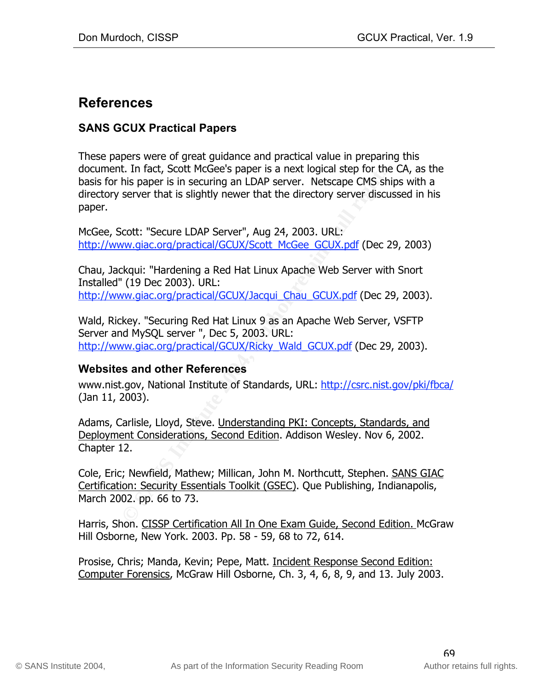# **References**

## **SANS GCUX Practical Papers**

t. In fact, Scott McGee's paper is a next logical step for the<br>his paper is in securing an LDAP server. Netscape CMS shij<br>server that is slightly newer that the directory server discus<br>cott: "Secure LDAP Server", Aug 24, 2 These papers were of great guidance and practical value in preparing this document. In fact, Scott McGee's paper is a next logical step for the CA, as the basis for his paper is in securing an LDAP server. Netscape CMS ships with a directory server that is slightly newer that the directory server discussed in his paper.

McGee, Scott: "Secure LDAP Server", Aug 24, 2003. URL: http://www.giac.org/practical/GCUX/Scott\_McGee\_GCUX.pdf (Dec 29, 2003)

Chau, Jackqui: "Hardening a Red Hat Linux Apache Web Server with Snort Installed" (19 Dec 2003). URL: http://www.giac.org/practical/GCUX/Jacqui\_Chau\_GCUX.pdf (Dec 29, 2003).

Wald, Rickey. "Securing Red Hat Linux 9 as an Apache Web Server, VSFTP Server and MySQL server ", Dec 5, 2003. URL: http://www.giac.org/practical/GCUX/Ricky\_Wald\_GCUX.pdf (Dec 29, 2003).

## Websites and other References **Analysis of A169 and Sea**

www.nist.gov, National Institute of Standards, URL: http://csrc.nist.gov/pki/fbca/ (Jan 11, 2003).

Adams, Carlisle, Lloyd, Steve. Understanding PKI: Concepts, Standards, and Deployment Considerations, Second Edition. Addison Wesley. Nov 6, 2002. Chapter 12.

Cole, Eric; Newfield, Mathew; Millican, John M. Northcutt, Stephen. SANS GIAC Certification: Security Essentials Toolkit (GSEC). Que Publishing, Indianapolis, March 2002. pp. 66 to 73.

Harris, Shon. CISSP Certification All In One Exam Guide, Second Edition. McGraw Hill Osborne, New York. 2003. Pp. 58 - 59, 68 to 72, 614.

Prosise, Chris; Manda, Kevin; Pepe, Matt. Incident Response Second Edition: Computer Forensics, McGraw Hill Osborne, Ch. 3, 4, 6, 8, 9, and 13. July 2003.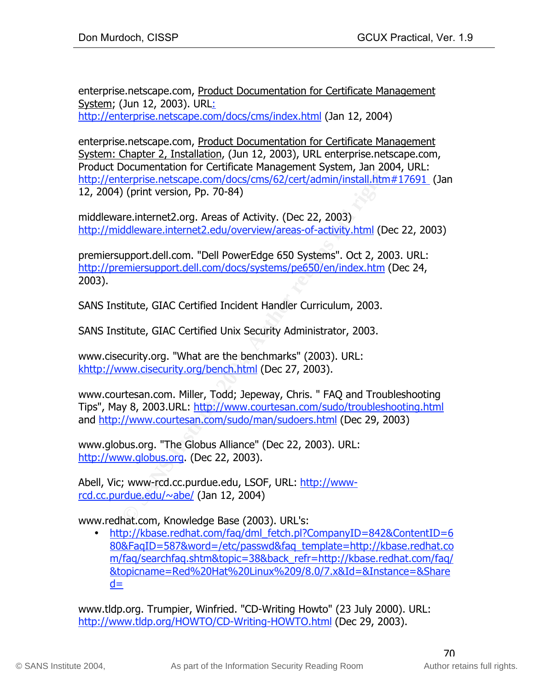enterprise.netscape.com, Product Documentation for Certificate Management System; (Jun 12, 2003). URL: http://enterprise.netscape.com/docs/cms/index.html (Jan 12, 2004)

enterprise.netscape.com, Product Documentation for Certificate Management System: Chapter 2, Installation, (Jun 12, 2003), URL enterprise.netscape.com, Product Documentation for Certificate Management System, Jan 2004, URL: http://enterprise.netscape.com/docs/cms/62/cert/admin/install.htm#17691 (Jan 12, 2004) (print version, Pp. 70-84)

middleware.internet2.org. Areas of Activity. (Dec 22, 2003) http://middleware.internet2.edu/overview/areas-of-activity.html (Dec 22, 2003)

Documentation for Certificate Mianagement System, Jan 200<br> **OCumentation**, Pp. 70-84)<br>
(print version, Pp. 70-84)<br>
We (print version, Pp. 70-84)<br>
The unit of the consection of Activity. (Dec 22, 2003)<br>
ddleware.internet2.e premiersupport.dell.com. "Dell PowerEdge 650 Systems". Oct 2, 2003. URL: http://premiersupport.dell.com/docs/systems/pe650/en/index.htm (Dec 24, 2003).

SANS Institute, GIAC Certified Incident Handler Curriculum, 2003.

SANS Institute, GIAC Certified Unix Security Administrator, 2003.

<u>khttp://www.cisecurity.org/bench.html</u> (Dec 27, 2003). www.cisecurity.org. "What are the benchmarks" (2003). URL:

www.courtesan.com. Miller, Todd; Jepeway, Chris. " FAQ and Troubleshooting Tips", May 8, 2003.URL: http://www.courtesan.com/sudo/troubleshooting.html and http://www.courtesan.com/sudo/man/sudoers.html (Dec 29, 2003)

www.globus.org. "The Globus Alliance" (Dec 22, 2003). URL: http://www.globus.org. (Dec 22, 2003).

Abell, Vic; www-rcd.cc.purdue.edu, LSOF, URL: http://wwwrcd.cc.purdue.edu/~abe/ (Jan 12, 2004)

www.redhat.com, Knowledge Base (2003). URL's:

• http://kbase.redhat.com/faq/dml\_fetch.pl?CompanyID=842&ContentID=6 80&FaqID=587&word=/etc/passwd&faq\_template=http://kbase.redhat.co m/faq/searchfaq.shtm&topic=38&back\_refr=http://kbase.redhat.com/faq/ &topicname=Red%20Hat%20Linux%209/8.0/7.x&Id=&Instance=&Share  $d=$ 

www.tldp.org. Trumpier, Winfried. "CD-Writing Howto" (23 July 2000). URL: http://www.tldp.org/HOWTO/CD-Writing-HOWTO.html (Dec 29, 2003).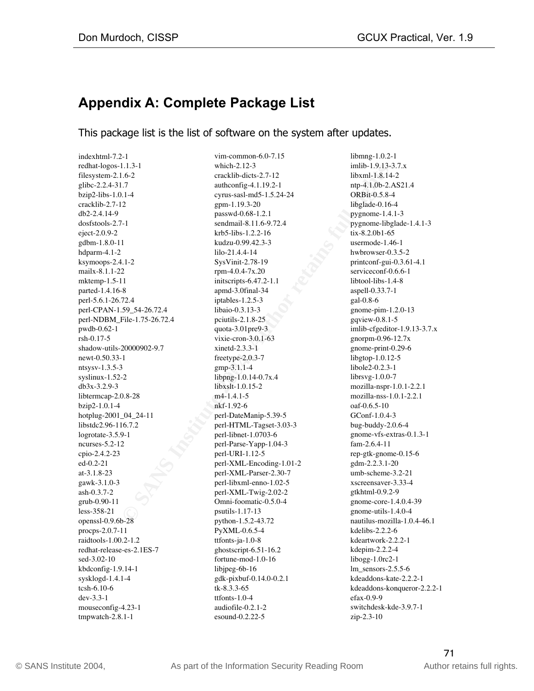# **Appendix A: Complete Package List**

This package list is the list of software on the system after updates.

 $\text{mtsysv-1.3.5-3}$   $\text{gmp-3.1.1-4}$  libole2-0.2.3-1 indexhtml-7.2-1 redhat-logos-1.1.3-1 filesystem-2.1.6-2 glibc-2.2.4-31.7 bzip2-libs-1.0.1-4 cracklib-2.7-12 db2-2.4.14-9 dosfstools-2.7-1 eject-2.0.9-2 gdbm-1.8.0-11 hdparm-4.1-2 ksymoops-2.4.1-2 mailx-8.1.1-22 mktemp-1.5-11 parted-1.4.16-8 perl-5.6.1-26.72.4 perl-CPAN-1.59\_54-26.72.4 perl-NDBM\_File-1.75-26.72.4 pwdb-0.62-1 rsh-0.17-5 shadow-utils-20000902-9.7 newt-0.50.33-1 ntsysv-1.3.5-3 syslinux-1.52-2 db3x-3.2.9-3 libtermcap-2.0.8-28 bzip2-1.0.1-4 hotplug-2001\_04\_24-11 libstdc2.96-116.7.2 logrotate-3.5.9-1 ncurses-5.2-12 cpio-2.4.2-23 ed-0.2-21 at-3.1.8-23 gawk-3.1.0-3 ash-0.3.7-2 grub-0.90-11 less-358-21 openssl-0.9.6b-28 procps-2.0.7-11 raidtools-1.00.2-1.2 redhat-release-es-2.1ES-7 sed-3.02-10 kbdconfig-1.9.14-1 sysklogd-1.4.1-4 tcsh-6.10-6 dev-3.3-1 mouseconfig-4.23-1 tmpwatch-2.8.1-1

1.1.4-1<br>
1.6-2 wmch-2.12-2<br>
wendeling-4.1192-1<br>
millon-1.18.14<br>
wendeling-4.1192-1<br>
min/9.4-200<br>
perm-1.19.3-20<br>
perm-1.19.3-20<br>
perm-1.19.3-20<br>
perm-1.19.3-20<br>
perm-1.19.3-20<br>
1.6-2<br>
Perm-1.04-7.2-1<br>
xendmail-8.11.6-9. vim-common-6.0-7.15 which-2.12-3 cracklib-dicts-2.7-12 authconfig-4.1.19.2-1 cyrus-sasl-md5-1.5.24-24 gpm-1.19.3-20 passwd-0.68-1.2.1 sendmail-8.11.6-9.72.4 krb5-libs-1.2.2-16 kudzu-0.99.42.3-3 lilo-21.4.4-14 SysVinit-2.78-19 rpm-4.0.4-7x.20 initscripts-6.47.2-1.1 apmd-3.0final-34 iptables-1.2.5-3 libaio-0.3.13-3 pciutils-2.1.8-25 quota-3.01pre9-3 vixie-cron-3.0.1-63 xinetd-2.3.3-1 freetype-2.0.3-7 gmp-3.1.1-4 libpng-1.0.14-0.7x.4 libxslt-1.0.15-2 m4-1.4.1-5 nkf-1.92-6 perl-DateManip-5.39-5 perl-HTML-Tagset-3.03-3 perl-libnet-1.0703-6 perl-Parse-Yapp-1.04-3 perl-URI-1.12-5 perl-XML-Encoding-1.01-2 perl-XML-Parser-2.30-7 perl-libxml-enno-1.02-5 perl-XML-Twig-2.02-2 Omni-foomatic-0.5.0-4 psutils-1.17-13 python-1.5.2-43.72 PyXML-0.6.5-4 ttfonts-ja-1.0-8 ghostscript-6.51-16.2 fortune-mod-1.0-16 libjpeg-6b-16 gdk-pixbuf-0.14.0-0.2.1 tk-8.3.3-65  $tt fonts-1.0-4$ audiofile-0.2.1-2 esound-0.2.22-5

libmng-1.0.2-1 imlib-1.9.13-3.7.x libxml-1.8.14-2 ntp-4.1.0b-2.AS21.4 ORBit-0.5.8-4 libglade-0.16-4 pygnome-1.4.1-3 pygnome-libglade-1.4.1-3 tix-8.2.0b1-65 usermode-1.46-1 hwbrowser-0.3.5-2 printconf-gui-0.3.61-4.1 serviceconf-0.6.6-1 libtool-libs-1.4-8 aspell-0.33.7-1 gal-0.8-6 gnome-pim-1.2.0-13 gqview-0.8.1-5 imlib-cfgeditor-1.9.13-3.7.x gnorpm-0.96-12.7x gnome-print-0.29-6 libgtop-1.0.12-5 libole2-0.2.3-1 librsvg-1.0.0-7 mozilla-nspr-1.0.1-2.2.1 mozilla-nss-1.0.1-2.2.1 oaf-0.6.5-10 GConf-1.0.4-3 bug-buddy-2.0.6-4 gnome-vfs-extras-0.1.3-1 fam-2.6.4-11 rep-gtk-gnome-0.15-6 gdm-2.2.3.1-20 umb-scheme-3.2-21 xscreensaver-3.33-4 gtkhtml-0.9.2-9 gnome-core-1.4.0.4-39 gnome-utils-1.4.0-4 nautilus-mozilla-1.0.4-46.1 kdelibs-2.2.2-6 kdeartwork-2.2.2-1 kdepim-2.2.2-4 libogg-1.0rc2-1 lm\_sensors-2.5.5-6 kdeaddons-kate-2.2.2-1 kdeaddons-konqueror-2.2.2-1 efax-0.9-9 switchdesk-kde-3.9.7-1 zip-2.3-10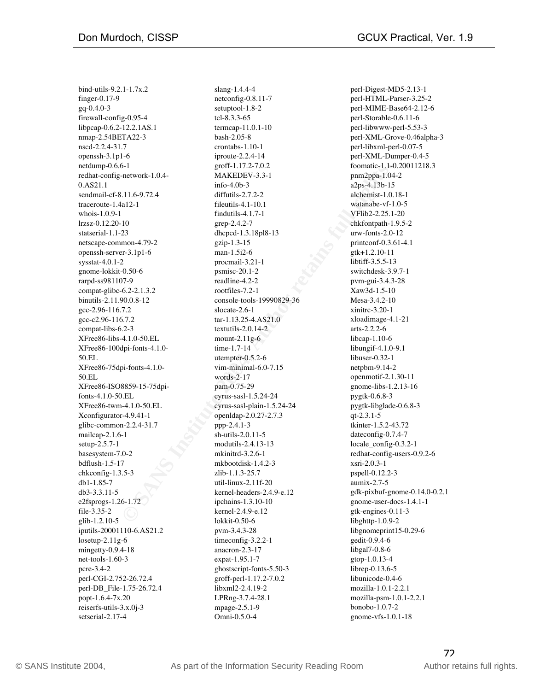$XFree86-75dpi-fonts-4.1.0-$  vim-minimal-6.0-7.15 netpbm-9.14-2<br> $\frac{1}{2}$ bind-utils-9.2.1-1.7x.2 finger-0.17-9 gq-0.4.0-3 firewall-config-0.95-4 libpcap-0.6.2-12.2.1AS.1 nmap-2.54BETA22-3 nscd-2.2.4-31.7 openssh-3.1p1-6 netdump-0.6.6-1 redhat-config-network-1.0.4- 0.AS21.1 sendmail-cf-8.11.6-9.72.4 traceroute-1.4a12-1 whois-1.0.9-1 lrzsz-0.12.20-10 statserial-1.1-23 netscape-common-4.79-2 openssh-server-3.1p1-6 sysstat-4.0.1-2 gnome-lokkit-0.50-6 rarpd-ss981107-9 compat-glibc-6.2-2.1.3.2 binutils-2.11.90.0.8-12 gcc-2.96-116.7.2 gcc-c2.96-116.7.2 compat-libs-6.2-3 XFree86-libs-4.1.0-50.EL XFree86-100dpi-fonts-4.1.0- 50.EL 50.EL XFree86-ISO8859-15-75dpifonts-4.1.0-50.EL XFree86-twm-4.1.0-50.EL Xconfigurator-4.9.41-1 glibc-common-2.2.4-31.7 mailcap-2.1.6-1 setup-2.5.7-1 basesystem-7.0-2 bdflush-1.5-17 chkconfig-1.3.5-3 db1-1.85-7 db3-3.3.11-5 e2fsprogs-1.26-1.72 file-3.35-2 glib-1.2.10-5 iputils-20001110-6.AS21.2 losetup-2.11g-6 mingetty-0.9.4-18 net-tools-1.60-3 pcre-3.4-2 perl-CGI-2.752-26.72.4 perl-DB\_File-1.75-26.72.4 popt-1.6.4-7x.20 reiserfs-utils-3.x.0j-3 setserial-2.17-4

0-11<br>
Institute 2004<br>
Institute 2004, and MAKEDEV.3.3-1<br>
Institute 2008, and pamappa-1.04<br>
Institute 2008, and the<br>
Institute 2008, and the state of the state of the state of the<br>
Institute 2004, and the state of the state slang-1.4.4-4 netconfig-0.8.11-7 setuptool-1.8-2 tcl-8.3.3-65 termcap-11.0.1-10 bash-2.05-8 crontabs-1.10-1 iproute-2.2.4-14 groff-1.17.2-7.0.2 MAKEDEV-3.3-1 info-4.0b-3 diffutils-2.7.2-2 fileutils-4.1-10.1 findutils-4.1.7-1 grep-2.4.2-7 dhcpcd-1.3.18pl8-13 gzip-1.3-15 man-1.5i2-6 procmail-3.21-1 psmisc-20.1-2 readline-4.2-2 rootfiles-7.2-1 console-tools-19990829-36 slocate-2.6-1 tar-1.13.25-4.AS21.0 textutils-2.0.14-2 mount-2.11g-6 time-1.7-14 utempter-0.5.2-6 vim-minimal-6.0-7.15 words-2-17 pam-0.75-29 cyrus-sasl-1.5.24-24 cyrus-sasl-plain-1.5.24-24 openldap-2.0.27-2.7.3 ppp-2.4.1-3 sh-utils-2.0.11-5 modutils-2.4.13-13 mkinitrd-3.2.6-1 mkbootdisk-1.4.2-3 zlib-1.1.3-25.7 util-linux-2.11f-20 kernel-headers-2.4.9-e.12 ipchains-1.3.10-10 kernel-2.4.9-e.12 lokkit-0.50-6 pvm-3.4.3-28 timeconfig-3.2.2-1 anacron-2.3-17 expat-1.95.1-7 ghostscript-fonts-5.50-3 groff-perl-1.17.2-7.0.2 libxml2-2.4.19-2 LPRng-3.7.4-28.1 mpage-2.5.1-9 Omni-0.5.0-4

perl-Digest-MD5-2.13-1 perl-HTML-Parser-3.25-2 perl-MIME-Base64-2.12-6 perl-Storable-0.6.11-6 perl-libwww-perl-5.53-3 perl-XML-Grove-0.46alpha-3 perl-libxml-perl-0.07-5 perl-XML-Dumper-0.4-5 foomatic-1.1-0.20011218.3 pnm2ppa-1.04-2 a2ps-4.13b-15 alchemist-1.0.18-1 watanabe-vf-1.0-5 VFlib2-2.25.1-20 chkfontpath-1.9.5-2 urw-fonts-2.0-12 printconf-0.3.61-4.1 gtk+1.2.10-11 libtiff-3.5.5-13 switchdesk-3.9.7-1 pvm-gui-3.4.3-28 Xaw3d-1.5-10 Mesa-3.4.2-10 xinitrc-3.20-1 xloadimage-4.1-21 arts-2.2.2-6 libcap-1.10-6 libungif-4.1.0-9.1 libuser-0.32-1 netpbm-9.14-2 openmotif-2.1.30-11 gnome-libs-1.2.13-16 pygtk-0.6.8-3 pygtk-libglade-0.6.8-3 qt-2.3.1-5 tkinter-1.5.2-43.72 dateconfig-0.7.4-7 locale\_config-0.3.2-1 redhat-config-users-0.9.2-6 xsri-2.0.3-1 pspell-0.12.2-3 aumix-2.7-5 gdk-pixbuf-gnome-0.14.0-0.2.1 gnome-user-docs-1.4.1-1 gtk-engines-0.11-3 libghttp-1.0.9-2 libgnomeprint15-0.29-6 gedit-0.9.4-6 libgal7-0.8-6 gtop-1.0.13-4 librep-0.13.6-5 libunicode-0.4-6 mozilla-1.0.1-2.2.1 mozilla-psm-1.0.1-2.2.1 bonobo-1.0.7-2 gnome-vfs-1.0.1-18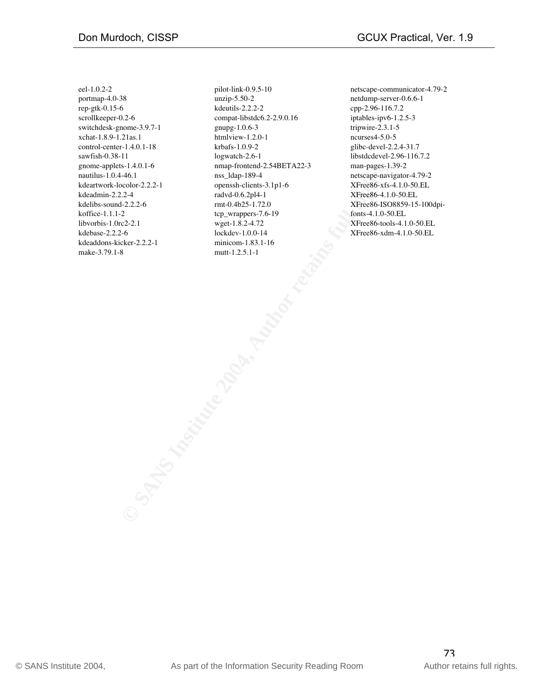eel-1.0.2-2 portmap-4.0-38 rep-gtk-0.15-6 scrollkeeper-0.2-6 switchdesk-gnome-3.9.7-1 xchat-1.8.9-1.21as.1 control-center-1.4.0.1-18 sawfish-0.38-11 gnome-applets-1.4.0.1-6 nautilus-1.0.4-46.1 kdeartwork-locolor-2.2.2-1 kdeadmin-2.2.2-4 kdelibs-sound-2.2.2-6 koffice-1.1.1-2 libvorbis-1.0rc2-2.1 kdebase-2.2.2-6 kdeaddons-kicker-2.2.2-1 make-3.79.1-8

**SANCIST MANUS INTERNATION CONSULTER**<br>
SANS Internation-2007-22-1<br>
SANS Internation-3.1-16<br>
And 1.2-2<br>
The property of the state of the state of the state of the state of the state of the state of the state of the state of pilot-link-0.9.5-10 unzip-5.50-2 kdeutils-2.2.2-2 compat-libstdc6.2-2.9.0.16 gnupg-1.0.6-3 htmlview-1.2.0-1 krbafs-1.0.9-2 logwatch-2.6-1 nmap-frontend-2.54BETA22-3 nss\_ldap-189-4 openssh-clients-3.1p1-6 radvd-0.6.2pl4-1 rmt-0.4b25-1.72.0 tcp\_wrappers-7.6-19 wget-1.8.2-4.72 lockdev-1.0.0-14 minicom-1.83.1-16 mutt-1.2.5.1-1

Don Murdoch, CISSP GCUX Practical, Ver. 1.9

netscape-communicator-4.79-2 netdump-server-0.6.6-1 cpp-2.96-116.7.2 iptables-ipv6-1.2.5-3 tripwire-2.3.1-5 ncurses4-5.0-5 glibc-devel-2.2.4-31.7 libstdcdevel-2.96-116.7.2 man-pages-1.39-2 netscape-navigator-4.79-2 XFree86-xfs-4.1.0-50.EL XFree86-4.1.0-50.EL XFree86-ISO8859-15-100dpifonts-4.1.0-50.EL XFree86-tools-4.1.0-50.EL XFree86-xdm-4.1.0-50.EL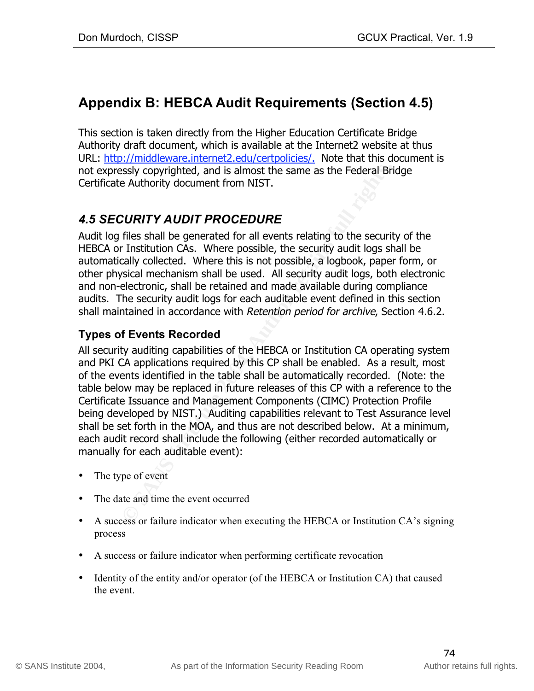# **Appendix B: HEBCA Audit Requirements (Section 4.5)**

This section is taken directly from the Higher Education Certificate Bridge Authority draft document, which is available at the Internet2 website at thus URL: http://middleware.internet2.edu/certpolicies/. Note that this document is not expressly copyrighted, and is almost the same as the Federal Bridge Certificate Authority document from NIST.

## *4.5 SECURITY AUDIT PROCEDURE*

Audit log files shall be generated for all events relating to the security of the HEBCA or Institution CAs. Where possible, the security audit logs shall be automatically collected. Where this is not possible, a logbook, paper form, or other physical mechanism shall be used. All security audit logs, both electronic and non-electronic, shall be retained and made available during compliance audits. The security audit logs for each auditable event defined in this section shall maintained in accordance with Retention period for archive, Section 4.6.2.

## **Types of Events Recorded**

ssly copyrighted, and is almost the same as the Federal Brief Authority document from NIST.<br> **CURITY AUDIT PROCEDURE**<br>
files shall be generated for all events relating to the securit<br>
r Institution CAs. Where posible, he s and TRI EX applications required by this or shall be entitled. This a result, most All security auditing capabilities of the HEBCA or Institution CA operating system and PKI CA applications required by this CP shall be enabled. As a result, most table below may be replaced in future releases of this CP with a reference to the Certificate Issuance and Management Components (CIMC) Protection Profile being developed by NIST.) Auditing capabilities relevant to Test Assurance level shall be set forth in the MOA, and thus are not described below. At a minimum, each audit record shall include the following (either recorded automatically or manually for each auditable event):

- The type of event
- The date and time the event occurred
- A success or failure indicator when executing the HEBCA or Institution CA's signing process
- A success or failure indicator when performing certificate revocation
- Identity of the entity and/or operator (of the HEBCA or Institution CA) that caused the event.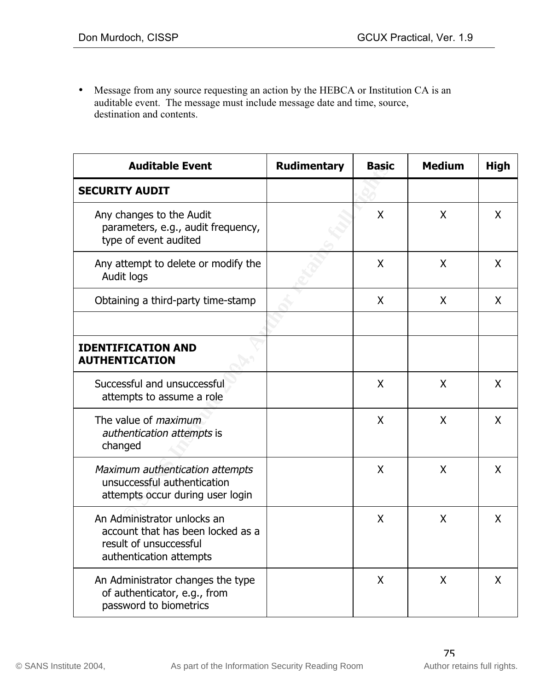• Message from any source requesting an action by the HEBCA or Institution CA is an auditable event. The message must include message date and time, source, destination and contents.

| <b>Auditable Event</b>                                                                                                | <b>Rudimentary</b> | <b>Basic</b> | <b>Medium</b> | <b>High</b> |
|-----------------------------------------------------------------------------------------------------------------------|--------------------|--------------|---------------|-------------|
| <b>SECURITY AUDIT</b>                                                                                                 |                    |              |               |             |
| Any changes to the Audit<br>parameters, e.g., audit frequency,<br>type of event audited                               |                    | X            | X             | X           |
| Any attempt to delete or modify the<br>Audit logs                                                                     |                    | X            | X             | X           |
| Obtaining a third-party time-stamp                                                                                    |                    | X            | X             | X           |
| <b>IDENTIFICATION AND</b><br><b>AUTHENTICATION</b>                                                                    |                    |              |               |             |
| Successful and unsuccessful<br>attempts to assume a role                                                              |                    | X            | X             | X           |
| The value of <i>maximum</i><br>authentication attempts is<br>changed                                                  |                    | X            | X             | X           |
| Maximum authentication attempts<br>unsuccessful authentication<br>attempts occur during user login                    |                    | X            | X             | X           |
| An Administrator unlocks an<br>account that has been locked as a<br>result of unsuccessful<br>authentication attempts |                    | X            | X             | X           |
| An Administrator changes the type<br>of authenticator, e.g., from<br>password to biometrics                           |                    | X            | X             | X           |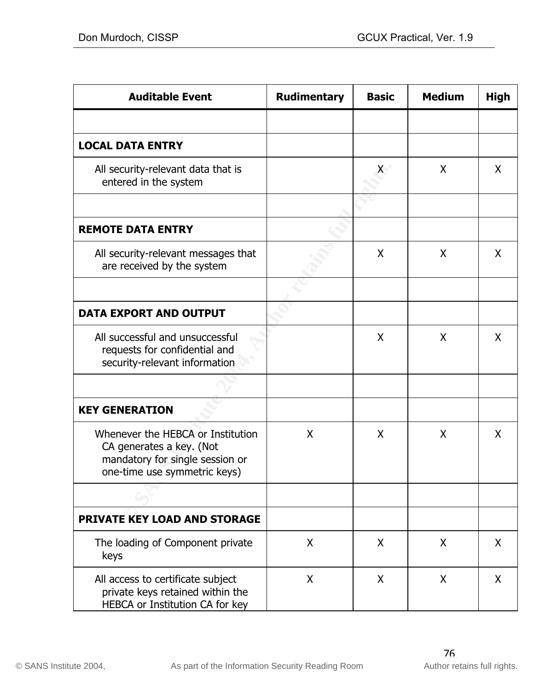| <b>Auditable Event</b>                                                                                                           | <b>Rudimentary</b> | <b>Basic</b> | <b>Medium</b> | <b>High</b>  |
|----------------------------------------------------------------------------------------------------------------------------------|--------------------|--------------|---------------|--------------|
|                                                                                                                                  |                    |              |               |              |
| <b>LOCAL DATA ENTRY</b>                                                                                                          |                    |              |               |              |
| All security-relevant data that is<br>entered in the system                                                                      |                    | X.           | X             | $\mathsf{X}$ |
|                                                                                                                                  |                    |              |               |              |
| <b>REMOTE DATA ENTRY</b>                                                                                                         |                    |              |               |              |
| All security-relevant messages that<br>are received by the system                                                                |                    | X            | X             | X            |
|                                                                                                                                  |                    |              |               |              |
| <b>DATA EXPORT AND OUTPUT</b>                                                                                                    |                    |              |               |              |
| All successful and unsuccessful<br>requests for confidential and<br>security-relevant information                                |                    | X            | X             | X            |
|                                                                                                                                  |                    |              |               |              |
| <b>KEY GENERATION</b>                                                                                                            |                    |              |               |              |
| Whenever the HEBCA or Institution<br>CA generates a key. (Not<br>mandatory for single session or<br>one-time use symmetric keys) | X                  | X            | X             | X            |
|                                                                                                                                  |                    |              |               |              |
| <b>PRIVATE KEY LOAD AND STORAGE</b>                                                                                              |                    |              |               |              |
| The loading of Component private<br>keys                                                                                         | X                  | X            | X             | $\mathsf{X}$ |
| All access to certificate subject<br>private keys retained within the<br>HEBCA or Institution CA for key                         | X                  | X            | X             | $\mathsf{X}$ |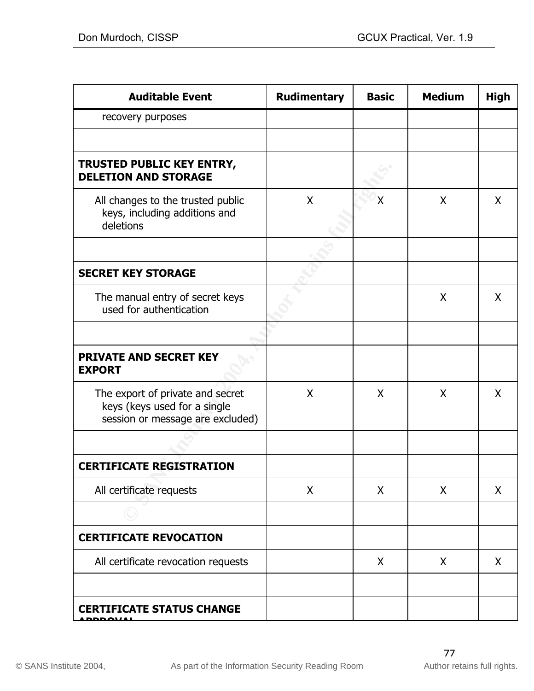| <b>Auditable Event</b>                                                                               | <b>Rudimentary</b> | <b>Basic</b> | <b>Medium</b> | <b>High</b> |
|------------------------------------------------------------------------------------------------------|--------------------|--------------|---------------|-------------|
| recovery purposes                                                                                    |                    |              |               |             |
|                                                                                                      |                    |              |               |             |
| <b>TRUSTED PUBLIC KEY ENTRY,</b><br><b>DELETION AND STORAGE</b>                                      |                    |              |               |             |
| All changes to the trusted public<br>keys, including additions and<br>deletions                      | X                  | χ            | X             | X           |
|                                                                                                      |                    |              |               |             |
| <b>SECRET KEY STORAGE</b>                                                                            |                    |              |               |             |
| The manual entry of secret keys<br>used for authentication                                           |                    |              | X             | X           |
|                                                                                                      |                    |              |               |             |
| <b>PRIVATE AND SECRET KEY</b><br><b>EXPORT</b>                                                       |                    |              |               |             |
| The export of private and secret<br>keys (keys used for a single<br>session or message are excluded) | X                  | X            | X             | X           |
|                                                                                                      |                    |              |               |             |
| <b>CERTIFICATE REGISTRATION</b>                                                                      |                    |              |               |             |
| All certificate requests                                                                             | X                  | X            | X             | X           |
|                                                                                                      |                    |              |               |             |
| <b>CERTIFICATE REVOCATION</b>                                                                        |                    |              |               |             |
| All certificate revocation requests                                                                  |                    | X            | X             | X           |
|                                                                                                      |                    |              |               |             |
| <b>CERTIFICATE STATUS CHANGE</b>                                                                     |                    |              |               |             |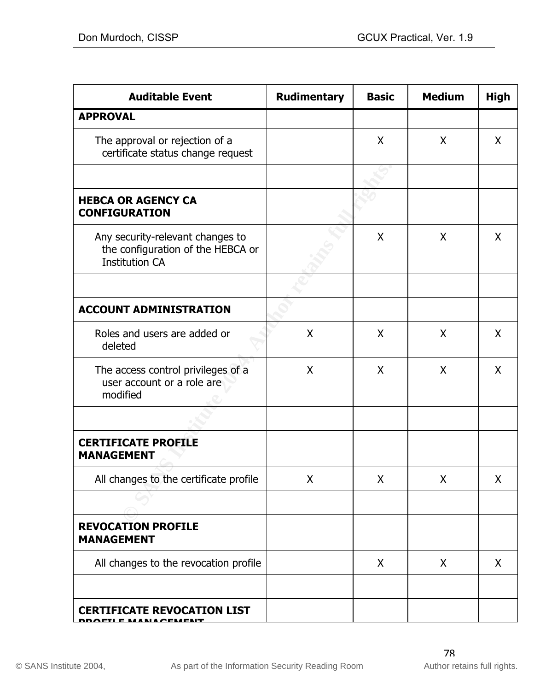| <b>Auditable Event</b>                                                                         | <b>Rudimentary</b> | <b>Basic</b> | <b>Medium</b> | <b>High</b>  |
|------------------------------------------------------------------------------------------------|--------------------|--------------|---------------|--------------|
| <b>APPROVAL</b>                                                                                |                    |              |               |              |
| The approval or rejection of a<br>certificate status change request                            |                    | X            | X             | $\mathsf{X}$ |
|                                                                                                |                    |              |               |              |
| <b>HEBCA OR AGENCY CA</b><br><b>CONFIGURATION</b>                                              |                    |              |               |              |
| Any security-relevant changes to<br>the configuration of the HEBCA or<br><b>Institution CA</b> |                    | X            | X             | $\mathsf{X}$ |
|                                                                                                |                    |              |               |              |
| <b>ACCOUNT ADMINISTRATION</b>                                                                  |                    |              |               |              |
| Roles and users are added or<br>deleted                                                        | X                  | X            | X             | $\mathsf{X}$ |
| The access control privileges of a<br>user account or a role are<br>modified                   | X                  | X            | X             | $\mathsf{X}$ |
|                                                                                                |                    |              |               |              |
| <b>CERTIFICATE PROFILE</b><br><b>MANAGEMENT</b>                                                |                    |              |               |              |
| All changes to the certificate profile                                                         | Χ                  | X            | X             | X            |
|                                                                                                |                    |              |               |              |
| <b>REVOCATION PROFILE</b><br><b>MANAGEMENT</b>                                                 |                    |              |               |              |
| All changes to the revocation profile                                                          |                    | X            | X             | X            |
|                                                                                                |                    |              |               |              |
| <b>CERTIFICATE REVOCATION LIST</b><br><b>АРМР</b>                                              |                    |              |               |              |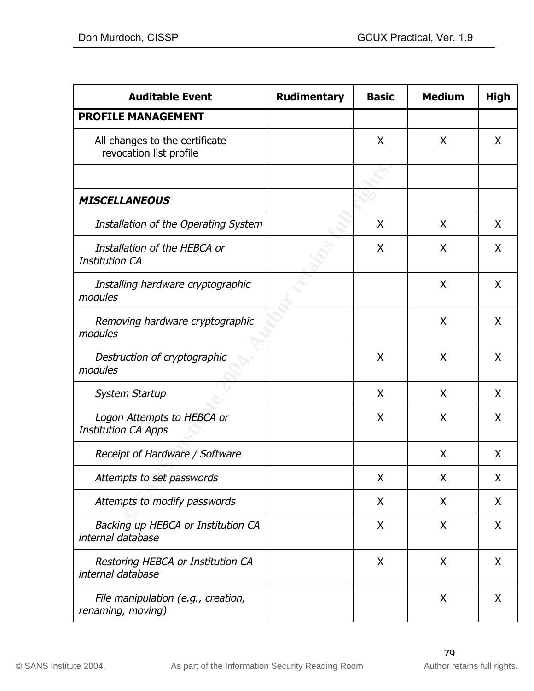| <b>Auditable Event</b>                                    | <b>Rudimentary</b> | <b>Basic</b> | <b>Medium</b> | <b>High</b> |
|-----------------------------------------------------------|--------------------|--------------|---------------|-------------|
| <b>PROFILE MANAGEMENT</b>                                 |                    |              |               |             |
| All changes to the certificate<br>revocation list profile |                    | X            | Χ             | X           |
|                                                           |                    |              |               |             |
| <b>MISCELLANEOUS</b>                                      |                    |              |               |             |
| Installation of the Operating System                      |                    | X            | X             | X           |
| Installation of the HEBCA or<br><b>Institution CA</b>     |                    | X            | X             | X           |
| Installing hardware cryptographic<br>modules              |                    |              | X             | X           |
| Removing hardware cryptographic<br>modules                |                    |              | X             | X           |
| Destruction of cryptographic<br>modules                   |                    | X            | Χ             | X           |
| <b>System Startup</b>                                     |                    | X            | X             | X           |
| Logon Attempts to HEBCA or<br><b>Institution CA Apps</b>  |                    | X            | X             | X           |
| Receipt of Hardware / Software                            |                    |              | Χ             | X           |
| Attempts to set passwords                                 |                    | X            | X             | X           |
| Attempts to modify passwords                              |                    | X            | X             | X           |
| Backing up HEBCA or Institution CA<br>internal database   |                    | X            | X             | X           |
| Restoring HEBCA or Institution CA<br>internal database    |                    | X            | X             | X           |
| File manipulation (e.g., creation,<br>renaming, moving)   |                    |              | X             | X           |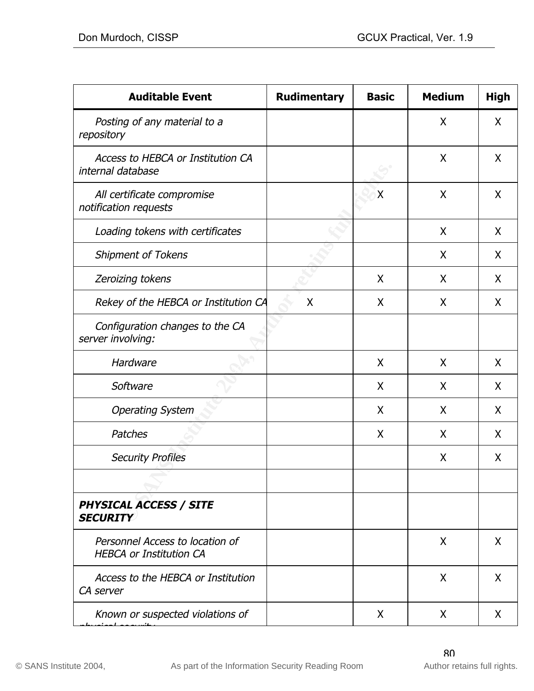| <b>Auditable Event</b>                                            | <b>Rudimentary</b> | <b>Basic</b> | <b>Medium</b> | <b>High</b> |
|-------------------------------------------------------------------|--------------------|--------------|---------------|-------------|
| Posting of any material to a<br>repository                        |                    |              | X             | X           |
| Access to HEBCA or Institution CA<br>internal database            |                    |              | X             | X           |
| All certificate compromise<br>notification requests               |                    | X            | X             | X           |
| Loading tokens with certificates                                  |                    |              | X             | X           |
| <b>Shipment of Tokens</b>                                         |                    |              | X             | X           |
| Zeroizing tokens                                                  |                    | X            | Χ             | X           |
| Rekey of the HEBCA or Institution CA                              | X                  | X            | X             | X           |
| Configuration changes to the CA<br>server involving:              |                    |              |               |             |
| Hardware                                                          |                    | X            | Χ             | X           |
| Software                                                          |                    | X            | X             | X           |
| <b>Operating System</b>                                           |                    | X            | X             | X           |
| Patches                                                           |                    | X            | X             | X           |
| <b>Security Profiles</b>                                          |                    |              | X             | X           |
|                                                                   |                    |              |               |             |
| PHYSICAL ACCESS / SITE<br><b>SECURITY</b>                         |                    |              |               |             |
| Personnel Access to location of<br><b>HEBCA or Institution CA</b> |                    |              | X             | X           |
| Access to the HEBCA or Institution<br>CA server                   |                    |              | X             | X           |
| Known or suspected violations of                                  |                    | X            | X             | X           |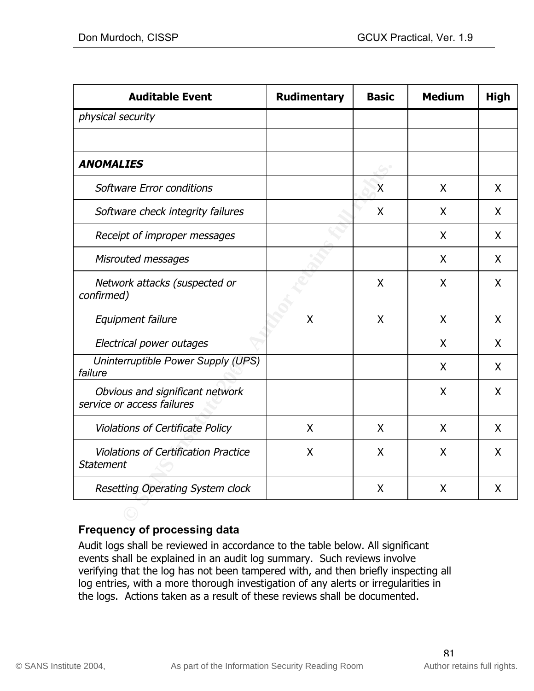| <b>Auditable Event</b>                                          | <b>Rudimentary</b>        | <b>Basic</b> | <b>Medium</b> | <b>High</b>  |
|-----------------------------------------------------------------|---------------------------|--------------|---------------|--------------|
| physical security                                               |                           |              |               |              |
|                                                                 |                           |              |               |              |
| <b>ANOMALIES</b>                                                |                           |              |               |              |
| Software Error conditions                                       |                           | $\mathsf{X}$ | X             | X            |
| Software check integrity failures                               |                           | X            | X             | X            |
| Receipt of improper messages                                    |                           |              | X             | X            |
| Misrouted messages                                              |                           |              | X             | X            |
| Network attacks (suspected or<br>confirmed)                     |                           | X            | X             | X            |
| Equipment failure                                               | $\boldsymbol{\mathsf{X}}$ | X            | X             | X            |
| Electrical power outages                                        |                           |              | X             | X            |
| Uninterruptible Power Supply (UPS)<br>failure                   |                           |              | X             | X            |
| Obvious and significant network<br>service or access failures   |                           |              | X             | X            |
| Violations of Certificate Policy                                | X                         | X            | X             | $\mathsf{X}$ |
| <b>Violations of Certification Practice</b><br><b>Statement</b> | X                         | X            | X             | $\mathsf{X}$ |
| Resetting Operating System clock                                |                           | X            | X             | X            |
|                                                                 |                           |              |               |              |

### **Frequency of processing data**

Audit logs shall be reviewed in accordance to the table below. All significant events shall be explained in an audit log summary. Such reviews involve verifying that the log has not been tampered with, and then briefly inspecting all log entries, with a more thorough investigation of any alerts or irregularities in the logs. Actions taken as a result of these reviews shall be documented.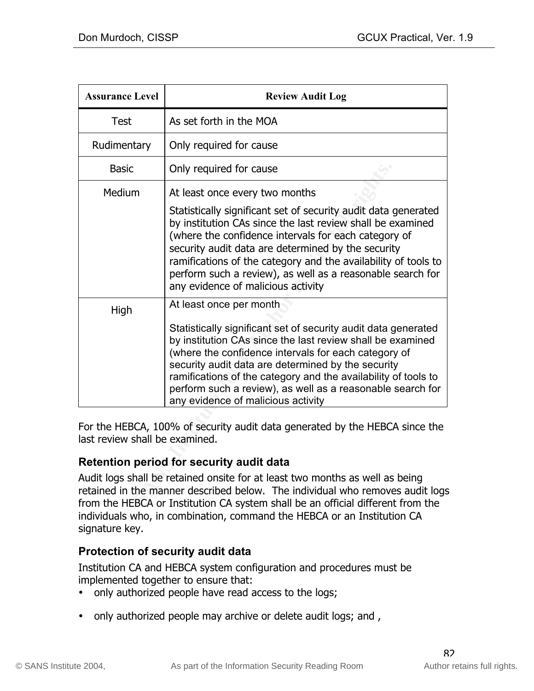| <b>Assurance Level</b>         | <b>Review Audit Log</b>                                                                                                                                                                                                                                                                                                                                                                                          |
|--------------------------------|------------------------------------------------------------------------------------------------------------------------------------------------------------------------------------------------------------------------------------------------------------------------------------------------------------------------------------------------------------------------------------------------------------------|
| <b>Test</b>                    | As set forth in the MOA                                                                                                                                                                                                                                                                                                                                                                                          |
| Rudimentary                    | Only required for cause                                                                                                                                                                                                                                                                                                                                                                                          |
| <b>Basic</b>                   | Only required for cause                                                                                                                                                                                                                                                                                                                                                                                          |
| Medium                         | At least once every two months                                                                                                                                                                                                                                                                                                                                                                                   |
|                                | Statistically significant set of security audit data generated<br>by institution CAs since the last review shall be examined<br>(where the confidence intervals for each category of<br>security audit data are determined by the security<br>ramifications of the category and the availability of tools to<br>perform such a review), as well as a reasonable search for<br>any evidence of malicious activity |
| High                           | At least once per month                                                                                                                                                                                                                                                                                                                                                                                          |
|                                | Statistically significant set of security audit data generated<br>by institution CAs since the last review shall be examined<br>(where the confidence intervals for each category of<br>security audit data are determined by the security<br>ramifications of the category and the availability of tools to<br>perform such a review), as well as a reasonable search for<br>any evidence of malicious activity |
| last review shall be examined. | For the HEBCA, 100% of security audit data generated by the HEBCA since the                                                                                                                                                                                                                                                                                                                                      |
|                                | Retention period for security audit data                                                                                                                                                                                                                                                                                                                                                                         |
|                                | Audit logs shall be retained onsite for at least two months as well as being<br>retained in the manner described below. The individual who removes audit logs<br>from the HEBCA or Institution CA system shall be an official different from the<br>individuals who, in combination, command the HEBCA or an Institution CA                                                                                      |

## **Retention period for security audit data**

Audit logs shall be retained onsite for at least two months as well as being retained in the manner described below. The individual who removes audit logs from the HEBCA or Institution CA system shall be an official different from the individuals who, in combination, command the HEBCA or an Institution CA signature key.

### **Protection of security audit data**

Institution CA and HEBCA system configuration and procedures must be implemented together to ensure that:

- only authorized people have read access to the logs;
- only authorized people may archive or delete audit logs; and ,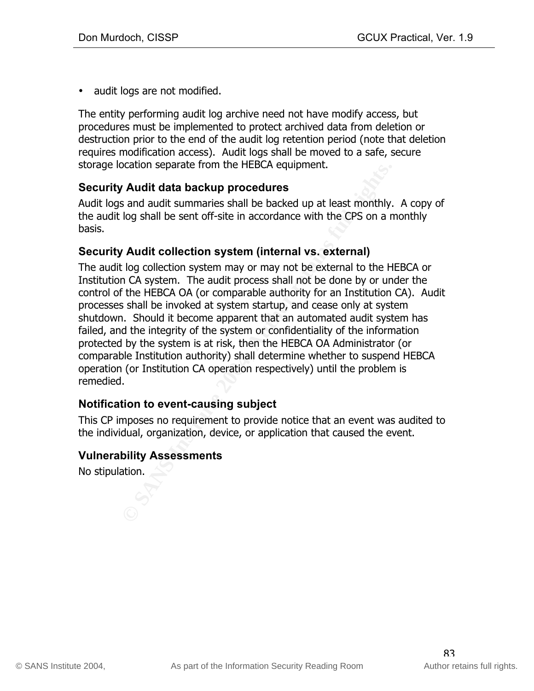• audit logs are not modified.

The entity performing audit log archive need not have modify access, but procedures must be implemented to protect archived data from deletion or destruction prior to the end of the audit log retention period (note that deletion requires modification access). Audit logs shall be moved to a safe, secure storage location separate from the HEBCA equipment.

#### **Security Audit data backup procedures**

Audit logs and audit summaries shall be backed up at least monthly. A copy of the audit log shall be sent off-site in accordance with the CPS on a monthly basis.

#### **Security Audit collection system (internal vs. external)**

Caludin separate from the riceock equipment.<br> **Paudit data backup procedures**<br>
sand audit summaries shall be backed up at least monthly.<br>
log shall be sent off-site in accordance with the CPS on a n<br> **Paudit collection sys** operation (or Institution CA operation respectively) until the problem is The audit log collection system may or may not be external to the HEBCA or Institution CA system. The audit process shall not be done by or under the control of the HEBCA OA (or comparable authority for an Institution CA). Audit processes shall be invoked at system startup, and cease only at system shutdown. Should it become apparent that an automated audit system has failed, and the integrity of the system or confidentiality of the information protected by the system is at risk, then the HEBCA OA Administrator (or comparable Institution authority) shall determine whether to suspend HEBCA remedied.

#### **Notification to event-causing subject**

This CP imposes no requirement to provide notice that an event was audited to the individual, organization, device, or application that caused the event.

#### **Vulnerability Assessments**

No stipulation.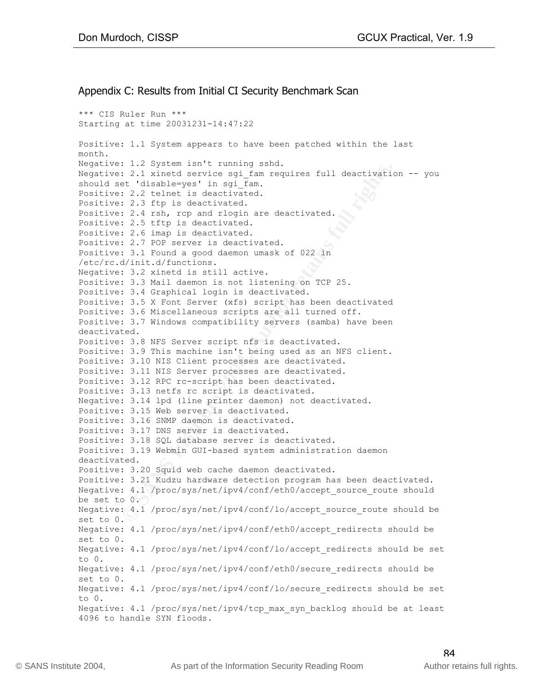#### Appendix C: Results from Initial CI Security Benchmark Scan

: 1.1 yielem "solution" solution and "solution" is a continued at this able = year is equidentic : 2.3 telest is deactivated.<br>  $2.3$  Ttp is deactivated.<br>  $2.3$  Ttp is deactivated.<br>  $2.4$  Ttp is deactivated.<br>  $2.5$  Ttp is d Positive: 3.11 NIS Server processes are deactivated. \*\*\* CIS Ruler Run \*\*\* Starting at time 20031231-14:47:22 Positive: 1.1 System appears to have been patched within the last month. Negative: 1.2 System isn't running sshd. Negative: 2.1 xinetd service sgi\_fam requires full deactivation -- you should set 'disable=yes' in sqi fam. Positive: 2.2 telnet is deactivated. Positive: 2.3 ftp is deactivated. Positive: 2.4 rsh, rcp and rlogin are deactivated. Positive: 2.5 tftp is deactivated. Positive: 2.6 imap is deactivated. Positive: 2.7 POP server is deactivated. Positive: 3.1 Found a good daemon umask of 022 in /etc/rc.d/init.d/functions. Negative: 3.2 xinetd is still active. Positive: 3.3 Mail daemon is not listening on TCP 25. Positive: 3.4 Graphical login is deactivated. Positive: 3.5 X Font Server (xfs) script has been deactivated Positive: 3.6 Miscellaneous scripts are all turned off. Positive: 3.7 Windows compatibility servers (samba) have been deactivated. Positive: 3.8 NFS Server script nfs is deactivated. Positive: 3.9 This machine isn't being used as an NFS client. Positive: 3.10 NIS Client processes are deactivated. Positive: 3.12 RPC rc-script has been deactivated. Positive: 3.13 netfs rc script is deactivated. Negative: 3.14 lpd (line printer daemon) not deactivated. Positive: 3.15 Web server is deactivated. Positive: 3.16 SNMP daemon is deactivated. Positive: 3.17 DNS server is deactivated. Positive: 3.18 SQL database server is deactivated. Positive: 3.19 Webmin GUI-based system administration daemon deactivated. Positive: 3.20 Squid web cache daemon deactivated. Positive: 3.21 Kudzu hardware detection program has been deactivated. Negative: 4.1 /proc/sys/net/ipv4/conf/eth0/accept source route should be set to 0. Negative: 4.1 /proc/sys/net/ipv4/conf/lo/accept\_source\_route should be set to 0. Negative: 4.1 /proc/sys/net/ipv4/conf/eth0/accept\_redirects should be set to 0. Negative: 4.1 /proc/sys/net/ipv4/conf/lo/accept\_redirects should be set to 0. Negative: 4.1 /proc/sys/net/ipv4/conf/eth0/secure redirects should be set to 0. Negative: 4.1 /proc/sys/net/ipv4/conf/lo/secure\_redirects should be set to 0. Negative: 4.1 /proc/sys/net/ipv4/tcp\_max\_syn\_backlog should be at least 4096 to handle SYN floods.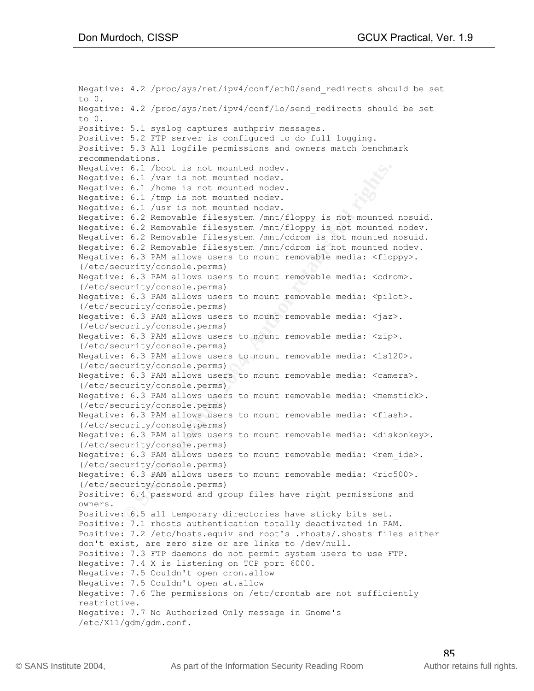**E .1** /boot is not mounted nodev.<br> **E .6.1** /boot is not mounted nodev.<br> **E.6.1** /bome is not mounted nodev.<br> **E.6.1** /tmp is not mounted nodev.<br> **E.6.2** Removable filesystem /mnt/floppy is not mounted 1.6.2 Removable fil (/etc/security/consoie.perms)<br>Negative: 6.3 PAM allows users to mount removable media: <camera>. Negative: 4.2 /proc/sys/net/ipv4/conf/eth0/send\_redirects should be set to 0. Negative: 4.2 /proc/sys/net/ipv4/conf/lo/send\_redirects should be set to 0. Positive: 5.1 syslog captures authpriv messages. Positive: 5.2 FTP server is configured to do full logging. Positive: 5.3 All logfile permissions and owners match benchmark recommendations. Negative: 6.1 /boot is not mounted nodev. Negative: 6.1 /var is not mounted nodev. Negative: 6.1 /home is not mounted nodev. Negative: 6.1 /tmp is not mounted nodev. Negative: 6.1 /usr is not mounted nodev. Negative: 6.2 Removable filesystem /mnt/floppy is not mounted nosuid. Negative: 6.2 Removable filesystem /mnt/floppy is not mounted nodev. Negative: 6.2 Removable filesystem /mnt/cdrom is not mounted nosuid. Negative: 6.2 Removable filesystem /mnt/cdrom is not mounted nodev. Negative: 6.3 PAM allows users to mount removable media: <floppy>. (/etc/security/console.perms) Negative: 6.3 PAM allows users to mount removable media: <cdrom>. (/etc/security/console.perms) Negative: 6.3 PAM allows users to mount removable media: <pilot>. (/etc/security/console.perms) Negative: 6.3 PAM allows users to mount removable media: <jaz>. (/etc/security/console.perms) Negative: 6.3 PAM allows users to mount removable media: <zip>. (/etc/security/console.perms) Negative: 6.3 PAM allows users to mount removable media: <ls120>. (/etc/security/console.perms) (/etc/security/console.perms) Negative: 6.3 PAM allows users to mount removable media: <memstick>. (/etc/security/console.perms) Negative: 6.3 PAM allows users to mount removable media: <flash>. (/etc/security/console.perms) Negative: 6.3 PAM allows users to mount removable media: <diskonkey>. (/etc/security/console.perms) Negative: 6.3 PAM allows users to mount removable media: <rem ide>. (/etc/security/console.perms) Negative: 6.3 PAM allows users to mount removable media: <rio500>. (/etc/security/console.perms) Positive: 6.4 password and group files have right permissions and owners. Positive: 6.5 all temporary directories have sticky bits set. Positive: 7.1 rhosts authentication totally deactivated in PAM. Positive: 7.2 /etc/hosts.equiv and root's .rhosts/.shosts files either don't exist, are zero size or are links to /dev/null. Positive: 7.3 FTP daemons do not permit system users to use FTP. Negative: 7.4 X is listening on TCP port 6000. Negative: 7.5 Couldn't open cron.allow Negative: 7.5 Couldn't open at.allow Negative: 7.6 The permissions on /etc/crontab are not sufficiently restrictive. Negative: 7.7 No Authorized Only message in Gnome's /etc/X11/gdm/gdm.conf.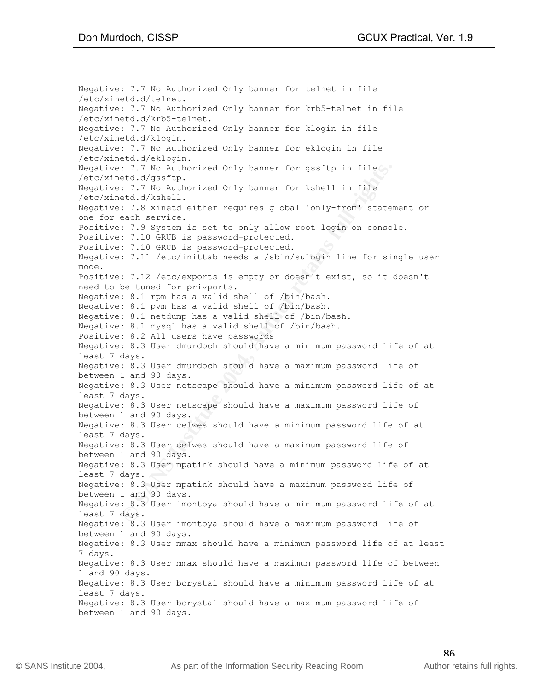**ETT WE Authorized Only banner for gssftp in file**<br> **ETT. NO Authorized Only banner for kshell in file**<br> **Etd.d/gssftp.**<br> **CANS INSTING 2004, Authorized Only banner for kshell in file**<br> **ETT. NO Authorized either requires** Negative: 8.3 User dmurdoch should have a maximum password life of<br>hatuser 1 and 80 days Negative: 7.7 No Authorized Only banner for telnet in file /etc/xinetd.d/telnet. Negative: 7.7 No Authorized Only banner for krb5-telnet in file /etc/xinetd.d/krb5-telnet. Negative: 7.7 No Authorized Only banner for klogin in file /etc/xinetd.d/klogin. Negative: 7.7 No Authorized Only banner for eklogin in file /etc/xinetd.d/eklogin. Negative: 7.7 No Authorized Only banner for gssftp in file /etc/xinetd.d/gssftp. Negative: 7.7 No Authorized Only banner for kshell in file /etc/xinetd.d/kshell. Negative: 7.8 xinetd either requires global 'only-from' statement or one for each service. Positive: 7.9 System is set to only allow root login on console. Positive: 7.10 GRUB is password-protected. Positive: 7.10 GRUB is password-protected. Negative: 7.11 /etc/inittab needs a /sbin/sulogin line for single user mode. Positive: 7.12 /etc/exports is empty or doesn't exist, so it doesn't need to be tuned for privports. Negative: 8.1 rpm has a valid shell of /bin/bash. Negative: 8.1 pvm has a valid shell of /bin/bash. Negative: 8.1 netdump has a valid shell of /bin/bash. Negative: 8.1 mysql has a valid shell of /bin/bash. Positive: 8.2 All users have passwords Negative: 8.3 User dmurdoch should have a minimum password life of at least 7 days. between 1 and 90 days. Negative: 8.3 User netscape should have a minimum password life of at least 7 days. Negative: 8.3 User netscape should have a maximum password life of between 1 and 90 days. Negative: 8.3 User celwes should have a minimum password life of at least 7 days. Negative: 8.3 User celwes should have a maximum password life of between 1 and 90 days. Negative: 8.3 User mpatink should have a minimum password life of at least 7 days. Negative: 8.3 User mpatink should have a maximum password life of between 1 and 90 days. Negative: 8.3 User imontoya should have a minimum password life of at least 7 days. Negative: 8.3 User imontoya should have a maximum password life of between 1 and 90 days. Negative: 8.3 User mmax should have a minimum password life of at least 7 days. Negative: 8.3 User mmax should have a maximum password life of between 1 and 90 days. Negative: 8.3 User bcrystal should have a minimum password life of at least 7 days. Negative: 8.3 User bcrystal should have a maximum password life of between 1 and 90 days.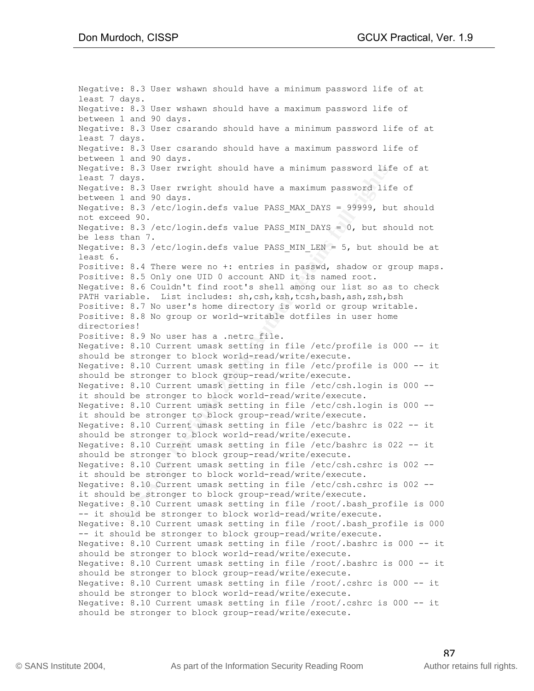8.3 User rwright should have a minimum password life<br>1833.<br>
8.3 User rwright should have a maximum password life<br>
1813. 8.3 User rwright should have a maximum password life<br>
1818. 8.3 /etc/login.defs value PASS\_MIN\_DRNS = Negative: 8.10 Current umask setting in file /etc/profile is 000 -- it<br>should be strenger to bleak gravn read/urite/evecute Negative: 8.3 User wshawn should have a minimum password life of at least 7 days. Negative: 8.3 User wshawn should have a maximum password life of between 1 and 90 days. Negative: 8.3 User csarando should have a minimum password life of at least 7 days. Negative: 8.3 User csarando should have a maximum password life of between 1 and 90 days. Negative: 8.3 User rwright should have a minimum password life of at least 7 days. Negative: 8.3 User rwright should have a maximum password life of between 1 and 90 days. Negative: 8.3 /etc/login.defs value PASS\_MAX\_DAYS = 99999, but should not exceed 90. Negative: 8.3 /etc/login.defs value PASS MIN DAYS = 0, but should not be less than 7. Negative: 8.3 /etc/login.defs value PASS\_MIN\_LEN = 5, but should be at least 6. Positive: 8.4 There were no +: entries in passwd, shadow or group maps. Positive: 8.5 Only one UID 0 account AND it is named root. Negative: 8.6 Couldn't find root's shell among our list so as to check PATH variable. List includes: sh,csh,ksh,tcsh,bash,ash,zsh,bsh Positive: 8.7 No user's home directory is world or group writable. Positive: 8.8 No group or world-writable dotfiles in user home directories! Positive: 8.9 No user has a .netrc file. Negative: 8.10 Current umask setting in file /etc/profile is 000 -- it should be stronger to block world-read/write/execute. should be stronger to block group-read/write/execute. Negative: 8.10 Current umask setting in file /etc/csh.login is 000 - it should be stronger to block world-read/write/execute. Negative: 8.10 Current umask setting in file /etc/csh.login is 000 - it should be stronger to block group-read/write/execute. Negative: 8.10 Current umask setting in file /etc/bashrc is 022 -- it should be stronger to block world-read/write/execute. Negative: 8.10 Current umask setting in file /etc/bashrc is 022 -- it should be stronger to block group-read/write/execute. Negative: 8.10 Current umask setting in file /etc/csh.cshrc is 002 - it should be stronger to block world-read/write/execute. Negative: 8.10 Current umask setting in file /etc/csh.cshrc is 002 - it should be stronger to block group-read/write/execute. Negative: 8.10 Current umask setting in file /root/.bash\_profile is 000 -- it should be stronger to block world-read/write/execute. Negative: 8.10 Current umask setting in file /root/.bash\_profile is 000 -- it should be stronger to block group-read/write/execute. Negative: 8.10 Current umask setting in file /root/.bashrc is 000 -- it should be stronger to block world-read/write/execute. Negative: 8.10 Current umask setting in file /root/.bashrc is 000 -- it should be stronger to block group-read/write/execute. Negative: 8.10 Current umask setting in file /root/.cshrc is 000 -- it should be stronger to block world-read/write/execute. Negative: 8.10 Current umask setting in file /root/.cshrc is 000 -- it should be stronger to block group-read/write/execute.